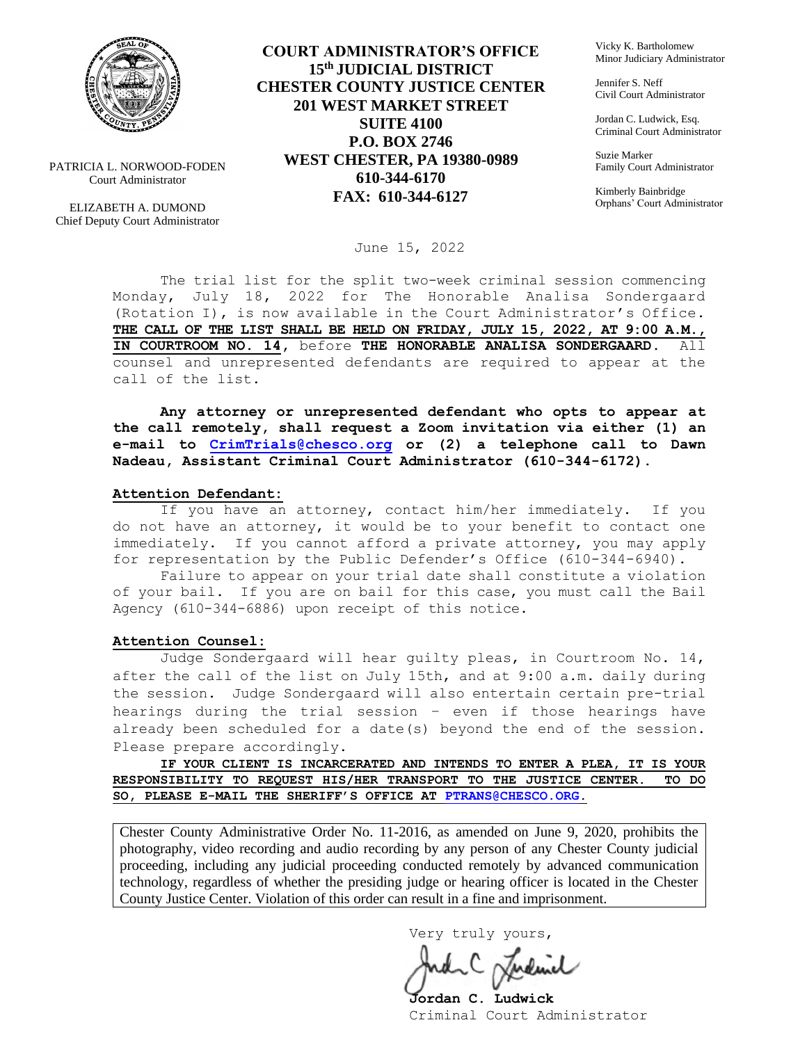

PATRICIA L. NORWOOD-FODEN Court Administrator

ELIZABETH A. DUMOND Chief Deputy Court Administrator

**COURT ADMINISTRATOR'S OFFICE 15th JUDICIAL DISTRICT CHESTER COUNTY JUSTICE CENTER 201 WEST MARKET STREET SUITE 4100 P.O. BOX 2746 WEST CHESTER, PA 19380-0989 610-344-6170 FAX: 610-344-6127**

Vicky K. Bartholomew Minor Judiciary Administrator

Jennifer S. Neff Civil Court Administrator

Jordan C. Ludwick, Esq. Criminal Court Administrator

Suzie Marker Family Court Administrator

Kimberly Bainbridge Orphans' Court Administrator

June 15, 2022

The trial list for the split two-week criminal session commencing Monday, July 18, 2022 for The Honorable Analisa Sondergaard (Rotation I), is now available in the Court Administrator's Office. **THE CALL OF THE LIST SHALL BE HELD ON FRIDAY, JULY 15, 2022, AT 9:00 A.M., IN COURTROOM NO. 14,** before **THE HONORABLE ANALISA SONDERGAARD.** All counsel and unrepresented defendants are required to appear at the call of the list.

**Any attorney or unrepresented defendant who opts to appear at the call remotely, shall request a Zoom invitation via either (1) an e-mail to [CrimTrials@chesco.org](mailto:CrimTrials@chesco.org) or (2) a telephone call to Dawn Nadeau, Assistant Criminal Court Administrator (610-344-6172).** 

#### **Attention Defendant:**

If you have an attorney, contact him/her immediately. If you do not have an attorney, it would be to your benefit to contact one immediately. If you cannot afford a private attorney, you may apply for representation by the Public Defender's Office (610-344-6940).

Failure to appear on your trial date shall constitute a violation of your bail. If you are on bail for this case, you must call the Bail Agency (610-344-6886) upon receipt of this notice.

#### **Attention Counsel:**

Judge Sondergaard will hear guilty pleas, in Courtroom No. 14, after the call of the list on July 15th, and at 9:00 a.m. daily during the session. Judge Sondergaard will also entertain certain pre-trial hearings during the trial session – even if those hearings have already been scheduled for a date(s) beyond the end of the session. Please prepare accordingly.

**IF YOUR CLIENT IS INCARCERATED AND INTENDS TO ENTER A PLEA, IT IS YOUR RESPONSIBILITY TO REQUEST HIS/HER TRANSPORT TO THE JUSTICE CENTER. TO DO SO, PLEASE E-MAIL THE SHERIFF'S OFFICE AT [PTRANS@CHESCO.ORG.](mailto:PTRANS@CHESCO.ORG)**

Chester County Administrative Order No. 11-2016, as amended on June 9, 2020, prohibits the photography, video recording and audio recording by any person of any Chester County judicial proceeding, including any judicial proceeding conducted remotely by advanced communication technology, regardless of whether the presiding judge or hearing officer is located in the Chester County Justice Center. Violation of this order can result in a fine and imprisonment.

Very truly yours,

**Jordan C. Ludwick** Criminal Court Administrator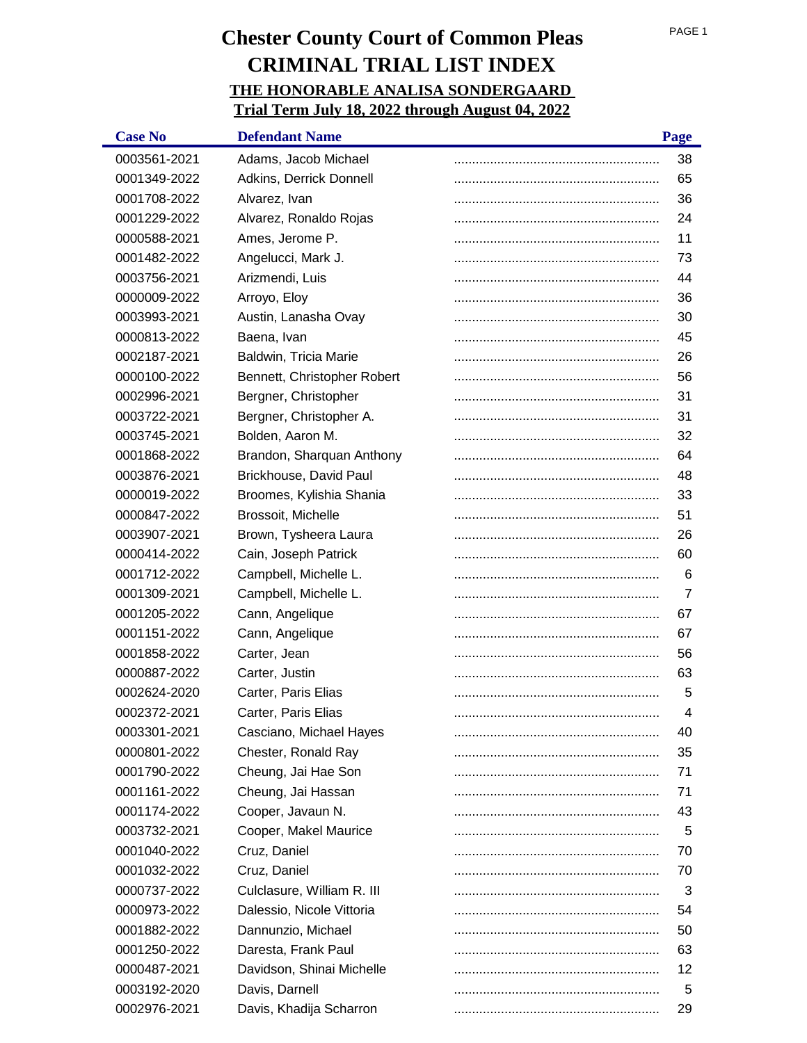| <b>Case No</b> | <b>Defendant Name</b>       | Page           |
|----------------|-----------------------------|----------------|
| 0003561-2021   | Adams, Jacob Michael        | 38             |
| 0001349-2022   | Adkins, Derrick Donnell     | 65             |
| 0001708-2022   | Alvarez, Ivan               | 36             |
| 0001229-2022   | Alvarez, Ronaldo Rojas      | 24             |
| 0000588-2021   | Ames, Jerome P.             | 11             |
| 0001482-2022   | Angelucci, Mark J.          | 73             |
| 0003756-2021   | Arizmendi, Luis             | 44             |
| 0000009-2022   | Arroyo, Eloy                | 36             |
| 0003993-2021   | Austin, Lanasha Ovay        | 30             |
| 0000813-2022   | Baena, Ivan                 | 45             |
| 0002187-2021   | Baldwin, Tricia Marie       | 26             |
| 0000100-2022   | Bennett, Christopher Robert | 56             |
| 0002996-2021   | Bergner, Christopher        | 31             |
| 0003722-2021   | Bergner, Christopher A.     | 31             |
| 0003745-2021   | Bolden, Aaron M.            | 32             |
| 0001868-2022   | Brandon, Sharquan Anthony   | 64             |
| 0003876-2021   | Brickhouse, David Paul      | 48             |
| 0000019-2022   | Broomes, Kylishia Shania    | 33             |
| 0000847-2022   | Brossoit, Michelle          | 51             |
| 0003907-2021   | Brown, Tysheera Laura       | 26             |
| 0000414-2022   | Cain, Joseph Patrick        | 60             |
| 0001712-2022   | Campbell, Michelle L.       | 6              |
| 0001309-2021   | Campbell, Michelle L.       | $\overline{7}$ |
| 0001205-2022   | Cann, Angelique             | 67             |
| 0001151-2022   | Cann, Angelique             | 67             |
| 0001858-2022   | Carter, Jean                | 56             |
| 0000887-2022   | Carter, Justin              | 63             |
| 0002624-2020   | Carter, Paris Elias         | 5              |
| 0002372-2021   | Carter, Paris Elias         | 4              |
| 0003301-2021   | Casciano, Michael Hayes     | 40             |
| 0000801-2022   | Chester, Ronald Ray         | 35             |
| 0001790-2022   | Cheung, Jai Hae Son         | 71             |
| 0001161-2022   | Cheung, Jai Hassan          | 71             |
| 0001174-2022   | Cooper, Javaun N.           | 43             |
| 0003732-2021   | Cooper, Makel Maurice       | 5              |
| 0001040-2022   | Cruz, Daniel                | 70             |
| 0001032-2022   | Cruz, Daniel                | 70             |
| 0000737-2022   | Culclasure, William R. III  | 3              |
| 0000973-2022   | Dalessio, Nicole Vittoria   | 54             |
| 0001882-2022   | Dannunzio, Michael          | 50             |
| 0001250-2022   | Daresta, Frank Paul         | 63             |
| 0000487-2021   | Davidson, Shinai Michelle   | 12             |
| 0003192-2020   | Davis, Darnell              | 5              |
| 0002976-2021   | Davis, Khadija Scharron     | 29             |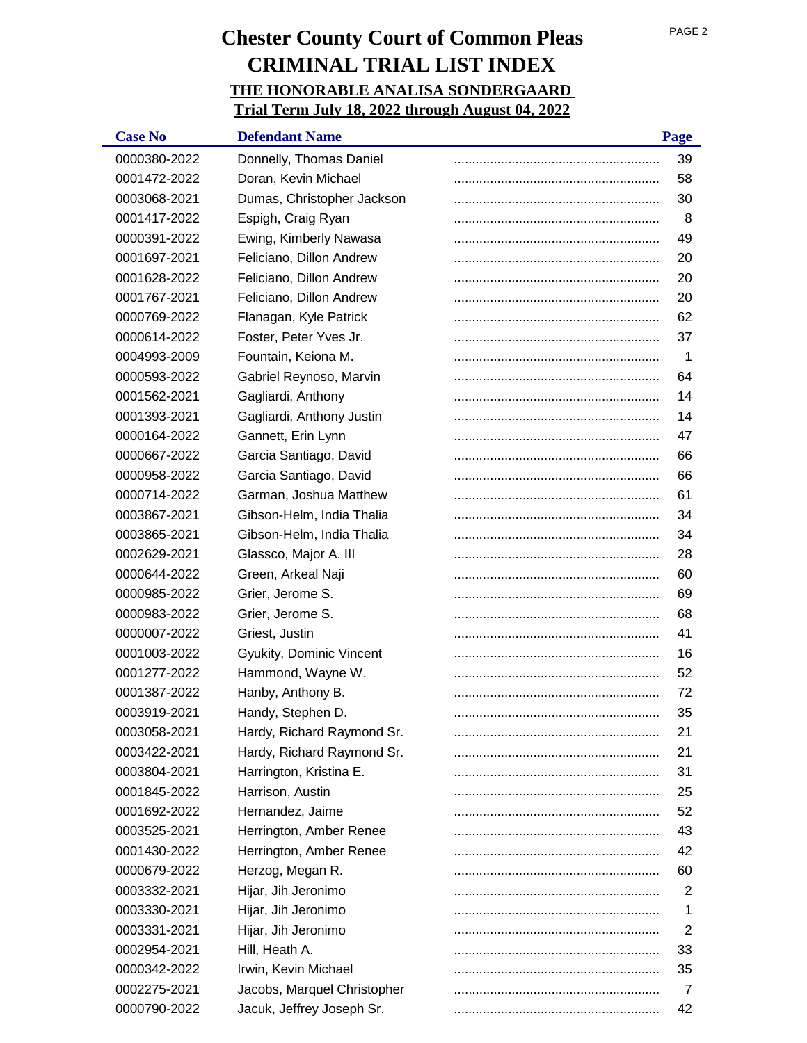| <b>Case No</b> | <b>Defendant Name</b>       | Page           |
|----------------|-----------------------------|----------------|
| 0000380-2022   | Donnelly, Thomas Daniel     | 39             |
| 0001472-2022   | Doran, Kevin Michael        | 58             |
| 0003068-2021   | Dumas, Christopher Jackson  | 30             |
| 0001417-2022   | Espigh, Craig Ryan          | 8              |
| 0000391-2022   | Ewing, Kimberly Nawasa      | 49             |
| 0001697-2021   | Feliciano, Dillon Andrew    | 20             |
| 0001628-2022   | Feliciano, Dillon Andrew    | 20             |
| 0001767-2021   | Feliciano, Dillon Andrew    | 20             |
| 0000769-2022   | Flanagan, Kyle Patrick      | 62             |
| 0000614-2022   | Foster, Peter Yves Jr.      | 37             |
| 0004993-2009   | Fountain, Keiona M.         | -1             |
| 0000593-2022   | Gabriel Reynoso, Marvin     | 64             |
| 0001562-2021   | Gagliardi, Anthony          | 14             |
| 0001393-2021   | Gagliardi, Anthony Justin   | 14             |
| 0000164-2022   | Gannett, Erin Lynn          | 47             |
| 0000667-2022   | Garcia Santiago, David      | 66             |
| 0000958-2022   | Garcia Santiago, David      | 66             |
| 0000714-2022   | Garman, Joshua Matthew      | 61             |
| 0003867-2021   | Gibson-Helm, India Thalia   | 34             |
| 0003865-2021   | Gibson-Helm, India Thalia   | 34             |
| 0002629-2021   | Glassco, Major A. III       | 28             |
| 0000644-2022   | Green, Arkeal Naji          | 60             |
| 0000985-2022   | Grier, Jerome S.            | 69             |
| 0000983-2022   | Grier, Jerome S.            | 68             |
| 0000007-2022   | Griest, Justin              | 41             |
| 0001003-2022   | Gyukity, Dominic Vincent    | 16             |
| 0001277-2022   | Hammond, Wayne W.           | 52             |
| 0001387-2022   | Hanby, Anthony B.           | 72             |
| 0003919-2021   | Handy, Stephen D.           | 35             |
| 0003058-2021   | Hardy, Richard Raymond Sr.  | 21             |
| 0003422-2021   | Hardy, Richard Raymond Sr.  | 21             |
| 0003804-2021   | Harrington, Kristina E.     | 31             |
| 0001845-2022   | Harrison, Austin            | 25             |
| 0001692-2022   | Hernandez, Jaime            | 52             |
| 0003525-2021   | Herrington, Amber Renee     | 43             |
| 0001430-2022   | Herrington, Amber Renee     | 42             |
| 0000679-2022   | Herzog, Megan R.            | 60             |
| 0003332-2021   | Hijar, Jih Jeronimo         | $\overline{2}$ |
| 0003330-2021   | Hijar, Jih Jeronimo         | 1              |
| 0003331-2021   | Hijar, Jih Jeronimo         | $\overline{2}$ |
| 0002954-2021   | Hill, Heath A.              | 33             |
| 0000342-2022   | Irwin, Kevin Michael        | 35             |
| 0002275-2021   | Jacobs, Marquel Christopher | 7              |
| 0000790-2022   | Jacuk, Jeffrey Joseph Sr.   | 42             |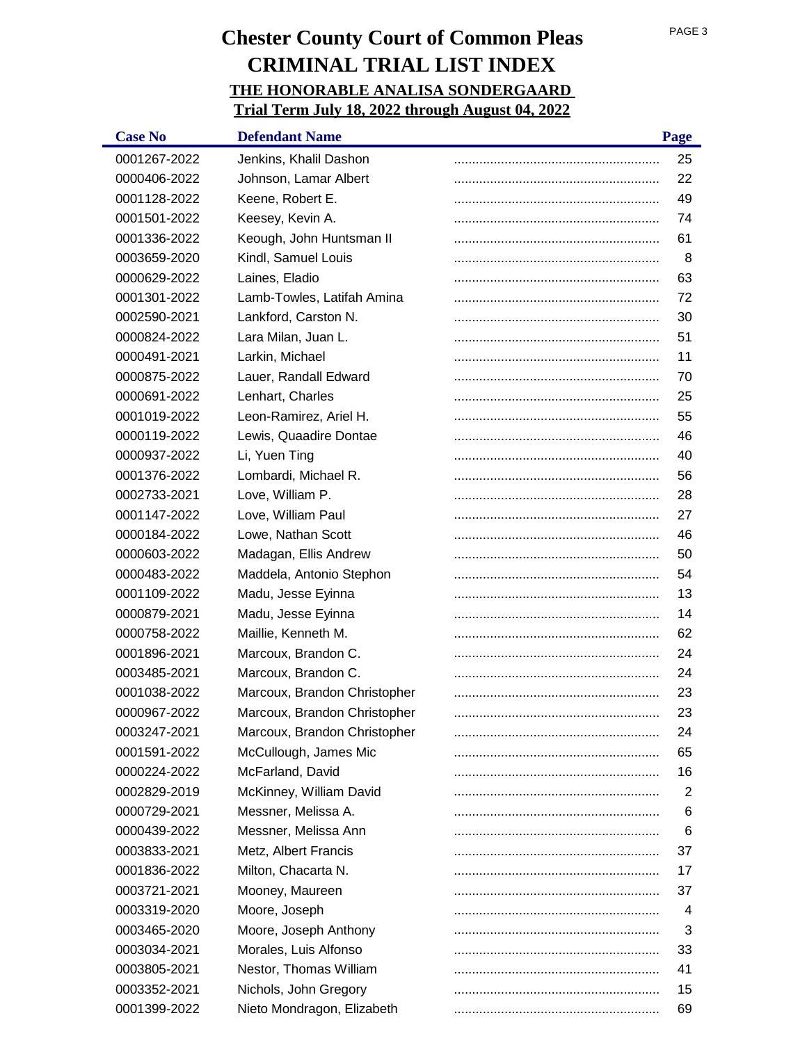| <b>Case No</b> | <b>Defendant Name</b>        | Page |
|----------------|------------------------------|------|
| 0001267-2022   | Jenkins, Khalil Dashon       | 25   |
| 0000406-2022   | Johnson, Lamar Albert        | 22   |
| 0001128-2022   | Keene, Robert E.             | 49   |
| 0001501-2022   | Keesey, Kevin A.             | 74   |
| 0001336-2022   | Keough, John Huntsman II     | 61   |
| 0003659-2020   | Kindl, Samuel Louis          | 8    |
| 0000629-2022   | Laines, Eladio               | 63   |
| 0001301-2022   | Lamb-Towles, Latifah Amina   | 72   |
| 0002590-2021   | Lankford, Carston N.         | 30   |
| 0000824-2022   | Lara Milan, Juan L.          | 51   |
| 0000491-2021   | Larkin, Michael              | 11   |
| 0000875-2022   | Lauer, Randall Edward        | 70   |
| 0000691-2022   | Lenhart, Charles             | 25   |
| 0001019-2022   | Leon-Ramirez, Ariel H.       | 55   |
| 0000119-2022   | Lewis, Quaadire Dontae       | 46   |
| 0000937-2022   | Li, Yuen Ting                | 40   |
| 0001376-2022   | Lombardi, Michael R.         | 56   |
| 0002733-2021   | Love, William P.             | 28   |
| 0001147-2022   | Love, William Paul           | 27   |
| 0000184-2022   | Lowe, Nathan Scott           | 46   |
| 0000603-2022   | Madagan, Ellis Andrew        | 50   |
| 0000483-2022   | Maddela, Antonio Stephon     | 54   |
| 0001109-2022   | Madu, Jesse Eyinna           | 13   |
| 0000879-2021   | Madu, Jesse Eyinna           | 14   |
| 0000758-2022   | Maillie, Kenneth M.          | 62   |
| 0001896-2021   | Marcoux, Brandon C.          | 24   |
| 0003485-2021   | Marcoux, Brandon C.          | 24   |
| 0001038-2022   | Marcoux, Brandon Christopher | 23   |
| 0000967-2022   | Marcoux, Brandon Christopher | 23   |
| 0003247-2021   | Marcoux, Brandon Christopher | 24   |
| 0001591-2022   | McCullough, James Mic        | 65   |
| 0000224-2022   | McFarland, David             | 16   |
| 0002829-2019   | McKinney, William David      | 2    |
| 0000729-2021   | Messner, Melissa A.          | 6    |
| 0000439-2022   | Messner, Melissa Ann         | 6    |
| 0003833-2021   | Metz, Albert Francis         | 37   |
| 0001836-2022   | Milton, Chacarta N.          | 17   |
| 0003721-2021   | Mooney, Maureen              | 37   |
| 0003319-2020   | Moore, Joseph                | 4    |
| 0003465-2020   | Moore, Joseph Anthony        | 3    |
| 0003034-2021   | Morales, Luis Alfonso        | 33   |
| 0003805-2021   | Nestor, Thomas William       | 41   |
| 0003352-2021   | Nichols, John Gregory        | 15   |
| 0001399-2022   | Nieto Mondragon, Elizabeth   | 69   |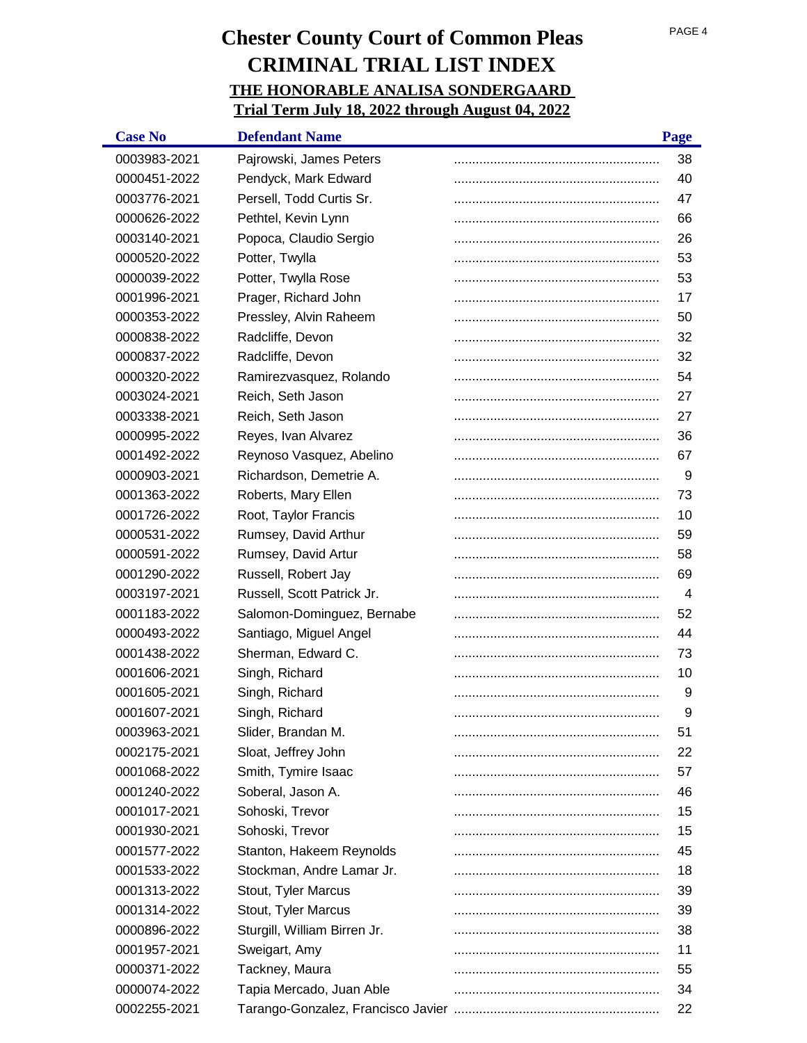| <b>Case No</b> | <b>Defendant Name</b>        | Page |
|----------------|------------------------------|------|
| 0003983-2021   | Pajrowski, James Peters      | 38   |
| 0000451-2022   | Pendyck, Mark Edward         | 40   |
| 0003776-2021   | Persell, Todd Curtis Sr.     | 47   |
| 0000626-2022   | Pethtel, Kevin Lynn          | 66   |
| 0003140-2021   | Popoca, Claudio Sergio       | 26   |
| 0000520-2022   | Potter, Twylla               | 53   |
| 0000039-2022   | Potter, Twylla Rose          | 53   |
| 0001996-2021   | Prager, Richard John         | 17   |
| 0000353-2022   | Pressley, Alvin Raheem       | 50   |
| 0000838-2022   | Radcliffe, Devon             | 32   |
| 0000837-2022   | Radcliffe, Devon             | 32   |
| 0000320-2022   | Ramirezvasquez, Rolando      | 54   |
| 0003024-2021   | Reich, Seth Jason            | 27   |
| 0003338-2021   | Reich, Seth Jason            | 27   |
| 0000995-2022   | Reyes, Ivan Alvarez          | 36   |
| 0001492-2022   | Reynoso Vasquez, Abelino     | 67   |
| 0000903-2021   | Richardson, Demetrie A.      | 9    |
| 0001363-2022   | Roberts, Mary Ellen          | 73   |
| 0001726-2022   | Root, Taylor Francis         | 10   |
| 0000531-2022   | Rumsey, David Arthur         | 59   |
| 0000591-2022   | Rumsey, David Artur          | 58   |
| 0001290-2022   | Russell, Robert Jay          | 69   |
| 0003197-2021   | Russell, Scott Patrick Jr.   | 4    |
| 0001183-2022   | Salomon-Dominguez, Bernabe   | 52   |
| 0000493-2022   | Santiago, Miguel Angel       | 44   |
| 0001438-2022   | Sherman, Edward C.           | 73   |
| 0001606-2021   | Singh, Richard               | 10   |
| 0001605-2021   | Singh, Richard               | 9    |
| 0001607-2021   | Singh, Richard               | 9    |
| 0003963-2021   | Slider, Brandan M.           | 51   |
| 0002175-2021   | Sloat, Jeffrey John          | 22   |
| 0001068-2022   | Smith, Tymire Isaac          | 57   |
| 0001240-2022   | Soberal, Jason A.            | 46   |
| 0001017-2021   | Sohoski, Trevor              | 15   |
| 0001930-2021   | Sohoski, Trevor              | 15   |
| 0001577-2022   | Stanton, Hakeem Reynolds     | 45   |
| 0001533-2022   | Stockman, Andre Lamar Jr.    | 18   |
| 0001313-2022   | Stout, Tyler Marcus          | 39   |
| 0001314-2022   | Stout, Tyler Marcus          | 39   |
| 0000896-2022   | Sturgill, William Birren Jr. | 38   |
| 0001957-2021   | Sweigart, Amy                | 11   |
| 0000371-2022   | Tackney, Maura               | 55   |
| 0000074-2022   | Tapia Mercado, Juan Able     | 34   |
| 0002255-2021   |                              | 22   |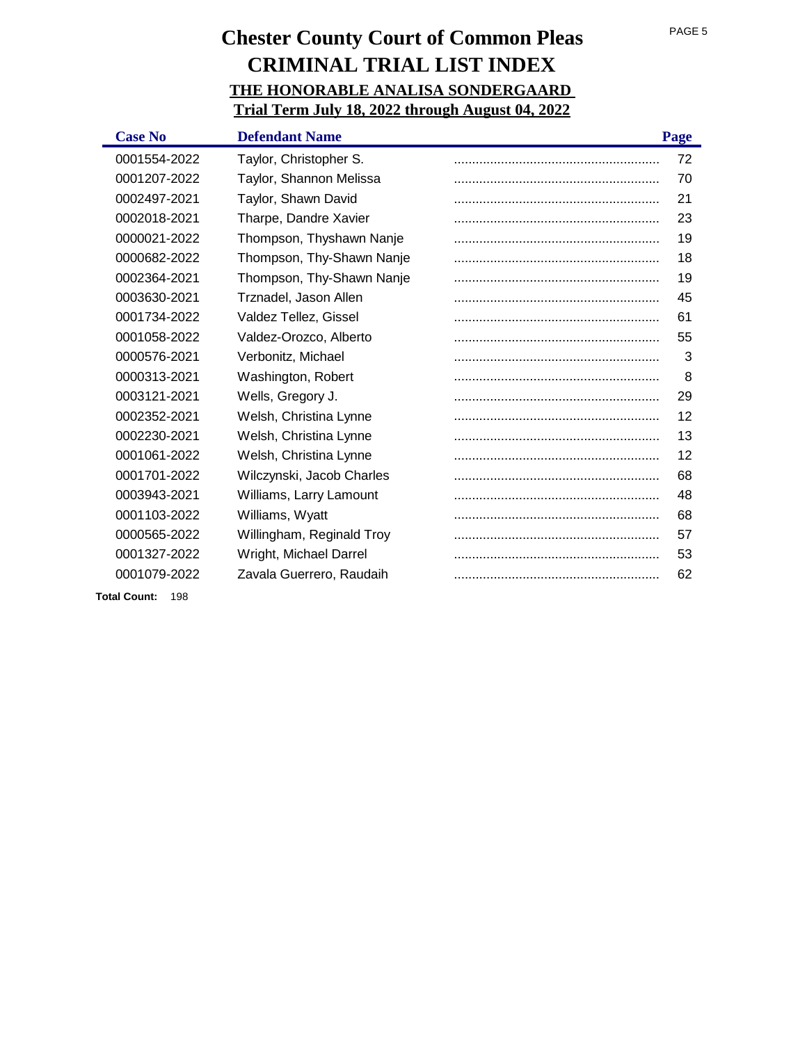| <b>Case No</b>             | <b>Defendant Name</b>     | Page |
|----------------------------|---------------------------|------|
| 0001554-2022               | Taylor, Christopher S.    | 72   |
| 0001207-2022               | Taylor, Shannon Melissa   | 70   |
| 0002497-2021               | Taylor, Shawn David       | 21   |
| 0002018-2021               | Tharpe, Dandre Xavier     | 23   |
| 0000021-2022               | Thompson, Thyshawn Nanje  | 19   |
| 0000682-2022               | Thompson, Thy-Shawn Nanje | 18   |
| 0002364-2021               | Thompson, Thy-Shawn Nanje | 19   |
| 0003630-2021               | Trznadel, Jason Allen     | 45   |
| 0001734-2022               | Valdez Tellez, Gissel     | 61   |
| 0001058-2022               | Valdez-Orozco, Alberto    | 55   |
| 0000576-2021               | Verbonitz, Michael        | 3    |
| 0000313-2021               | Washington, Robert        | 8    |
| 0003121-2021               | Wells, Gregory J.         | 29   |
| 0002352-2021               | Welsh, Christina Lynne    | 12   |
| 0002230-2021               | Welsh, Christina Lynne    | 13   |
| 0001061-2022               | Welsh, Christina Lynne    | 12   |
| 0001701-2022               | Wilczynski, Jacob Charles | 68   |
| 0003943-2021               | Williams, Larry Lamount   | 48   |
| 0001103-2022               | Williams, Wyatt           | 68   |
| 0000565-2022               | Willingham, Reginald Troy | 57   |
| 0001327-2022               | Wright, Michael Darrel    | 53   |
| 0001079-2022               | Zavala Guerrero, Raudaih  | 62   |
| <b>Total Count:</b><br>198 |                           |      |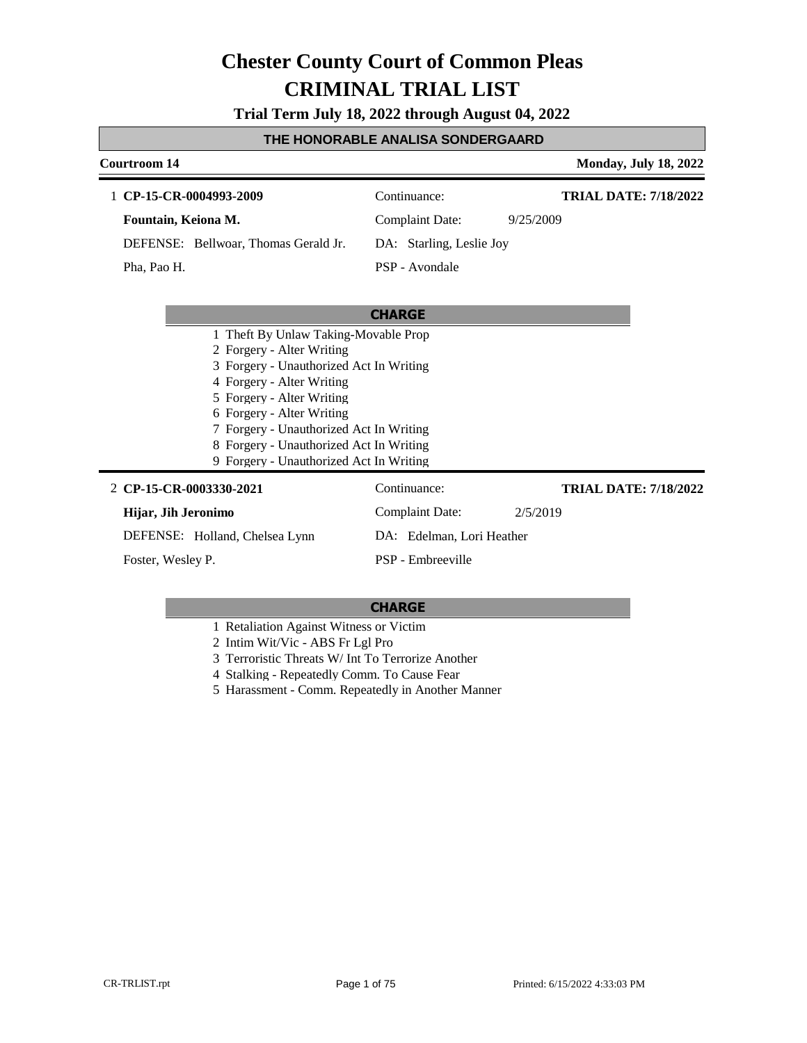**Trial Term July 18, 2022 through August 04, 2022**

#### **THE HONORABLE ANALISA SONDERGAARD**

### **Courtroom 14 Monday, July 18, 2022 CHARGE** 1 **CP-15-CR-0004993-2009** Continuance: **Fountain, Keiona M.** DEFENSE: Bellwoar, Thomas Gerald Jr. Complaint Date: 9/25/2009 DA: Starling, Leslie Joy PSP - Avondale **TRIAL DATE: 7/18/2022** Pha, Pao H. 1 Theft By Unlaw Taking-Movable Prop 2 Forgery - Alter Writing 3 Forgery - Unauthorized Act In Writing 4 Forgery - Alter Writing 5 Forgery - Alter Writing 6 Forgery - Alter Writing 7 Forgery - Unauthorized Act In Writing 8 Forgery - Unauthorized Act In Writing 9 Forgery - Unauthorized Act In Writing **CP-15-CR-0003330-2021** 2 Continuance: **Hijar, Jih Jeronimo** DEFENSE: Holland, Chelsea Lynn Complaint Date: 2/5/2019 DA: Edelman, Lori Heather PSP - Embreeville **TRIAL DATE: 7/18/2022** Foster, Wesley P.

- 1 Retaliation Against Witness or Victim
- 2 Intim Wit/Vic ABS Fr Lgl Pro
- 3 Terroristic Threats W/ Int To Terrorize Another
- 4 Stalking Repeatedly Comm. To Cause Fear
- 5 Harassment Comm. Repeatedly in Another Manner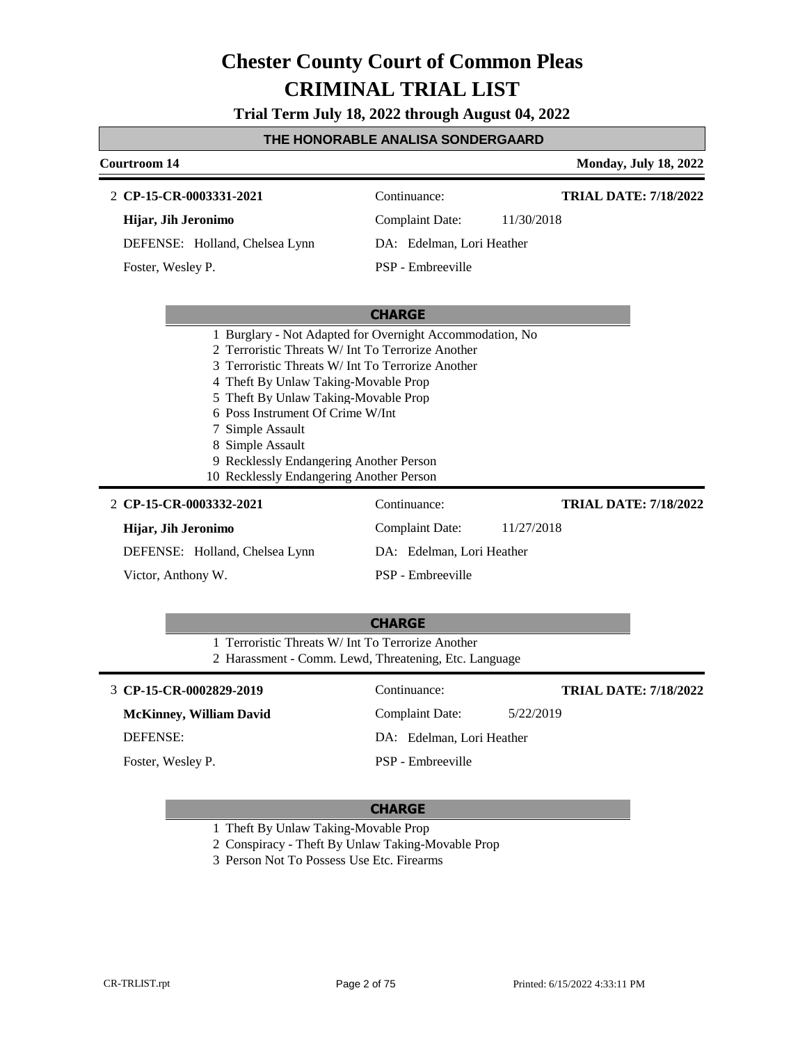**Trial Term July 18, 2022 through August 04, 2022**

#### **THE HONORABLE ANALISA SONDERGAARD**

### **Courtroom 14 Monday, July 18, 2022 CHARGE CP-15-CR-0003331-2021** 2 Continuance: **Hijar, Jih Jeronimo** DEFENSE: Holland, Chelsea Lynn Complaint Date: 11/30/2018 DA: Edelman, Lori Heather PSP - Embreeville **TRIAL DATE: 7/18/2022** Foster, Wesley P. 1 Burglary - Not Adapted for Overnight Accommodation, No 2 Terroristic Threats W/ Int To Terrorize Another 3 Terroristic Threats W/ Int To Terrorize Another 4 Theft By Unlaw Taking-Movable Prop 5 Theft By Unlaw Taking-Movable Prop 6 Poss Instrument Of Crime W/Int 7 Simple Assault 8 Simple Assault 9 Recklessly Endangering Another Person 10 Recklessly Endangering Another Person **CP-15-CR-0003332-2021 TRIAL DATE: 7/18/2022** 2 CP-15-CR-0003332-2021 Continuance:

| 2 CP-15-CR-0003332-2021        | Continuance:              | <b>TRIAL DATE: 7/18/2022</b> |
|--------------------------------|---------------------------|------------------------------|
| Hijar, Jih Jeronimo            | Complaint Date:           | 11/27/2018                   |
| DEFENSE: Holland, Chelsea Lynn | DA: Edelman, Lori Heather |                              |
| Victor, Anthony W.             | PSP - Embreeville         |                              |

|                                                                                                            | <b>CHARGE</b>             |                              |  |
|------------------------------------------------------------------------------------------------------------|---------------------------|------------------------------|--|
| 1 Terroristic Threats W/ Int To Terrorize Another<br>2 Harassment - Comm. Lewd, Threatening, Etc. Language |                           |                              |  |
| 3 CP-15-CR-0002829-2019                                                                                    | Continuance:              | <b>TRIAL DATE: 7/18/2022</b> |  |
| <b>McKinney, William David</b>                                                                             | Complaint Date:           | 5/22/2019                    |  |
| <b>DEFENSE:</b>                                                                                            | DA: Edelman, Lori Heather |                              |  |
| Foster, Wesley P.                                                                                          | PSP - Embreeville         |                              |  |

- 1 Theft By Unlaw Taking-Movable Prop
- 2 Conspiracy Theft By Unlaw Taking-Movable Prop
- 3 Person Not To Possess Use Etc. Firearms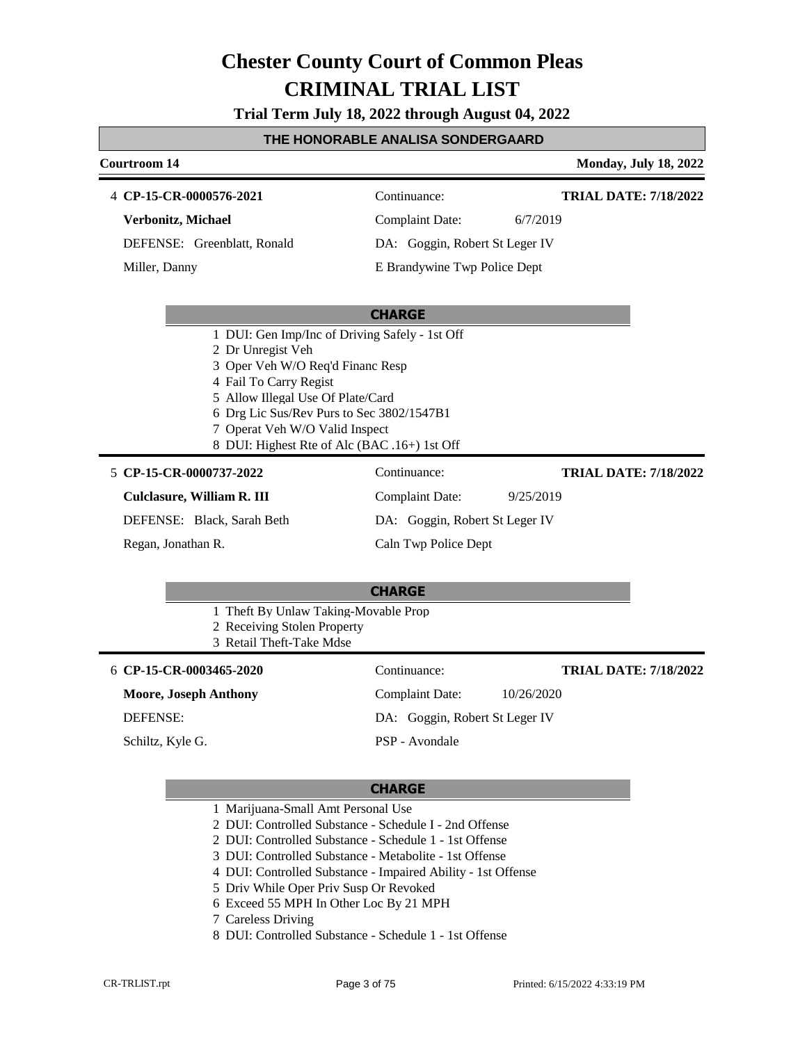**Trial Term July 18, 2022 through August 04, 2022**

#### **THE HONORABLE ANALISA SONDERGAARD**

#### **Courtroom 14 Monday, July 18, 2022 CP-15-CR-0000576-2021** 4 Continuance: **Verbonitz, Michael** DEFENSE: Greenblatt, Ronald Complaint Date: 6/7/2019 DA: Goggin, Robert St Leger IV E Brandywine Twp Police Dept **TRIAL DATE: 7/18/2022** Miller, Danny

#### **CHARGE**

- 1 DUI: Gen Imp/Inc of Driving Safely 1st Off
- 2 Dr Unregist Veh
- 3 Oper Veh W/O Req'd Financ Resp
- 4 Fail To Carry Regist
- 5 Allow Illegal Use Of Plate/Card
- 6 Drg Lic Sus/Rev Purs to Sec 3802/1547B1
- 7 Operat Veh W/O Valid Inspect
- 8 DUI: Highest Rte of Alc (BAC .16+) 1st Off

#### **CP-15-CR-0000737-2022** 5 Continuance:

**Culclasure, William R. III**

DEFENSE: Black, Sarah Beth

Regan, Jonathan R.

DA: Goggin, Robert St Leger IV Caln Twp Police Dept

Complaint Date: 9/25/2019

#### **CHARGE**

- 1 Theft By Unlaw Taking-Movable Prop
- 2 Receiving Stolen Property
- 3 Retail Theft-Take Mdse

**CP-15-CR-0003465-2020** 6 Continuance:

**Moore, Joseph Anthony**

DEFENSE:

Schiltz, Kyle G.

Complaint Date: 10/26/2020 DA: Goggin, Robert St Leger IV PSP - Avondale

#### **CHARGE**

- 1 Marijuana-Small Amt Personal Use
- 2 DUI: Controlled Substance Schedule I 2nd Offense
- 2 DUI: Controlled Substance Schedule 1 1st Offense
- 3 DUI: Controlled Substance Metabolite 1st Offense
- 4 DUI: Controlled Substance Impaired Ability 1st Offense
- 5 Driv While Oper Priv Susp Or Revoked
- 6 Exceed 55 MPH In Other Loc By 21 MPH
- 7 Careless Driving
- 8 DUI: Controlled Substance Schedule 1 1st Offense

**TRIAL DATE: 7/18/2022**

**TRIAL DATE: 7/18/2022**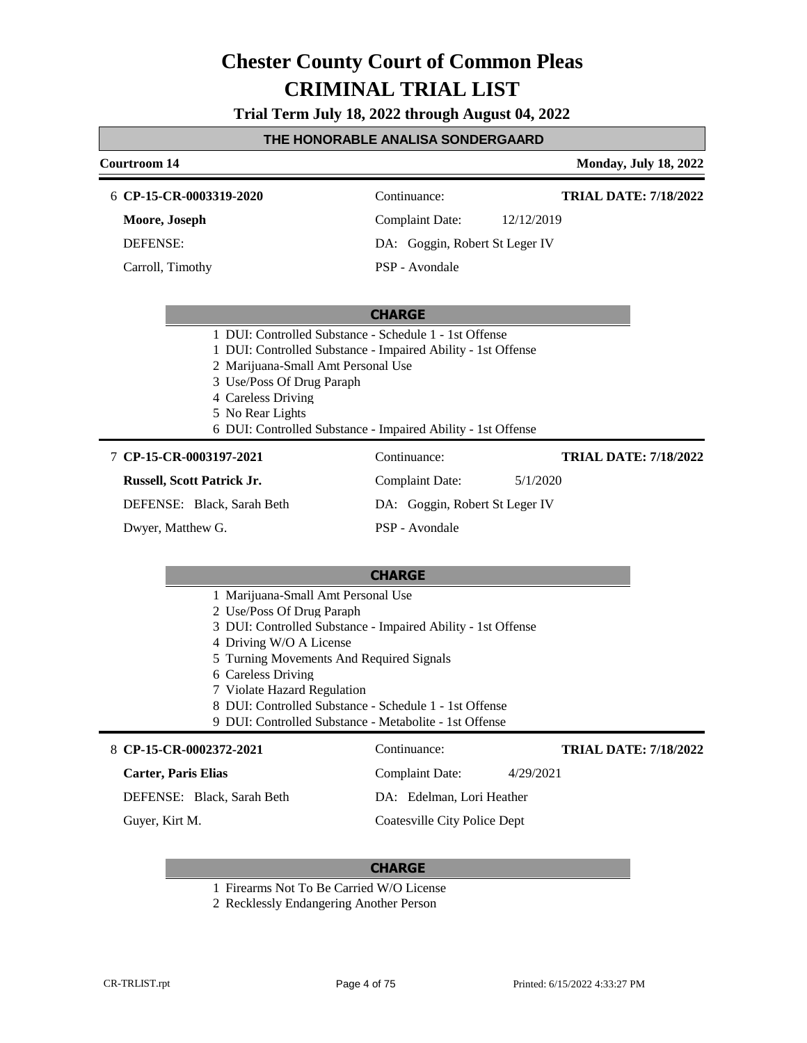**Trial Term July 18, 2022 through August 04, 2022**

## **THE HONORABLE ANALISA SONDERGAARD**

| <b>Monday, July 18, 2022</b> |
|------------------------------|
| <b>TRIAL DATE: 7/18/2022</b> |
|                              |
|                              |
|                              |
|                              |
|                              |
|                              |
|                              |
| <b>TRIAL DATE: 7/18/2022</b> |
|                              |
|                              |
|                              |
|                              |
|                              |
|                              |
|                              |
|                              |
|                              |
|                              |
|                              |
|                              |
| <b>TRIAL DATE: 7/18/2022</b> |
|                              |
|                              |
|                              |
|                              |

## **CHARGE**

- 1 Firearms Not To Be Carried W/O License
- 2 Recklessly Endangering Another Person

Г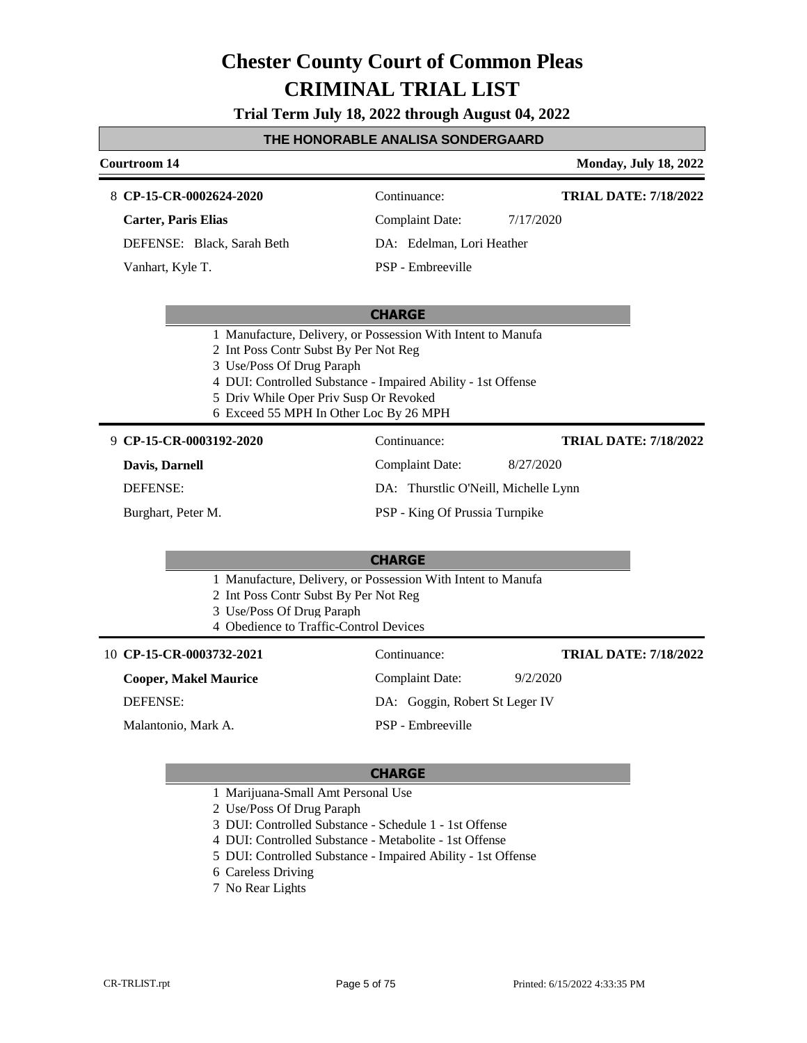**Trial Term July 18, 2022 through August 04, 2022**

#### **THE HONORABLE ANALISA SONDERGAARD**

#### **Courtroom 14 Monday, July 18, 2022**

#### **CP-15-CR-0002624-2020** 8 Continuance:

**Carter, Paris Elias**

DEFENSE: Black, Sarah Beth

Vanhart, Kyle T.

Complaint Date: 7/17/2020

**TRIAL DATE: 7/18/2022**

DA: Edelman, Lori Heather PSP - Embreeville

#### **CHARGE**

- 1 Manufacture, Delivery, or Possession With Intent to Manufa
- 2 Int Poss Contr Subst By Per Not Reg
- 3 Use/Poss Of Drug Paraph
- 4 DUI: Controlled Substance Impaired Ability 1st Offense
- 5 Driv While Oper Priv Susp Or Revoked
- 6 Exceed 55 MPH In Other Loc By 26 MPH

#### **CP-15-CR-0003192-2020** 9 Continuance:

**Davis, Darnell**

DEFENSE:

Burghart, Peter M.

Complaint Date: 8/27/2020

**TRIAL DATE: 7/18/2022**

- DA: Thurstlic O'Neill, Michelle Lynn
- PSP King Of Prussia Turnpike

#### **CHARGE**

- 1 Manufacture, Delivery, or Possession With Intent to Manufa
- 2 Int Poss Contr Subst By Per Not Reg
- 3 Use/Poss Of Drug Paraph
- 4 Obedience to Traffic-Control Devices

| 10 CP-15-CR-0003732-2021     | Continuance:                   | <b>TRIAL DATE: 7/18/2022</b> |
|------------------------------|--------------------------------|------------------------------|
| <b>Cooper, Makel Maurice</b> | Complaint Date:                | 9/2/2020                     |
| DEFENSE:                     | DA: Goggin, Robert St Leger IV |                              |
| Malantonio, Mark A.          | PSP - Embreeville              |                              |
|                              |                                |                              |

- 1 Marijuana-Small Amt Personal Use
- 2 Use/Poss Of Drug Paraph
- 3 DUI: Controlled Substance Schedule 1 1st Offense
- 4 DUI: Controlled Substance Metabolite 1st Offense
- 5 DUI: Controlled Substance Impaired Ability 1st Offense
- 6 Careless Driving
- 7 No Rear Lights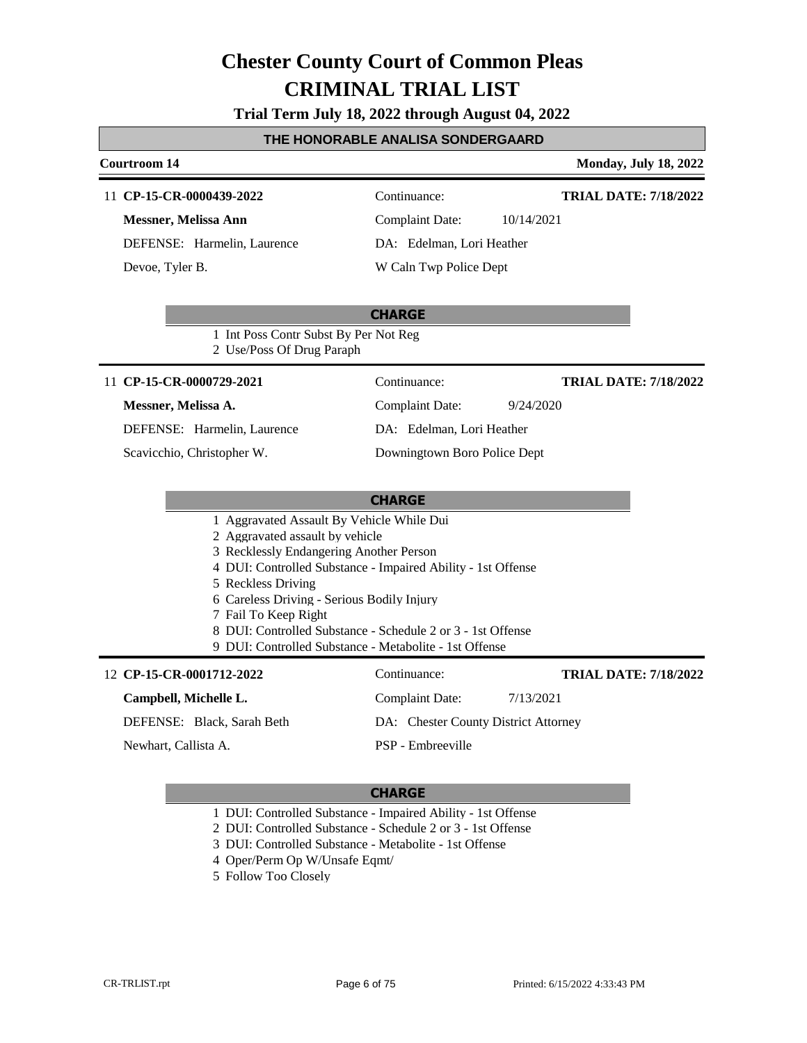**Trial Term July 18, 2022 through August 04, 2022**

#### **THE HONORABLE ANALISA SONDERGAARD**

#### **Courtroom 14 Monday, July 18, 2022**

#### 11 **CP-15-CR-0000439-2022** Continuance:

**Messner, Melissa Ann** DEFENSE: Harmelin, Laurence Devoe, Tyler B.

**TRIAL DATE: 7/18/2022**

Complaint Date: 10/14/2021

DA: Edelman, Lori Heather

W Caln Twp Police Dept

### **CHARGE**

1 Int Poss Contr Subst By Per Not Reg 2 Use/Poss Of Drug Paraph

#### 11 **CP-15-CR-0000729-2021** Continuance:

#### **Messner, Melissa A.**

DEFENSE: Harmelin, Laurence

Scavicchio, Christopher W.

Complaint Date: 9/24/2020

**TRIAL DATE: 7/18/2022**

DA: Edelman, Lori Heather Downingtown Boro Police Dept

### **CHARGE**

- 1 Aggravated Assault By Vehicle While Dui
- 2 Aggravated assault by vehicle
- 3 Recklessly Endangering Another Person
- 4 DUI: Controlled Substance Impaired Ability 1st Offense
- 5 Reckless Driving
- 6 Careless Driving Serious Bodily Injury
- 7 Fail To Keep Right
- 8 DUI: Controlled Substance Schedule 2 or 3 1st Offense

9 DUI: Controlled Substance - Metabolite - 1st Offense

| 12 CP-15-CR-0001712-2022   | Continuance:                         | <b>TRIAL DATE: 7/18/2022</b> |
|----------------------------|--------------------------------------|------------------------------|
| Campbell, Michelle L.      | Complaint Date:                      | 7/13/2021                    |
| DEFENSE: Black, Sarah Beth | DA: Chester County District Attorney |                              |
| Newhart, Callista A.       | PSP - Embreeville                    |                              |

- 1 DUI: Controlled Substance Impaired Ability 1st Offense
- 2 DUI: Controlled Substance Schedule 2 or 3 1st Offense
- 3 DUI: Controlled Substance Metabolite 1st Offense
- 4 Oper/Perm Op W/Unsafe Eqmt/
- 5 Follow Too Closely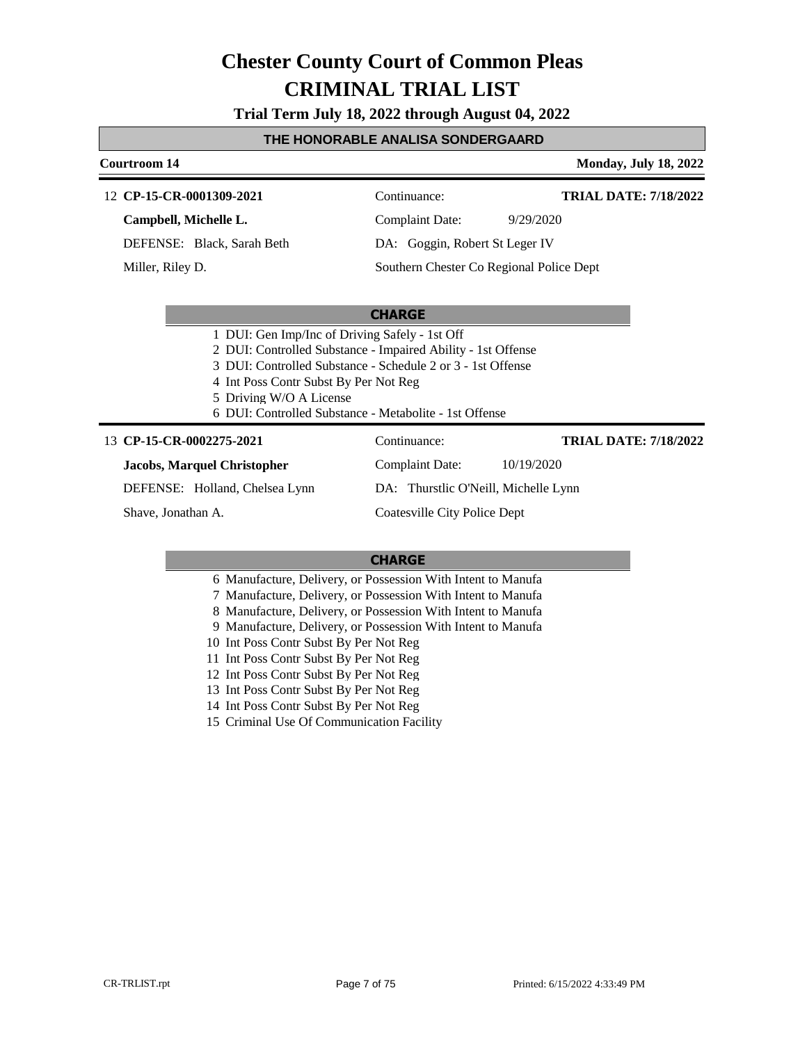**Trial Term July 18, 2022 through August 04, 2022**

#### **THE HONORABLE ANALISA SONDERGAARD**

#### **Courtroom 14 Monday, July 18, 2022**

#### **CP-15-CR-0001309-2021** 12 Continuance:

**Campbell, Michelle L.**

DEFENSE: Black, Sarah Beth

Miller, Riley D.

**TRIAL DATE: 7/18/2022**

**TRIAL DATE: 7/18/2022**

Complaint Date: 9/29/2020

DA: Goggin, Robert St Leger IV Southern Chester Co Regional Police Dept

### **CHARGE**

1 DUI: Gen Imp/Inc of Driving Safely - 1st Off

- 2 DUI: Controlled Substance Impaired Ability 1st Offense
- 3 DUI: Controlled Substance Schedule 2 or 3 1st Offense
- 4 Int Poss Contr Subst By Per Not Reg
- 5 Driving W/O A License
- 6 DUI: Controlled Substance Metabolite 1st Offense

#### 13 **CP-15-CR-0002275-2021** Continuance:

#### **Jacobs, Marquel Christopher**

DEFENSE: Holland, Chelsea Lynn

Shave, Jonathan A.

Complaint Date: 10/19/2020

DA: Thurstlic O'Neill, Michelle Lynn

Coatesville City Police Dept

- 6 Manufacture, Delivery, or Possession With Intent to Manufa
- 7 Manufacture, Delivery, or Possession With Intent to Manufa
- 8 Manufacture, Delivery, or Possession With Intent to Manufa
- 9 Manufacture, Delivery, or Possession With Intent to Manufa
- 10 Int Poss Contr Subst By Per Not Reg
- 11 Int Poss Contr Subst By Per Not Reg
- 12 Int Poss Contr Subst By Per Not Reg
- 13 Int Poss Contr Subst By Per Not Reg
- 14 Int Poss Contr Subst By Per Not Reg
- 15 Criminal Use Of Communication Facility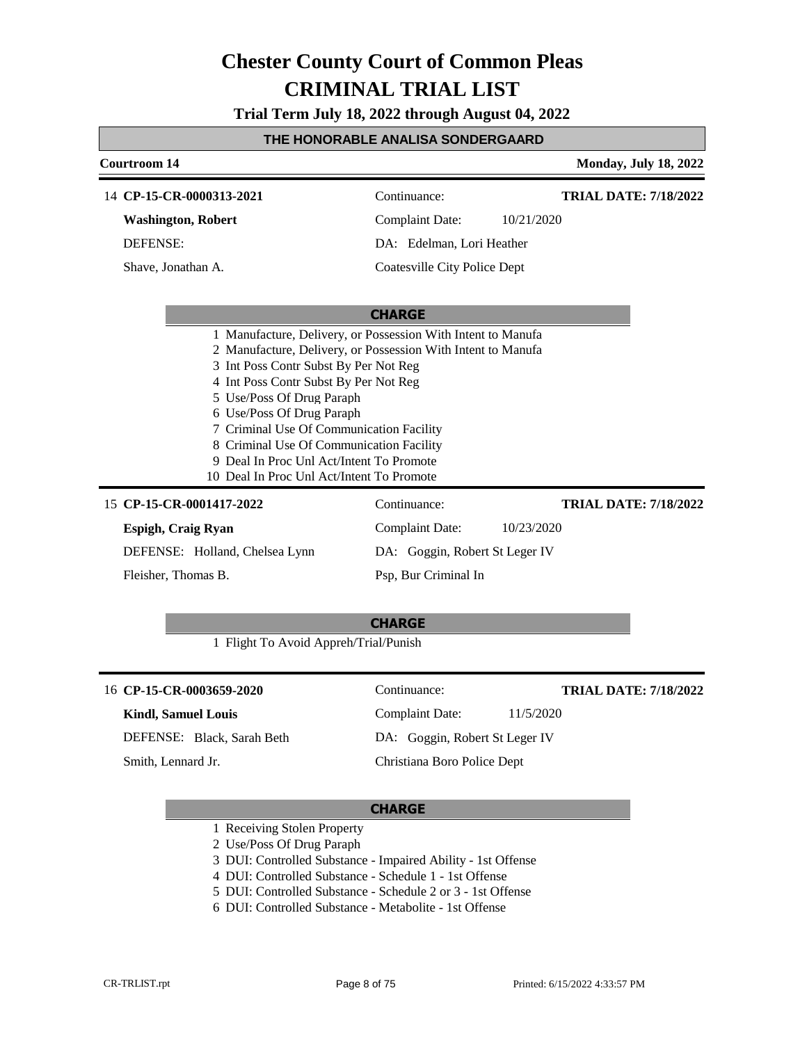**Trial Term July 18, 2022 through August 04, 2022**

#### **THE HONORABLE ANALISA SONDERGAARD**

| <b>Courtroom 14</b>                                                                                                                                                                                                                                                                                                                                                                       |                                | <b>Monday, July 18, 2022</b> |
|-------------------------------------------------------------------------------------------------------------------------------------------------------------------------------------------------------------------------------------------------------------------------------------------------------------------------------------------------------------------------------------------|--------------------------------|------------------------------|
| 14 CP-15-CR-0000313-2021                                                                                                                                                                                                                                                                                                                                                                  | Continuance:                   | <b>TRIAL DATE: 7/18/2022</b> |
| <b>Washington, Robert</b>                                                                                                                                                                                                                                                                                                                                                                 | <b>Complaint Date:</b>         | 10/21/2020                   |
| <b>DEFENSE:</b>                                                                                                                                                                                                                                                                                                                                                                           | DA: Edelman, Lori Heather      |                              |
| Shave, Jonathan A.                                                                                                                                                                                                                                                                                                                                                                        | Coatesville City Police Dept   |                              |
|                                                                                                                                                                                                                                                                                                                                                                                           |                                |                              |
|                                                                                                                                                                                                                                                                                                                                                                                           | <b>CHARGE</b>                  |                              |
| 2 Manufacture, Delivery, or Possession With Intent to Manufa<br>3 Int Poss Contr Subst By Per Not Reg<br>4 Int Poss Contr Subst By Per Not Reg<br>5 Use/Poss Of Drug Paraph<br>6 Use/Poss Of Drug Paraph<br>7 Criminal Use Of Communication Facility<br>8 Criminal Use Of Communication Facility<br>9 Deal In Proc Unl Act/Intent To Promote<br>10 Deal In Proc Unl Act/Intent To Promote |                                |                              |
| 15 CP-15-CR-0001417-2022                                                                                                                                                                                                                                                                                                                                                                  | Continuance:                   | <b>TRIAL DATE: 7/18/2022</b> |
| Espigh, Craig Ryan                                                                                                                                                                                                                                                                                                                                                                        | <b>Complaint Date:</b>         | 10/23/2020                   |
| DEFENSE: Holland, Chelsea Lynn                                                                                                                                                                                                                                                                                                                                                            | DA: Goggin, Robert St Leger IV |                              |
| Fleisher, Thomas B.                                                                                                                                                                                                                                                                                                                                                                       | Psp, Bur Criminal In           |                              |
| 1 Flight To Avoid Appreh/Trial/Punish                                                                                                                                                                                                                                                                                                                                                     | <b>CHARGE</b>                  |                              |
| 16 CP-15-CR-0003659-2020                                                                                                                                                                                                                                                                                                                                                                  | Continuance:                   | <b>TRIAL DATE: 7/18/2022</b> |
| <b>Kindl, Samuel Louis</b>                                                                                                                                                                                                                                                                                                                                                                | Complaint Date:                | 11/5/2020                    |

DEFENSE: Black, Sarah Beth

Smith, Lennard Jr.

# Christiana Boro Police Dept

DA: Goggin, Robert St Leger IV

- 1 Receiving Stolen Property
- 2 Use/Poss Of Drug Paraph
- 3 DUI: Controlled Substance Impaired Ability 1st Offense
- 4 DUI: Controlled Substance Schedule 1 1st Offense
- 5 DUI: Controlled Substance Schedule 2 or 3 1st Offense
- 6 DUI: Controlled Substance Metabolite 1st Offense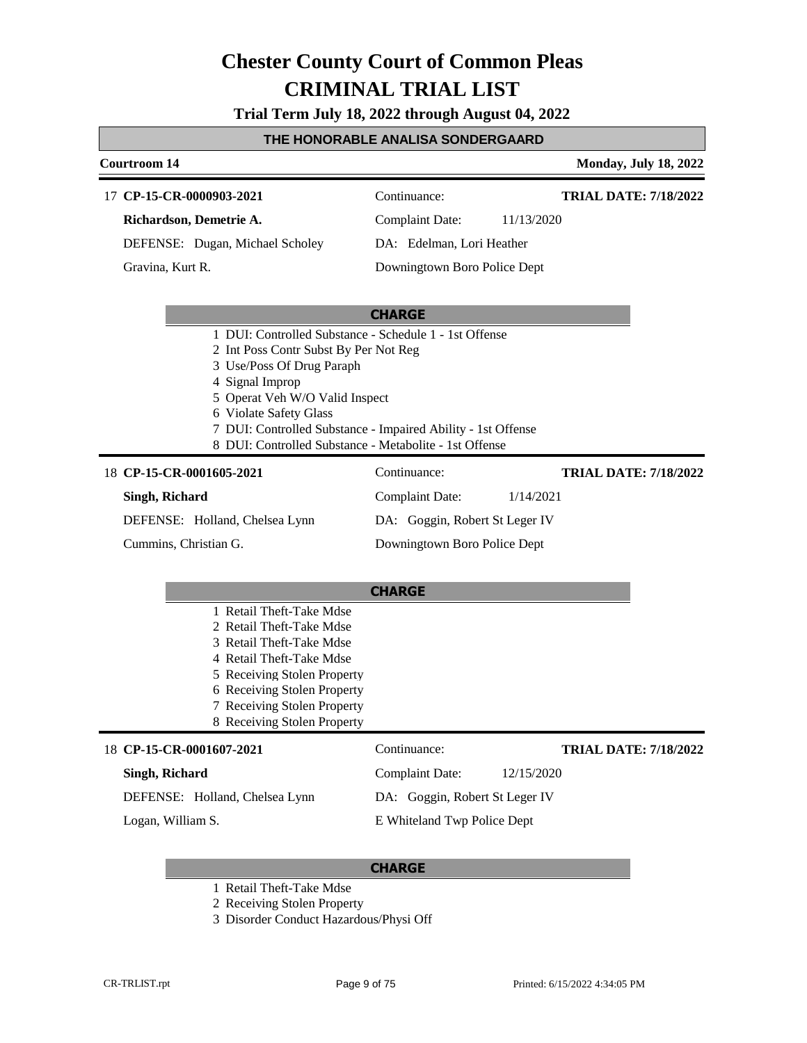**Trial Term July 18, 2022 through August 04, 2022**

#### **THE HONORABLE ANALISA SONDERGAARD**

#### **Courtroom 14 Monday, July 18, 2022**

**TRIAL DATE: 7/18/2022**

**TRIAL DATE: 7/18/2022**

| 17 CP-15-CR-0000903-2021        |  | Continuance:                 |            |
|---------------------------------|--|------------------------------|------------|
| Richardson, Demetrie A.         |  | Complaint Date:              | 11/13/2020 |
| DEFENSE: Dugan, Michael Scholey |  | DA: Edelman, Lori Heather    |            |
| Gravina, Kurt R.                |  | Downingtown Boro Police Dept |            |

#### **CHARGE**

- 1 DUI: Controlled Substance Schedule 1 1st Offense
- 2 Int Poss Contr Subst By Per Not Reg
- 3 Use/Poss Of Drug Paraph
- 4 Signal Improp
- 5 Operat Veh W/O Valid Inspect
- 6 Violate Safety Glass
- 7 DUI: Controlled Substance Impaired Ability 1st Offense
- 8 DUI: Controlled Substance Metabolite 1st Offense

### **CP-15-CR-0001605-2021** 18 Continuance:

### **Singh, Richard**

DEFENSE: Holland, Chelsea Lynn

Cummins, Christian G.

Complaint Date: 1/14/2021 DA: Goggin, Robert St Leger IV Downingtown Boro Police Dept

|                          | <b>CHARGE</b>               |                             |  |
|--------------------------|-----------------------------|-----------------------------|--|
|                          | 1 Retail Theft-Take Mdse    |                             |  |
|                          | 2 Retail Theft-Take Mdse    |                             |  |
|                          | 3 Retail Theft-Take Mdse    |                             |  |
|                          | 4 Retail Theft-Take Mdse    |                             |  |
|                          | 5 Receiving Stolen Property |                             |  |
|                          | 6 Receiving Stolen Property |                             |  |
|                          | 7 Receiving Stolen Property |                             |  |
|                          | 8 Receiving Stolen Property |                             |  |
| 18 CP-15-CR-0001607-2021 | Continuance:                | <b>TRIAL DATE: 7/18/202</b> |  |
| Singh, Richard           | Complaint Date:             | 12/15/2020                  |  |

**Singh, Richard**

DEFENSE: Holland, Chelsea Lynn

Logan, William S.

DA: Goggin, Robert St Leger IV

## E Whiteland Twp Police Dept

- 1 Retail Theft-Take Mdse
- 2 Receiving Stolen Property
- 3 Disorder Conduct Hazardous/Physi Off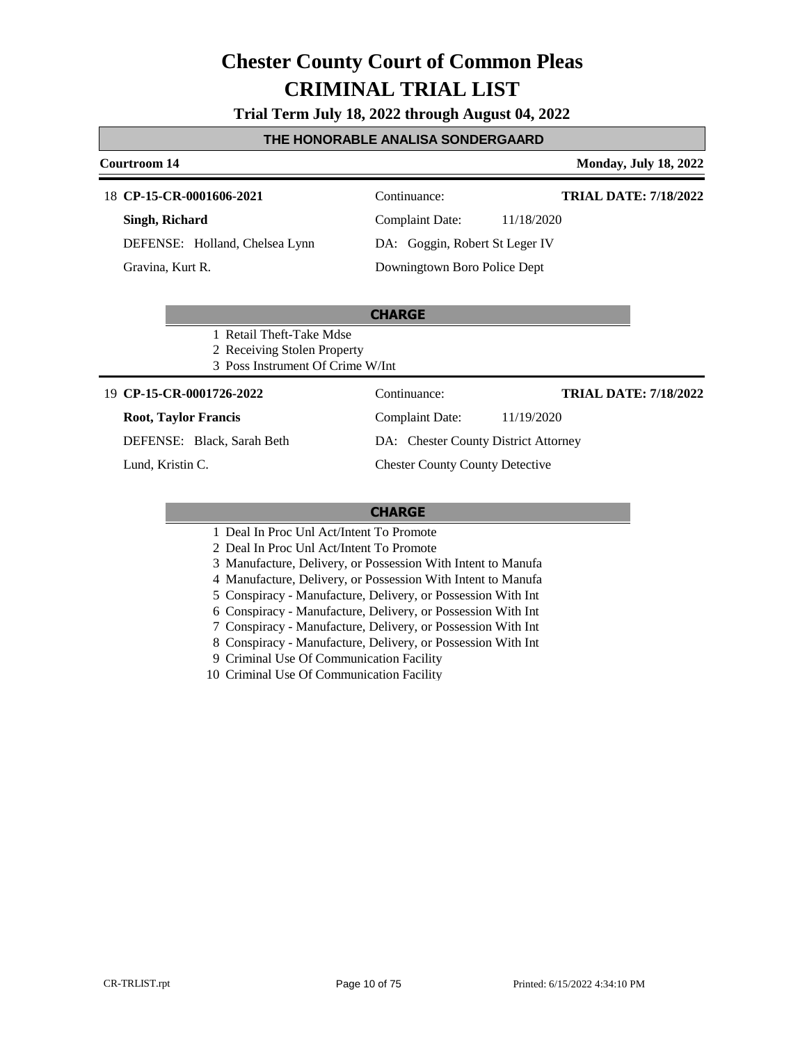**Trial Term July 18, 2022 through August 04, 2022**

### **THE HONORABLE ANALISA SONDERGAARD**

#### **Courtroom 14 Monday, July 18, 2022**

#### **CP-15-CR-0001606-2021** 18 Continuance:

**Singh, Richard** DEFENSE: Holland, Chelsea Lynn

Gravina, Kurt R.

**TRIAL DATE: 7/18/2022**

Complaint Date: 11/18/2020 DA: Goggin, Robert St Leger IV Downingtown Boro Police Dept

### **CHARGE**

- 1 Retail Theft-Take Mdse
- 2 Receiving Stolen Property
- 3 Poss Instrument Of Crime W/Int

#### **CP-15-CR-0001726-2022** 19 Continuance:

#### **Root, Taylor Francis**

DEFENSE: Black, Sarah Beth

Lund, Kristin C.

#### **TRIAL DATE: 7/18/2022**

Complaint Date: 11/19/2020

DA: Chester County District Attorney

#### Chester County County Detective

#### **CHARGE**

- 1 Deal In Proc Unl Act/Intent To Promote
- 2 Deal In Proc Unl Act/Intent To Promote
- 3 Manufacture, Delivery, or Possession With Intent to Manufa
- 4 Manufacture, Delivery, or Possession With Intent to Manufa
- 5 Conspiracy Manufacture, Delivery, or Possession With Int
- 6 Conspiracy Manufacture, Delivery, or Possession With Int
- 7 Conspiracy Manufacture, Delivery, or Possession With Int
- 8 Conspiracy Manufacture, Delivery, or Possession With Int
- 9 Criminal Use Of Communication Facility

10 Criminal Use Of Communication Facility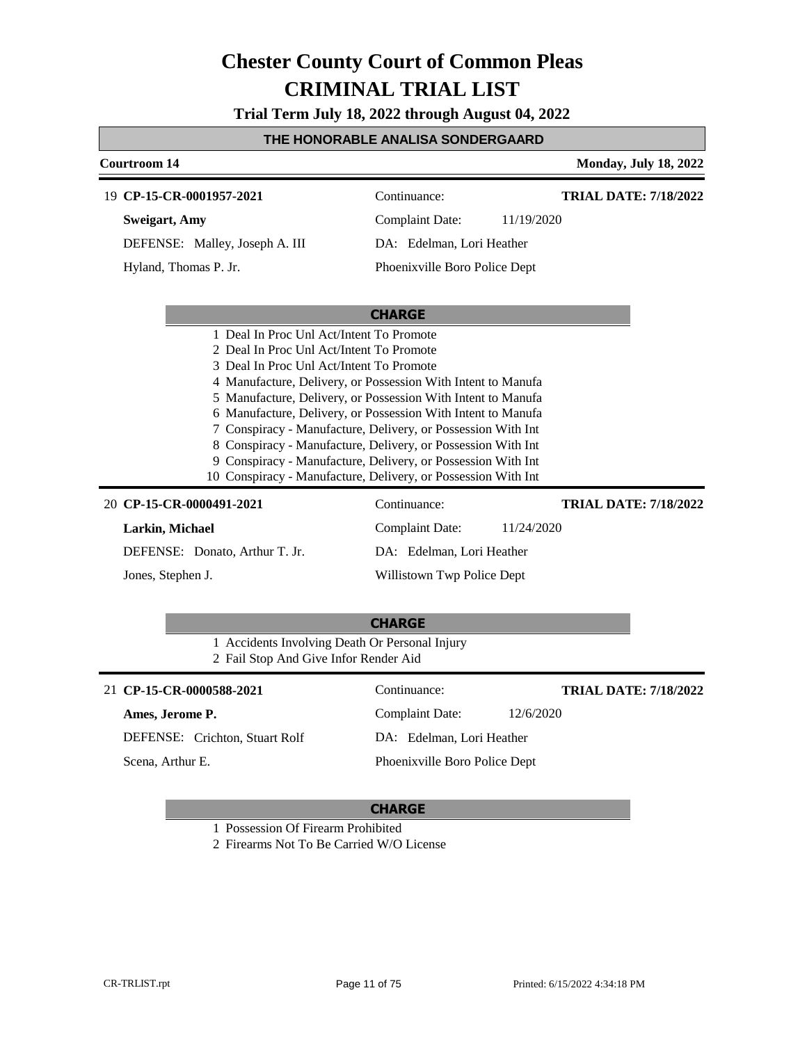**Trial Term July 18, 2022 through August 04, 2022**

## **THE HONORABLE ANALISA SONDERGAARD**

|                                                | UNUNADLL ANALIJA JUNULNUAF                                                                                                    |                              |
|------------------------------------------------|-------------------------------------------------------------------------------------------------------------------------------|------------------------------|
| <b>Courtroom 14</b>                            |                                                                                                                               | <b>Monday, July 18, 2022</b> |
| 19 CP-15-CR-0001957-2021                       | Continuance:                                                                                                                  | <b>TRIAL DATE: 7/18/2022</b> |
| <b>Sweigart</b> , Amy                          | <b>Complaint Date:</b><br>11/19/2020                                                                                          |                              |
| DEFENSE: Malley, Joseph A. III                 | DA: Edelman, Lori Heather                                                                                                     |                              |
| Hyland, Thomas P. Jr.                          | Phoenixville Boro Police Dept                                                                                                 |                              |
|                                                |                                                                                                                               |                              |
|                                                | <b>CHARGE</b>                                                                                                                 |                              |
| 1 Deal In Proc Unl Act/Intent To Promote       |                                                                                                                               |                              |
| 2 Deal In Proc Unl Act/Intent To Promote       |                                                                                                                               |                              |
| 3 Deal In Proc Unl Act/Intent To Promote       | 4 Manufacture, Delivery, or Possession With Intent to Manufa                                                                  |                              |
|                                                | 5 Manufacture, Delivery, or Possession With Intent to Manufa                                                                  |                              |
|                                                | 6 Manufacture, Delivery, or Possession With Intent to Manufa                                                                  |                              |
|                                                | 7 Conspiracy - Manufacture, Delivery, or Possession With Int                                                                  |                              |
|                                                | 8 Conspiracy - Manufacture, Delivery, or Possession With Int                                                                  |                              |
|                                                | 9 Conspiracy - Manufacture, Delivery, or Possession With Int<br>10 Conspiracy - Manufacture, Delivery, or Possession With Int |                              |
| 20 CP-15-CR-0000491-2021                       | Continuance:                                                                                                                  | <b>TRIAL DATE: 7/18/2022</b> |
| Larkin, Michael                                | <b>Complaint Date:</b><br>11/24/2020                                                                                          |                              |
| DEFENSE: Donato, Arthur T. Jr.                 | DA: Edelman, Lori Heather                                                                                                     |                              |
| Jones, Stephen J.                              | Willistown Twp Police Dept                                                                                                    |                              |
|                                                |                                                                                                                               |                              |
|                                                | <b>CHARGE</b>                                                                                                                 |                              |
| 1 Accidents Involving Death Or Personal Injury |                                                                                                                               |                              |
| 2 Fail Stop And Give Infor Render Aid          |                                                                                                                               |                              |
| 21 CP-15-CR-0000588-2021                       | Continuance:                                                                                                                  | <b>TRIAL DATE: 7/18/2022</b> |
| Ames, Jerome P.                                | 12/6/2020<br>Complaint Date:                                                                                                  |                              |
| DEFENSE: Crichton, Stuart Rolf                 | DA: Edelman, Lori Heather                                                                                                     |                              |

Scena, Arthur E.

### **CHARGE**

Phoenixville Boro Police Dept

1 Possession Of Firearm Prohibited

2 Firearms Not To Be Carried W/O License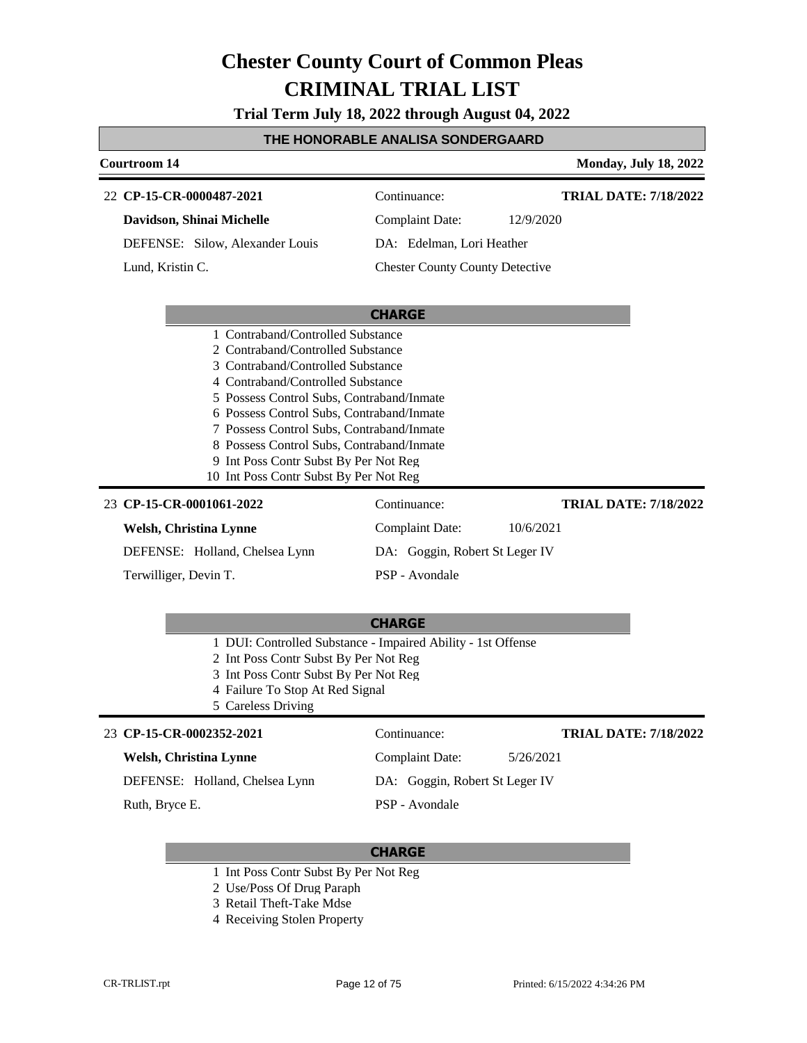**Trial Term July 18, 2022 through August 04, 2022**

## **THE HONORABLE ANALISA SONDERGAARD**

| <b>Courtroom 14</b>                                                                                                                                                                                                                                                                                                                                                                |                                        |           | <b>Monday, July 18, 2022</b> |
|------------------------------------------------------------------------------------------------------------------------------------------------------------------------------------------------------------------------------------------------------------------------------------------------------------------------------------------------------------------------------------|----------------------------------------|-----------|------------------------------|
| 22 CP-15-CR-0000487-2021                                                                                                                                                                                                                                                                                                                                                           | Continuance:                           |           | <b>TRIAL DATE: 7/18/2022</b> |
| Davidson, Shinai Michelle                                                                                                                                                                                                                                                                                                                                                          | <b>Complaint Date:</b>                 | 12/9/2020 |                              |
| DEFENSE: Silow, Alexander Louis                                                                                                                                                                                                                                                                                                                                                    | DA: Edelman, Lori Heather              |           |                              |
| Lund, Kristin C.                                                                                                                                                                                                                                                                                                                                                                   | <b>Chester County County Detective</b> |           |                              |
|                                                                                                                                                                                                                                                                                                                                                                                    | <b>CHARGE</b>                          |           |                              |
| 2 Contraband/Controlled Substance<br>3 Contraband/Controlled Substance<br>4 Contraband/Controlled Substance<br>5 Possess Control Subs, Contraband/Inmate<br>6 Possess Control Subs, Contraband/Inmate<br>7 Possess Control Subs, Contraband/Inmate<br>8 Possess Control Subs, Contraband/Inmate<br>9 Int Poss Contr Subst By Per Not Reg<br>10 Int Poss Contr Subst By Per Not Reg |                                        |           |                              |
| 23 CP-15-CR-0001061-2022                                                                                                                                                                                                                                                                                                                                                           | Continuance:                           |           | <b>TRIAL DATE: 7/18/2022</b> |
| <b>Welsh, Christina Lynne</b>                                                                                                                                                                                                                                                                                                                                                      | Complaint Date:                        | 10/6/2021 |                              |
| DEFENSE: Holland, Chelsea Lynn                                                                                                                                                                                                                                                                                                                                                     | DA: Goggin, Robert St Leger IV         |           |                              |
| Terwilliger, Devin T.                                                                                                                                                                                                                                                                                                                                                              | PSP - Avondale                         |           |                              |
|                                                                                                                                                                                                                                                                                                                                                                                    | <b>CHARGE</b>                          |           |                              |
| 1 DUI: Controlled Substance - Impaired Ability - 1st Offense<br>2 Int Poss Contr Subst By Per Not Reg<br>3 Int Poss Contr Subst By Per Not Reg                                                                                                                                                                                                                                     |                                        |           |                              |

- 4 Failure To Stop At Red Signal
- 5 Careless Driving

| 23 CP-15-CR-0002352-2021       | Continuance:                   | <b>TRIAL DATE: 7/18/2022</b> |
|--------------------------------|--------------------------------|------------------------------|
| Welsh, Christina Lynne         | Complaint Date:                | 5/26/2021                    |
| DEFENSE: Holland, Chelsea Lynn | DA: Goggin, Robert St Leger IV |                              |
| Ruth, Bryce E.                 | PSP - Avondale                 |                              |

- 1 Int Poss Contr Subst By Per Not Reg
- 2 Use/Poss Of Drug Paraph
- 3 Retail Theft-Take Mdse
- 4 Receiving Stolen Property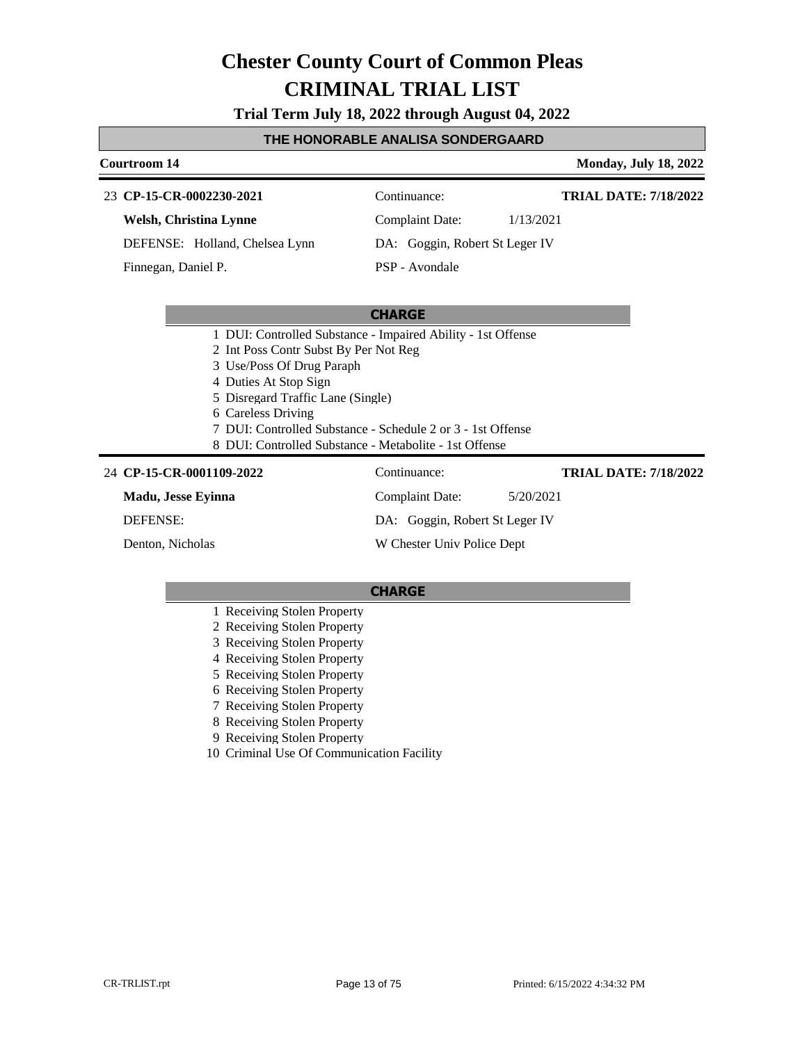**Trial Term July 18, 2022 through August 04, 2022**

#### **THE HONORABLE ANALISA SONDERGAARD**

#### **Courtroom 14 Monday, July 18, 2022**

**TRIAL DATE: 7/18/2022**

**TRIAL DATE: 7/18/2022**

| 23 CP-15-CR-0002230-2021 | Continuance: |
|--------------------------|--------------|
| Welsh, Christina Lynne   | Complaint D. |

DEFENSE: Holland, Chelsea Lynn

Finnegan, Daniel P.

Complaint Date: 1/13/2021 DA: Goggin, Robert St Leger IV

## PSP - Avondale

### **CHARGE**

- 1 DUI: Controlled Substance Impaired Ability 1st Offense
- 2 Int Poss Contr Subst By Per Not Reg
- 3 Use/Poss Of Drug Paraph
- 4 Duties At Stop Sign
- 5 Disregard Traffic Lane (Single)
- 6 Careless Driving
- 7 DUI: Controlled Substance Schedule 2 or 3 1st Offense
- 8 DUI: Controlled Substance Metabolite 1st Offense

#### **CP-15-CR-0001109-2022** 24 Continuance:

**Madu, Jesse Eyinna**

DEFENSE:

Denton, Nicholas

Complaint Date: 5/20/2021 DA: Goggin, Robert St Leger IV W Chester Univ Police Dept

- 1 Receiving Stolen Property
- 2 Receiving Stolen Property
- 3 Receiving Stolen Property
- 4 Receiving Stolen Property
- 5 Receiving Stolen Property
- 6 Receiving Stolen Property
- 7 Receiving Stolen Property
- 8 Receiving Stolen Property
- 9 Receiving Stolen Property
- 10 Criminal Use Of Communication Facility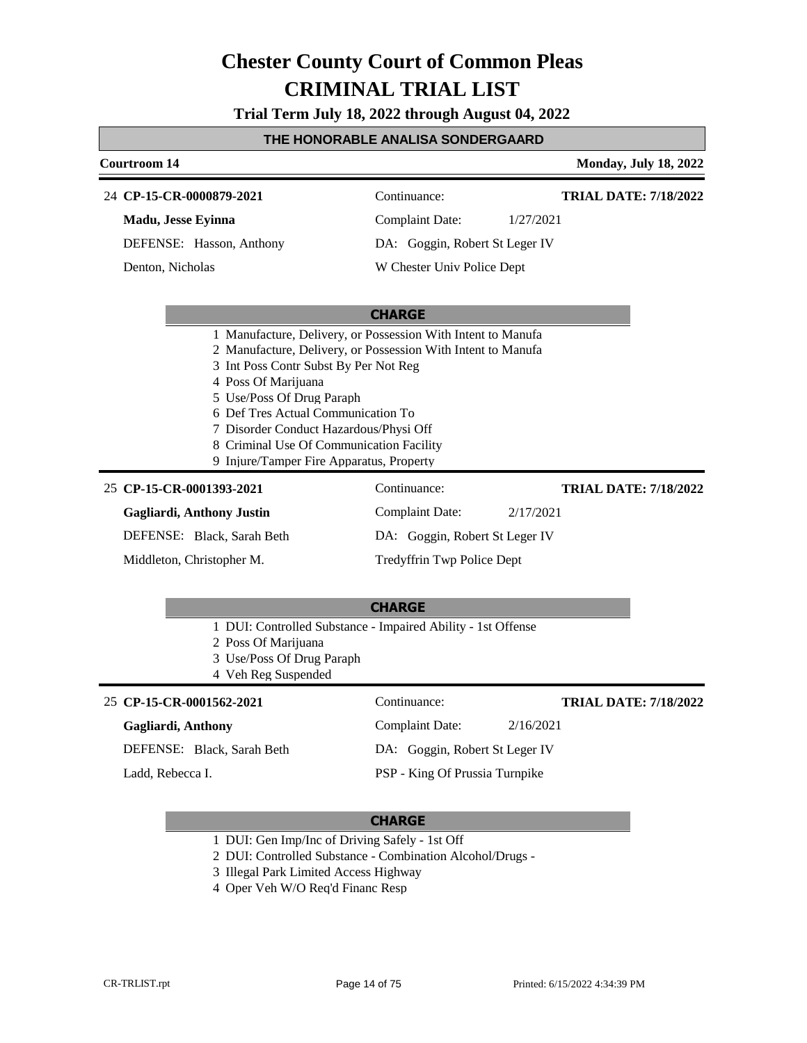**Trial Term July 18, 2022 through August 04, 2022**

#### **THE HONORABLE ANALISA SONDERGAARD**

## **Courtroom 14 Monday, July 18, 2022 CHARGE CP-15-CR-0000879-2021** 24 Continuance: **Madu, Jesse Eyinna** DEFENSE: Hasson, Anthony Complaint Date: 1/27/2021 DA: Goggin, Robert St Leger IV W Chester Univ Police Dept **TRIAL DATE: 7/18/2022** Denton, Nicholas 1 Manufacture, Delivery, or Possession With Intent to Manufa 2 Manufacture, Delivery, or Possession With Intent to Manufa 3 Int Poss Contr Subst By Per Not Reg 4 Poss Of Marijuana 5 Use/Poss Of Drug Paraph 6 Def Tres Actual Communication To 7 Disorder Conduct Hazardous/Physi Off 8 Criminal Use Of Communication Facility 9 Injure/Tamper Fire Apparatus, Property **CHARGE CP-15-CR-0001393-2021** 25 Continuance: **Gagliardi, Anthony Justin** DEFENSE: Black, Sarah Beth Complaint Date: 2/17/2021 DA: Goggin, Robert St Leger IV Tredyffrin Twp Police Dept **TRIAL DATE: 7/18/2022** Middleton, Christopher M.

- 1 DUI: Controlled Substance Impaired Ability 1st Offense
- 2 Poss Of Marijuana
- 3 Use/Poss Of Drug Paraph
- 4 Veh Reg Suspended

### **CP-15-CR-0001562-2021** 25 Continuance:

#### **Gagliardi, Anthony**

DEFENSE: Black, Sarah Beth

Ladd, Rebecca I.

**TRIAL DATE: 7/18/2022**

DA: Goggin, Robert St Leger IV

Complaint Date: 2/16/2021

PSP - King Of Prussia Turnpike

- 1 DUI: Gen Imp/Inc of Driving Safely 1st Off
- 2 DUI: Controlled Substance Combination Alcohol/Drugs -
- 3 Illegal Park Limited Access Highway
- 4 Oper Veh W/O Req'd Financ Resp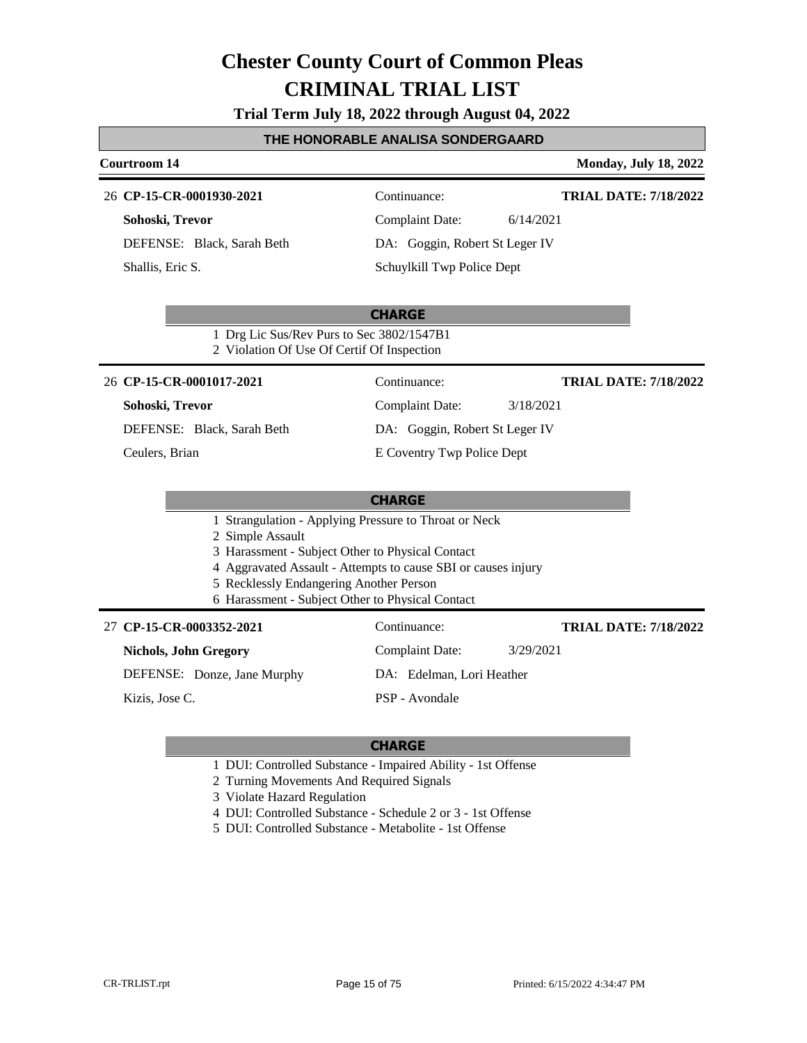**Trial Term July 18, 2022 through August 04, 2022**

### **THE HONORABLE ANALISA SONDERGAARD**

#### **Courtroom 14 Monday, July 18, 2022**

#### **CP-15-CR-0001930-2021** 26 Continuance:

**Sohoski, Trevor**

DEFENSE: Black, Sarah Beth Shallis, Eric S.

**TRIAL DATE: 7/18/2022**

Complaint Date: 6/14/2021 DA: Goggin, Robert St Leger IV Schuylkill Twp Police Dept

**CHARGE** 1 Drg Lic Sus/Rev Purs to Sec 3802/1547B1 2 Violation Of Use Of Certif Of Inspection

#### **CP-15-CR-0001017-2021** 26 Continuance:

#### **Sohoski, Trevor**

DEFENSE: Black, Sarah Beth

Ceulers, Brian

Complaint Date: 3/18/2021

**TRIAL DATE: 7/18/2022**

**TRIAL DATE: 7/18/2022**

- DA: Goggin, Robert St Leger IV
- E Coventry Twp Police Dept

#### **CHARGE**

- 1 Strangulation Applying Pressure to Throat or Neck
- 2 Simple Assault
- 3 Harassment Subject Other to Physical Contact
- 4 Aggravated Assault Attempts to cause SBI or causes injury
- 5 Recklessly Endangering Another Person
- 6 Harassment Subject Other to Physical Contact

#### **CP-15-CR-0003352-2021** 27 Continuance:

## **Nichols, John Gregory**

DEFENSE: Donze, Jane Murphy

Kizis, Jose C.

DA: Edelman, Lori Heather

Complaint Date: 3/29/2021

PSP - Avondale

- 1 DUI: Controlled Substance Impaired Ability 1st Offense
- 2 Turning Movements And Required Signals
- 3 Violate Hazard Regulation
- 4 DUI: Controlled Substance Schedule 2 or 3 1st Offense
- 5 DUI: Controlled Substance Metabolite 1st Offense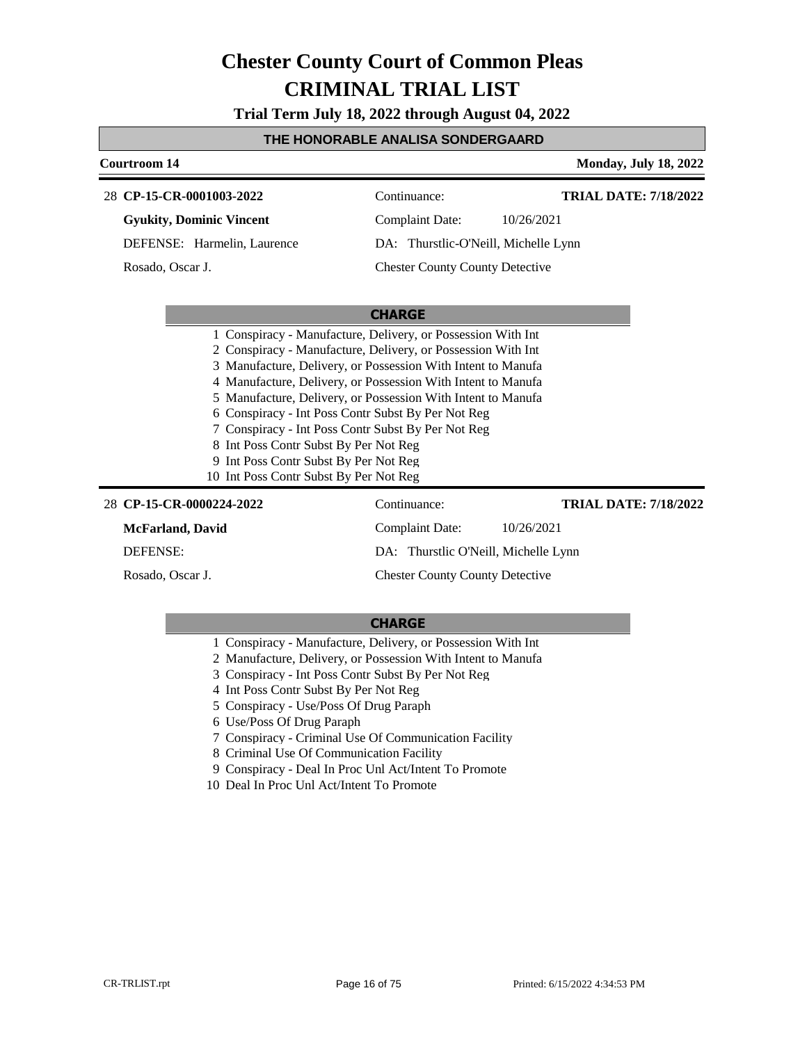**Trial Term July 18, 2022 through August 04, 2022**

**THE HONORABLE ANALISA SONDERGAARD** 

## **Courtroom 14 Monday, July 18, 2022 CHARGE CP-15-CR-0001003-2022** 28 Continuance: **Gyukity, Dominic Vincent** DEFENSE: Harmelin, Laurence Complaint Date: 10/26/2021 DA: Thurstlic-O'Neill, Michelle Lynn Chester County County Detective **TRIAL DATE: 7/18/2022** Rosado, Oscar J. 1 Conspiracy - Manufacture, Delivery, or Possession With Int 2 Conspiracy - Manufacture, Delivery, or Possession With Int 3 Manufacture, Delivery, or Possession With Intent to Manufa 4 Manufacture, Delivery, or Possession With Intent to Manufa 5 Manufacture, Delivery, or Possession With Intent to Manufa 6 Conspiracy - Int Poss Contr Subst By Per Not Reg 7 Conspiracy - Int Poss Contr Subst By Per Not Reg 8 Int Poss Contr Subst By Per Not Reg 9 Int Poss Contr Subst By Per Not Reg 10 Int Poss Contr Subst By Per Not Reg **CP-15-CR-0000224-2022** 28 Continuance: **TRIAL DATE: 7/18/2022**

| 28 CP-15-CR-0000224-2022 | Continuance:                           | "TRIAL DATE: //18/202 |
|--------------------------|----------------------------------------|-----------------------|
| McFarland, David         | Complaint Date:                        | 10/26/2021            |
| DEFENSE:                 | DA: Thurstlic O'Neill, Michelle Lynn   |                       |
| Rosado, Oscar J.         | <b>Chester County County Detective</b> |                       |

- 1 Conspiracy Manufacture, Delivery, or Possession With Int
- 2 Manufacture, Delivery, or Possession With Intent to Manufa
- 3 Conspiracy Int Poss Contr Subst By Per Not Reg
- 4 Int Poss Contr Subst By Per Not Reg
- 5 Conspiracy Use/Poss Of Drug Paraph
- 6 Use/Poss Of Drug Paraph
- 7 Conspiracy Criminal Use Of Communication Facility
- 8 Criminal Use Of Communication Facility
- 9 Conspiracy Deal In Proc Unl Act/Intent To Promote
- 10 Deal In Proc Unl Act/Intent To Promote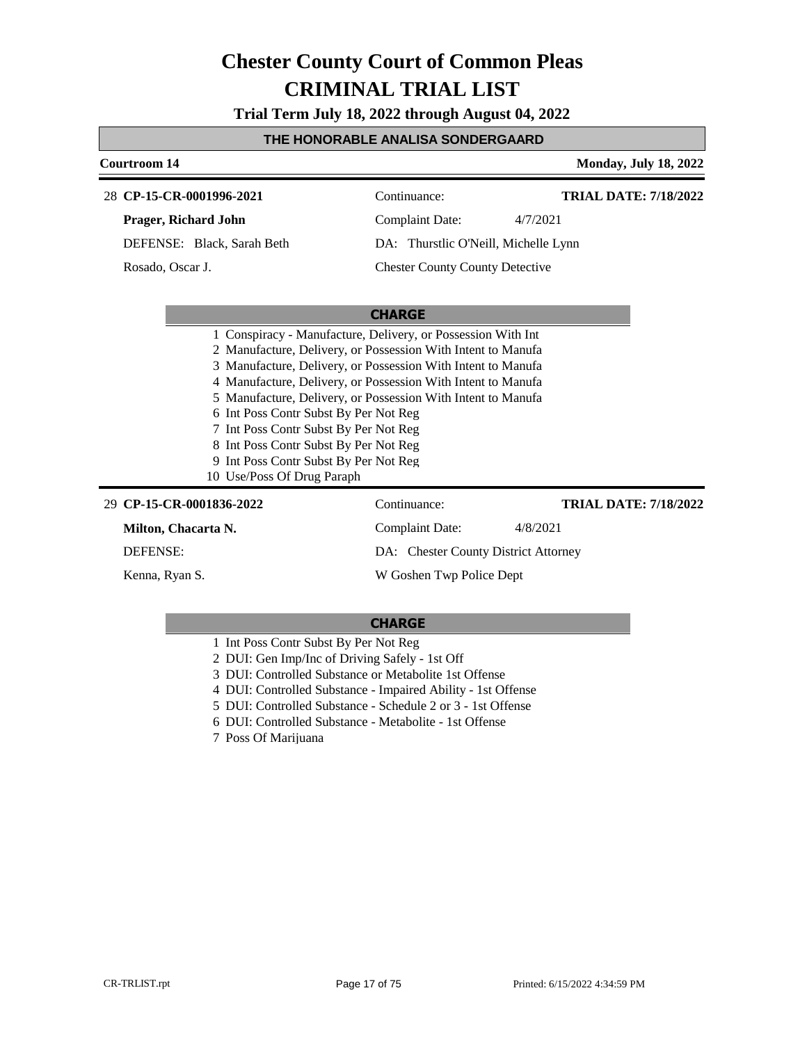**Trial Term July 18, 2022 through August 04, 2022**

#### **THE HONORABLE ANALISA SONDERGAARD**

### **Courtroom 14 Monday, July 18, 2022 CHARGE CP-15-CR-0001996-2021** 28 Continuance: **Prager, Richard John** DEFENSE: Black, Sarah Beth Complaint Date: 4/7/2021 DA: Thurstlic O'Neill, Michelle Lynn Chester County County Detective **TRIAL DATE: 7/18/2022** Rosado, Oscar J. 1 Conspiracy - Manufacture, Delivery, or Possession With Int 2 Manufacture, Delivery, or Possession With Intent to Manufa 3 Manufacture, Delivery, or Possession With Intent to Manufa 4 Manufacture, Delivery, or Possession With Intent to Manufa 5 Manufacture, Delivery, or Possession With Intent to Manufa 6 Int Poss Contr Subst By Per Not Reg 7 Int Poss Contr Subst By Per Not Reg 8 Int Poss Contr Subst By Per Not Reg 9 Int Poss Contr Subst By Per Not Reg 10 Use/Poss Of Drug Paraph **CP-15-CR-0001836-2022** 29 Continuance: **Milton, Chacarta N.** DEFENSE: Complaint Date: 4/8/2021 DA: Chester County District Attorney **TRIAL DATE: 7/18/2022**

Kenna, Ryan S.

#### **CHARGE**

W Goshen Twp Police Dept

- 1 Int Poss Contr Subst By Per Not Reg
- 2 DUI: Gen Imp/Inc of Driving Safely 1st Off
- 3 DUI: Controlled Substance or Metabolite 1st Offense
- 4 DUI: Controlled Substance Impaired Ability 1st Offense
- 5 DUI: Controlled Substance Schedule 2 or 3 1st Offense
- 6 DUI: Controlled Substance Metabolite 1st Offense
- 7 Poss Of Marijuana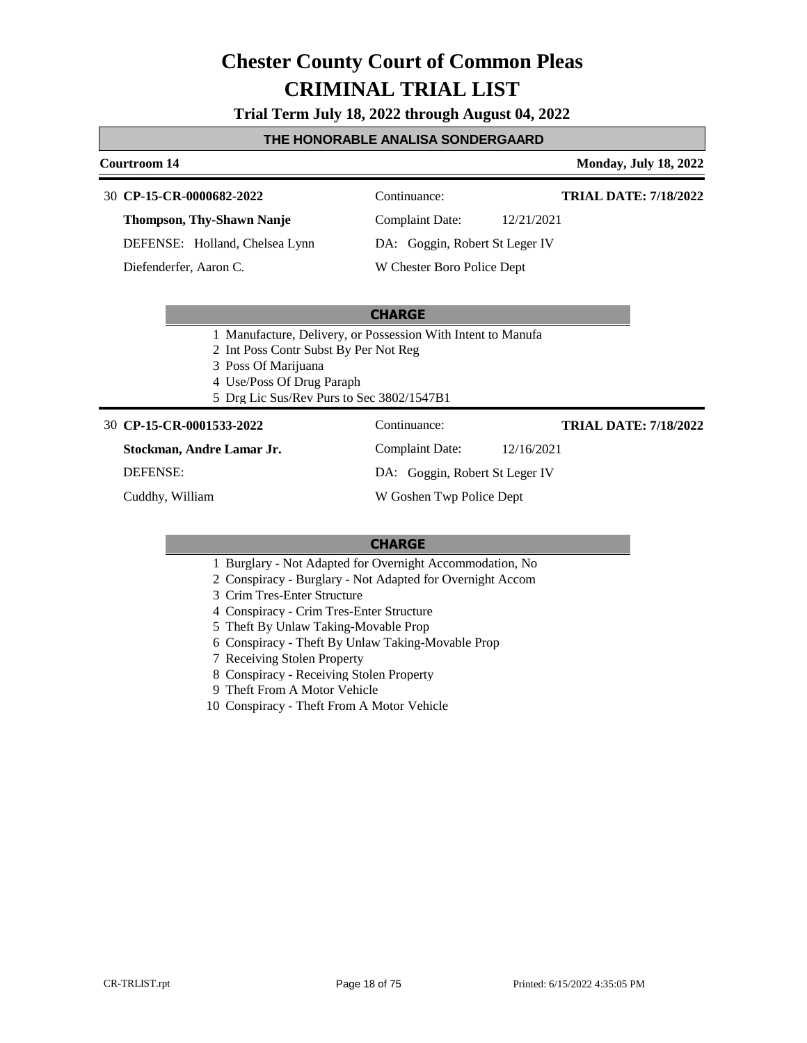**Trial Term July 18, 2022 through August 04, 2022**

#### **THE HONORABLE ANALISA SONDERGAARD**

#### **Courtroom 14 Monday, July 18, 2022**

**TRIAL DATE: 7/18/2022**

**CP-15-CR-0000682-2022** 30 Continuance:

**Thompson, Thy-Shawn Nanje**

DEFENSE: Holland, Chelsea Lynn

Diefenderfer, Aaron C.

Complaint Date: 12/21/2021

DA: Goggin, Robert St Leger IV

W Chester Boro Police Dept

#### **CHARGE**

1 Manufacture, Delivery, or Possession With Intent to Manufa

2 Int Poss Contr Subst By Per Not Reg

- 3 Poss Of Marijuana
- 4 Use/Poss Of Drug Paraph
- 5 Drg Lic Sus/Rev Purs to Sec 3802/1547B1

#### **CP-15-CR-0001533-2022** 30 Continuance:

**TRIAL DATE: 7/18/2022**

**Stockman, Andre Lamar Jr.** DEFENSE:

Cuddhy, William

DA: Goggin, Robert St Leger IV

Complaint Date: 12/16/2021

W Goshen Twp Police Dept

- 1 Burglary Not Adapted for Overnight Accommodation, No
- 2 Conspiracy Burglary Not Adapted for Overnight Accom
- 3 Crim Tres-Enter Structure
- 4 Conspiracy Crim Tres-Enter Structure
- 5 Theft By Unlaw Taking-Movable Prop
- 6 Conspiracy Theft By Unlaw Taking-Movable Prop
- 7 Receiving Stolen Property
- 8 Conspiracy Receiving Stolen Property
- 9 Theft From A Motor Vehicle
- 10 Conspiracy Theft From A Motor Vehicle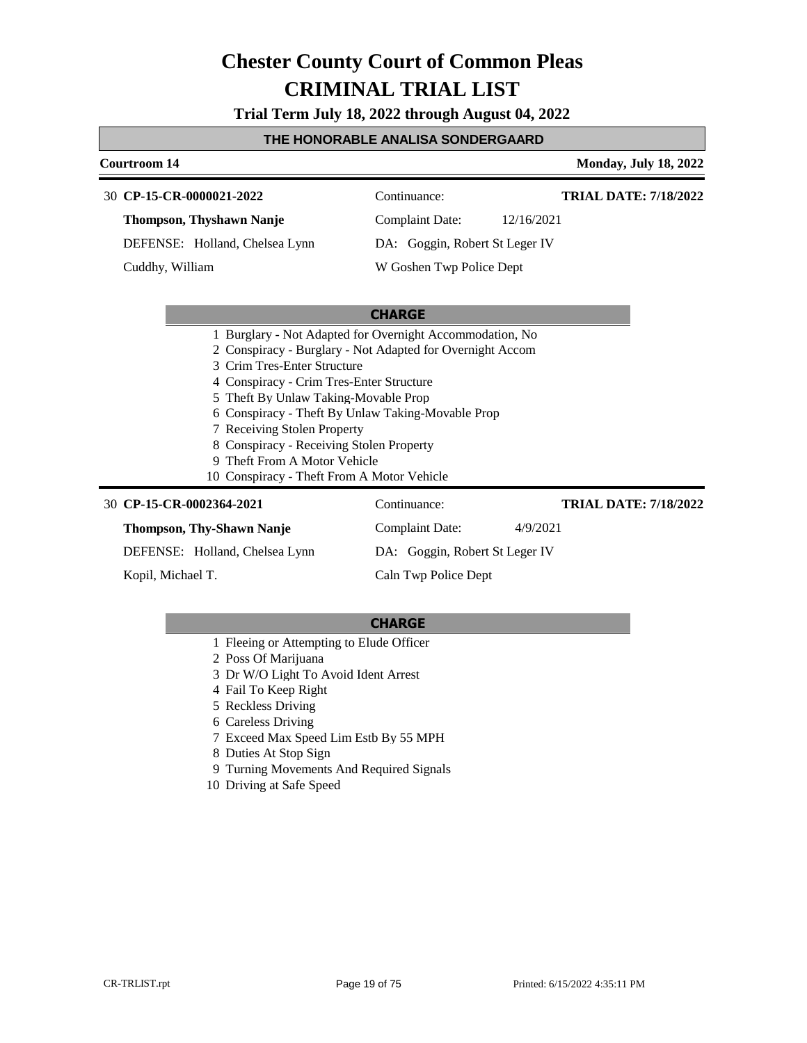**Trial Term July 18, 2022 through August 04, 2022**

#### **THE HONORABLE ANALISA SONDERGAARD**

#### **Courtroom 14 Monday, July 18, 2022**

## **CP-15-CR-0000021-2022** 30 Continuance:

**TRIAL DATE: 7/18/2022**

**Thompson, Thyshawn Nanje** DEFENSE: Holland, Chelsea Lynn Complaint Date: 12/16/2021

Cuddhy, William

DA: Goggin, Robert St Leger IV

W Goshen Twp Police Dept

### **CHARGE**

- 1 Burglary Not Adapted for Overnight Accommodation, No
- 2 Conspiracy Burglary Not Adapted for Overnight Accom
- 3 Crim Tres-Enter Structure
- 4 Conspiracy Crim Tres-Enter Structure
- 5 Theft By Unlaw Taking-Movable Prop
- 6 Conspiracy Theft By Unlaw Taking-Movable Prop
- 7 Receiving Stolen Property
- 8 Conspiracy Receiving Stolen Property
- 9 Theft From A Motor Vehicle
- 10 Conspiracy Theft From A Motor Vehicle

| 30 CP-15-CR-0002364-2021         | Continuance:                   | <b>TRIAL DATE: 7/18/2022</b> |
|----------------------------------|--------------------------------|------------------------------|
| <b>Thompson, Thy-Shawn Nanje</b> | Complaint Date:                | 4/9/2021                     |
| DEFENSE: Holland, Chelsea Lynn   | DA: Goggin, Robert St Leger IV |                              |
| Kopil, Michael T.                | Caln Twp Police Dept           |                              |

- 1 Fleeing or Attempting to Elude Officer
- 2 Poss Of Marijuana
- 3 Dr W/O Light To Avoid Ident Arrest
- 4 Fail To Keep Right
- 5 Reckless Driving
- 6 Careless Driving
- 7 Exceed Max Speed Lim Estb By 55 MPH
- 8 Duties At Stop Sign
- 9 Turning Movements And Required Signals
- 10 Driving at Safe Speed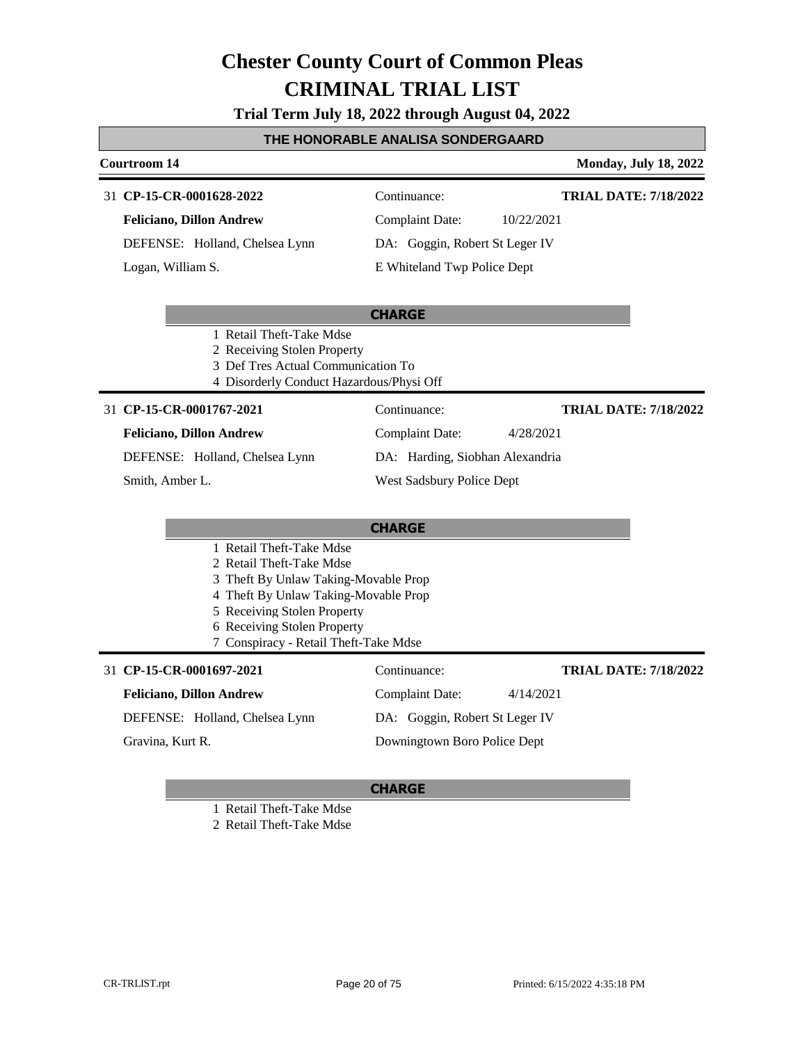**Trial Term July 18, 2022 through August 04, 2022**

#### **THE HONORABLE ANALISA SONDERGAARD**

## **Courtroom 14 Monday, July 18, 2022**

#### **CP-15-CR-0001628-2022** 31 Continuance:

**Feliciano, Dillon Andrew**

DEFENSE: Holland, Chelsea Lynn

Logan, William S.

**TRIAL DATE: 7/18/2022**

**TRIAL DATE: 7/18/2022**

**TRIAL DATE: 7/18/2022**

Complaint Date: 10/22/2021 DA: Goggin, Robert St Leger IV

Complaint Date: 4/28/2021 DA: Harding, Siobhan Alexandria

Complaint Date: 4/14/2021 DA: Goggin, Robert St Leger IV Downingtown Boro Police Dept

West Sadsbury Police Dept

## E Whiteland Twp Police Dept

#### **CHARGE**

- 1 Retail Theft-Take Mdse
- 2 Receiving Stolen Property
- 3 Def Tres Actual Communication To
- 4 Disorderly Conduct Hazardous/Physi Off

### **CP-15-CR-0001767-2021** 31 Continuance:

### **Feliciano, Dillon Andrew**

DEFENSE: Holland, Chelsea Lynn

#### Smith, Amber L.

## **CHARGE**

- 1 Retail Theft-Take Mdse
- 2 Retail Theft-Take Mdse
- 3 Theft By Unlaw Taking-Movable Prop
- 4 Theft By Unlaw Taking-Movable Prop
- 5 Receiving Stolen Property
- 6 Receiving Stolen Property
- 7 Conspiracy Retail Theft-Take Mdse

### **CP-15-CR-0001697-2021** 31 Continuance:

## **Feliciano, Dillon Andrew** DEFENSE: Holland, Chelsea Lynn

Gravina, Kurt R.

### **CHARGE**

1 Retail Theft-Take Mdse

2 Retail Theft-Take Mdse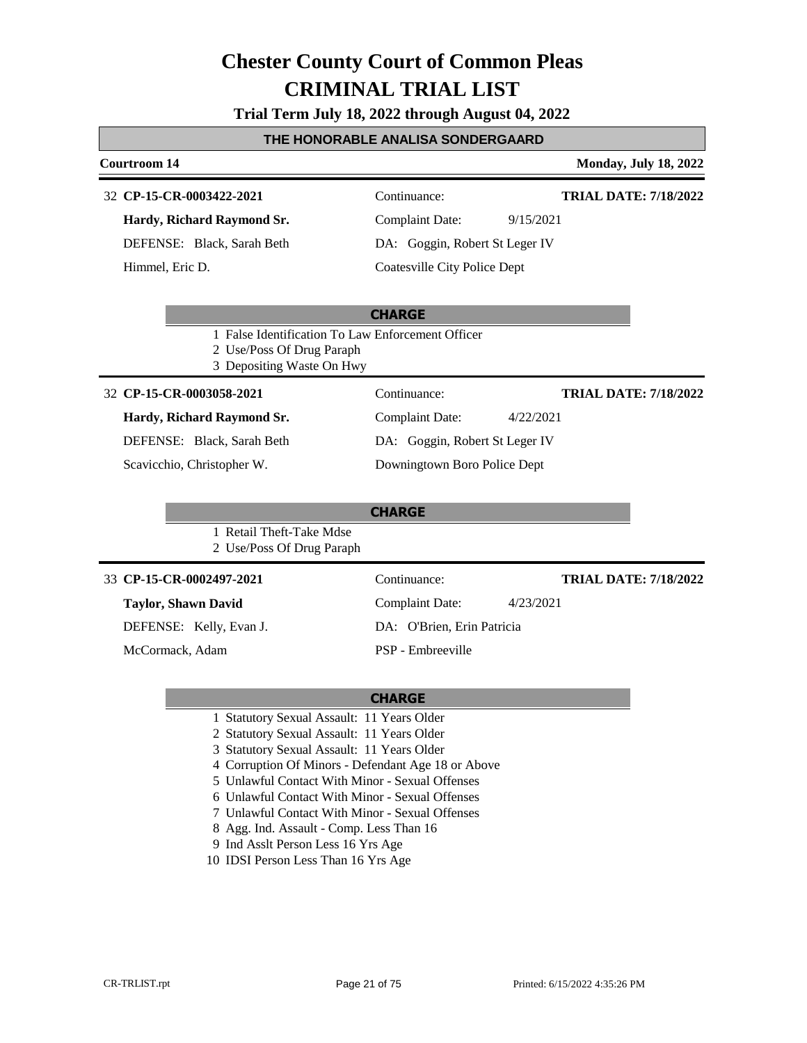**Trial Term July 18, 2022 through August 04, 2022**

#### **THE HONORABLE ANALISA SONDERGAARD**

#### **Courtroom 14 Monday, July 18, 2022**

### **CP-15-CR-0003422-2021** 32 Continuance:

**Hardy, Richard Raymond Sr.** DEFENSE: Black, Sarah Beth

Himmel, Eric D.

**TRIAL DATE: 7/18/2022**

Complaint Date: 9/15/2021 DA: Goggin, Robert St Leger IV

Coatesville City Police Dept

### **CHARGE**

- 1 False Identification To Law Enforcement Officer
- 2 Use/Poss Of Drug Paraph
- 3 Depositing Waste On Hwy

#### **CP-15-CR-0003058-2021** 32 Continuance:

### **Hardy, Richard Raymond Sr.**

DEFENSE: Black, Sarah Beth

Scavicchio, Christopher W.

#### 1 Retail Theft-Take Mdse 2 Use/Poss Of Drug Paraph

### **CP-15-CR-0002497-2021** 33 Continuance:

## **Taylor, Shawn David**

DEFENSE: Kelly, Evan J.

McCormack, Adam

### **TRIAL DATE: 7/18/2022**

DA: O'Brien, Erin Patricia

Complaint Date: 4/23/2021

PSP - Embreeville

### **CHARGE**

- 1 Statutory Sexual Assault: 11 Years Older
- 2 Statutory Sexual Assault: 11 Years Older
- 3 Statutory Sexual Assault: 11 Years Older
- 4 Corruption Of Minors Defendant Age 18 or Above
- 5 Unlawful Contact With Minor Sexual Offenses
- 6 Unlawful Contact With Minor Sexual Offenses
- 7 Unlawful Contact With Minor Sexual Offenses
- 8 Agg. Ind. Assault Comp. Less Than 16
- 9 Ind Asslt Person Less 16 Yrs Age
- 10 IDSI Person Less Than 16 Yrs Age

Complaint Date: 4/22/2021 DA: Goggin, Robert St Leger IV Downingtown Boro Police Dept **TRIAL DATE: 7/18/2022**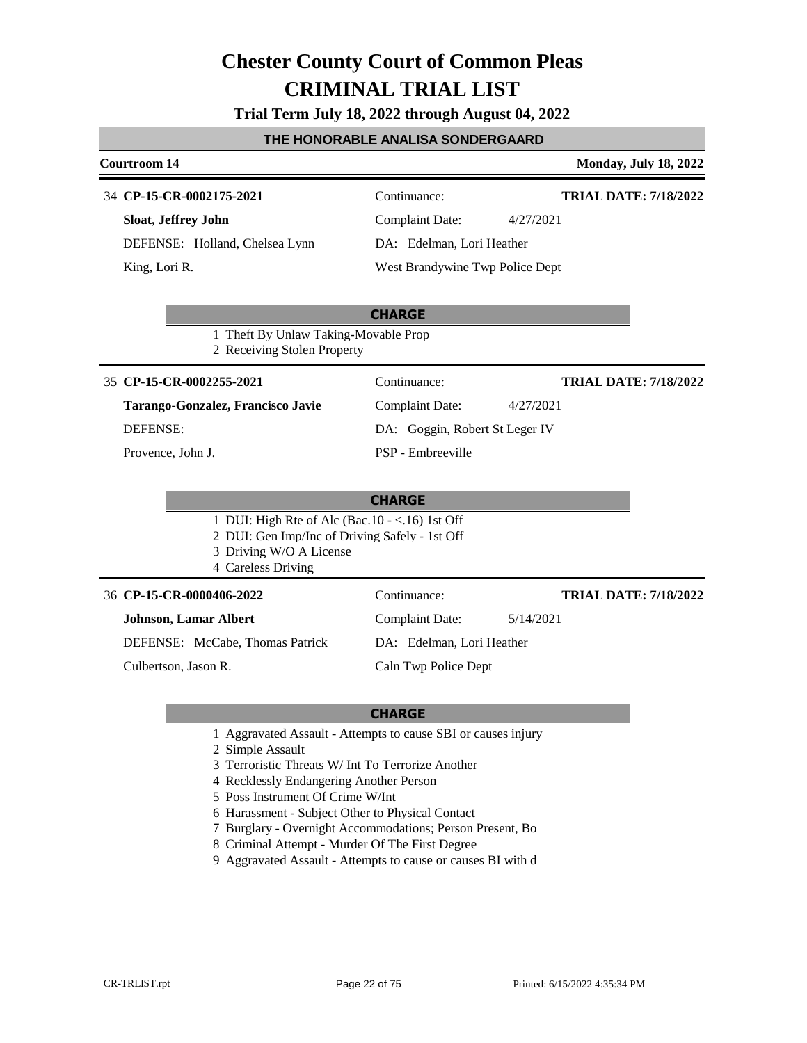**Trial Term July 18, 2022 through August 04, 2022**

### **THE HONORABLE ANALISA SONDERGAARD**

#### **Courtroom 14 Monday, July 18, 2022**

#### **CP-15-CR-0002175-2021** 34 Continuance:

**Sloat, Jeffrey John** DEFENSE: Holland, Chelsea Lynn King, Lori R.

**TRIAL DATE: 7/18/2022**

**TRIAL DATE: 7/18/2022**

**TRIAL DATE: 7/18/2022**

Complaint Date: 4/27/2021 DA: Edelman, Lori Heather

West Brandywine Twp Police Dept

Complaint Date: 4/27/2021 DA: Goggin, Robert St Leger IV

### **CHARGE**

1 Theft By Unlaw Taking-Movable Prop 2 Receiving Stolen Property

#### **CP-15-CR-0002255-2021** 35 Continuance:

**Tarango-Gonzalez, Francisco Javie** DEFENSE:

Provence, John J.

### **CHARGE**

PSP - Embreeville

- 1 DUI: High Rte of Alc (Bac.10 <.16) 1st Off
- 2 DUI: Gen Imp/Inc of Driving Safely 1st Off
- 3 Driving W/O A License
- 4 Careless Driving

#### **CP-15-CR-0000406-2022** 36 Continuance:

**Johnson, Lamar Albert**

DEFENSE: McCabe, Thomas Patrick

Culbertson, Jason R.

DA: Edelman, Lori Heather

Complaint Date: 5/14/2021

Caln Twp Police Dept

- 1 Aggravated Assault Attempts to cause SBI or causes injury
- 2 Simple Assault
- 3 Terroristic Threats W/ Int To Terrorize Another
- 4 Recklessly Endangering Another Person
- 5 Poss Instrument Of Crime W/Int
- 6 Harassment Subject Other to Physical Contact
- 7 Burglary Overnight Accommodations; Person Present, Bo
- 8 Criminal Attempt Murder Of The First Degree
- 9 Aggravated Assault Attempts to cause or causes BI with d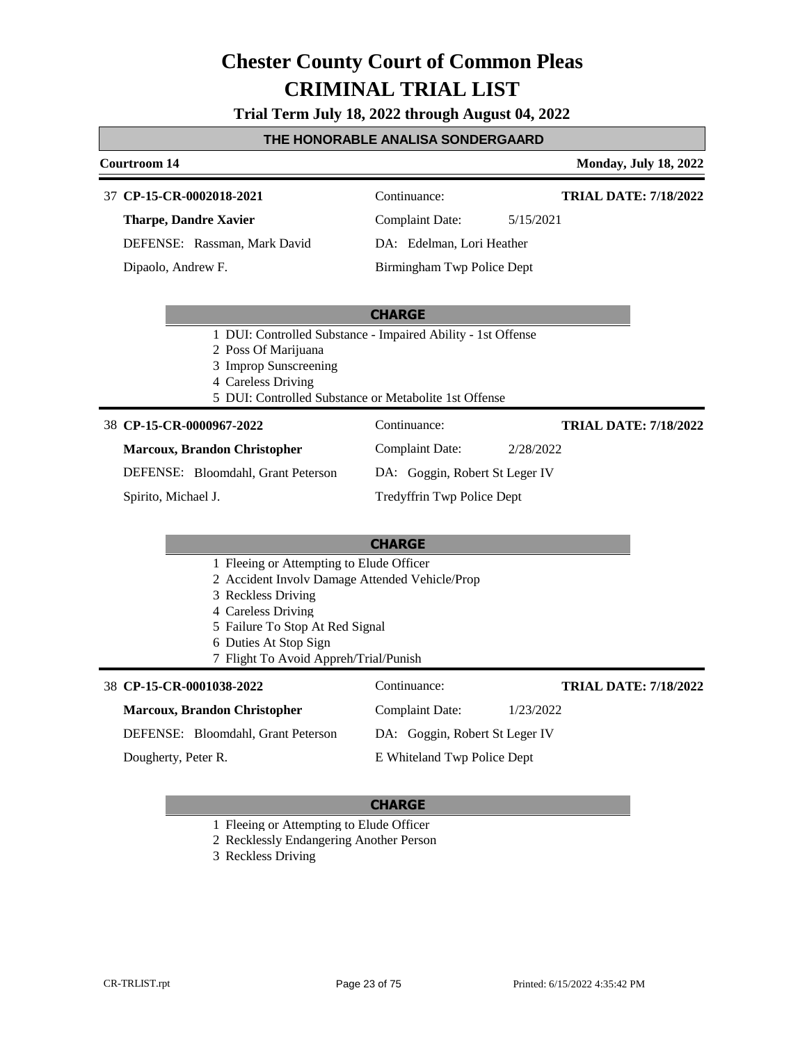**Trial Term July 18, 2022 through August 04, 2022**

#### **THE HONORABLE ANALISA SONDERGAARD**

#### **Courtroom 14 Monday, July 18, 2022**

#### **CP-15-CR-0002018-2021** 37 Continuance:

**Tharpe, Dandre Xavier**

DEFENSE: Rassman, Mark David

Dipaolo, Andrew F.

Complaint Date: 5/15/2021

DA: Edelman, Lori Heather Birmingham Twp Police Dept

Complaint Date: 2/28/2022 DA: Goggin, Robert St Leger IV

Tredyffrin Twp Police Dept

#### **CHARGE**

- 1 DUI: Controlled Substance Impaired Ability 1st Offense
- 2 Poss Of Marijuana
- 3 Improp Sunscreening
- 4 Careless Driving
- 5 DUI: Controlled Substance or Metabolite 1st Offense

#### **CP-15-CR-0000967-2022** 38 Continuance:

**TRIAL DATE: 7/18/2022**

**TRIAL DATE: 7/18/2022**

**Marcoux, Brandon Christopher** DEFENSE: Bloomdahl, Grant Peterson

Spirito, Michael J.

### **CHARGE**

- 1 Fleeing or Attempting to Elude Officer
- 2 Accident Involv Damage Attended Vehicle/Prop
- 3 Reckless Driving
- 4 Careless Driving
- 5 Failure To Stop At Red Signal
- 6 Duties At Stop Sign
- 7 Flight To Avoid Appreh/Trial/Punish

#### **CP-15-CR-0001038-2022** 38 Continuance:

| 8 CP-15-CR-0001038-2022             | Continuance:                   | <b>TRIAL DATE: 7/18/2022</b> |
|-------------------------------------|--------------------------------|------------------------------|
| <b>Marcoux, Brandon Christopher</b> | Complaint Date:                | 1/23/2022                    |
| DEFENSE: Bloomdahl, Grant Peterson  | DA: Goggin, Robert St Leger IV |                              |
| Dougherty, Peter R.                 | E Whiteland Twp Police Dept    |                              |

#### **CHARGE**

1 Fleeing or Attempting to Elude Officer

2 Recklessly Endangering Another Person

3 Reckless Driving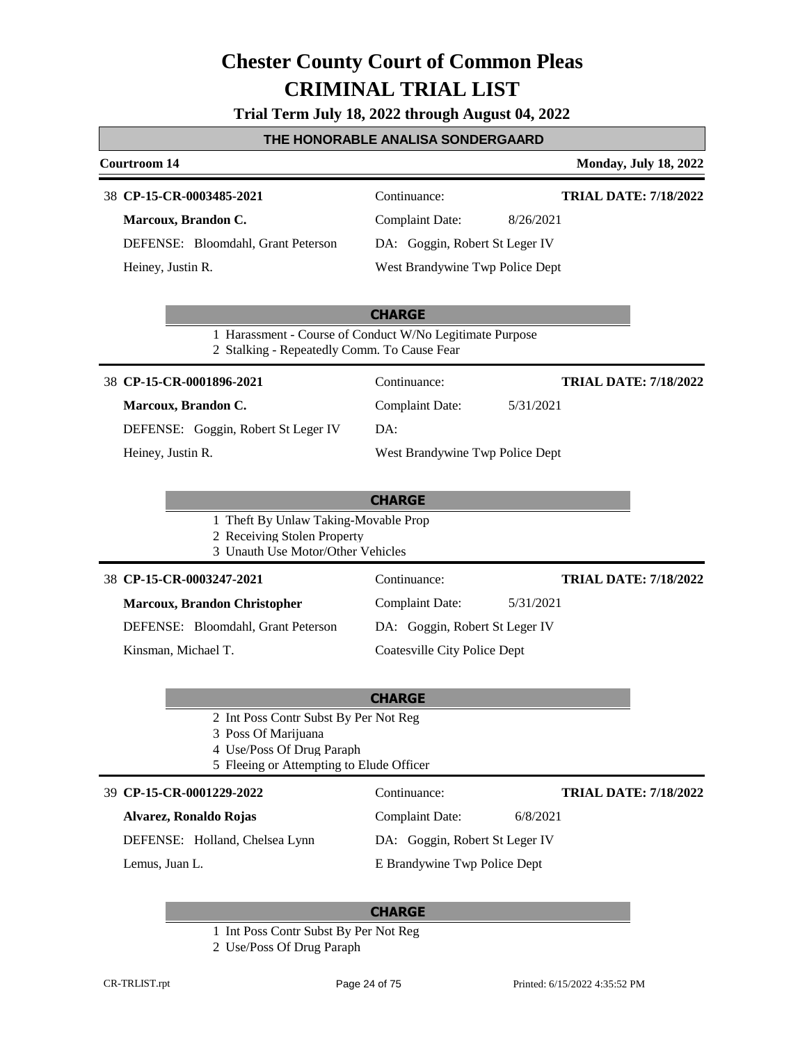|  |  | Trial Term July 18, 2022 through August 04, 2022 |
|--|--|--------------------------------------------------|
|--|--|--------------------------------------------------|

## **THE HONORABLE ANALISA SONDERGAARD**

| Courtroom 14                                                                                                                          |                                     | <b>Monday, July 18, 2022</b> |
|---------------------------------------------------------------------------------------------------------------------------------------|-------------------------------------|------------------------------|
| 38 CP-15-CR-0003485-2021                                                                                                              | Continuance:                        | <b>TRIAL DATE: 7/18/2022</b> |
| Marcoux, Brandon C.                                                                                                                   | <b>Complaint Date:</b>              | 8/26/2021                    |
| DEFENSE: Bloomdahl, Grant Peterson                                                                                                    | DA: Goggin, Robert St Leger IV      |                              |
| Heiney, Justin R.                                                                                                                     | West Brandywine Twp Police Dept     |                              |
|                                                                                                                                       | <b>CHARGE</b>                       |                              |
| 1 Harassment - Course of Conduct W/No Legitimate Purpose<br>2 Stalking - Repeatedly Comm. To Cause Fear                               |                                     |                              |
| 38 CP-15-CR-0001896-2021                                                                                                              | Continuance:                        | <b>TRIAL DATE: 7/18/2022</b> |
| Marcoux, Brandon C.                                                                                                                   | <b>Complaint Date:</b>              | 5/31/2021                    |
| DEFENSE: Goggin, Robert St Leger IV                                                                                                   | DA:                                 |                              |
| Heiney, Justin R.                                                                                                                     | West Brandywine Twp Police Dept     |                              |
|                                                                                                                                       |                                     |                              |
|                                                                                                                                       | <b>CHARGE</b>                       |                              |
| 1 Theft By Unlaw Taking-Movable Prop<br>2 Receiving Stolen Property<br>3 Unauth Use Motor/Other Vehicles                              |                                     |                              |
| 38 CP-15-CR-0003247-2021                                                                                                              | Continuance:                        | <b>TRIAL DATE: 7/18/2022</b> |
| <b>Marcoux, Brandon Christopher</b>                                                                                                   | <b>Complaint Date:</b>              | 5/31/2021                    |
| DEFENSE: Bloomdahl, Grant Peterson                                                                                                    | DA: Goggin, Robert St Leger IV      |                              |
| Kinsman, Michael T.                                                                                                                   | <b>Coatesville City Police Dept</b> |                              |
|                                                                                                                                       |                                     |                              |
|                                                                                                                                       | <b>CHARGE</b>                       |                              |
| 2 Int Poss Contr Subst By Per Not Reg<br>3 Poss Of Marijuana<br>4 Use/Poss Of Drug Paraph<br>5 Fleeing or Attempting to Elude Officer |                                     |                              |
| 39 CP-15-CR-0001229-2022                                                                                                              | Continuance:                        | <b>TRIAL DATE: 7/18/2022</b> |
| Alvarez, Ronaldo Rojas                                                                                                                | Complaint Date:                     | 6/8/2021                     |
| DEFENSE: Holland, Chelsea Lynn                                                                                                        | DA: Goggin, Robert St Leger IV      |                              |
| Lemus, Juan L.                                                                                                                        | E Brandywine Twp Police Dept        |                              |
|                                                                                                                                       |                                     |                              |

- 1 Int Poss Contr Subst By Per Not Reg
- 2 Use/Poss Of Drug Paraph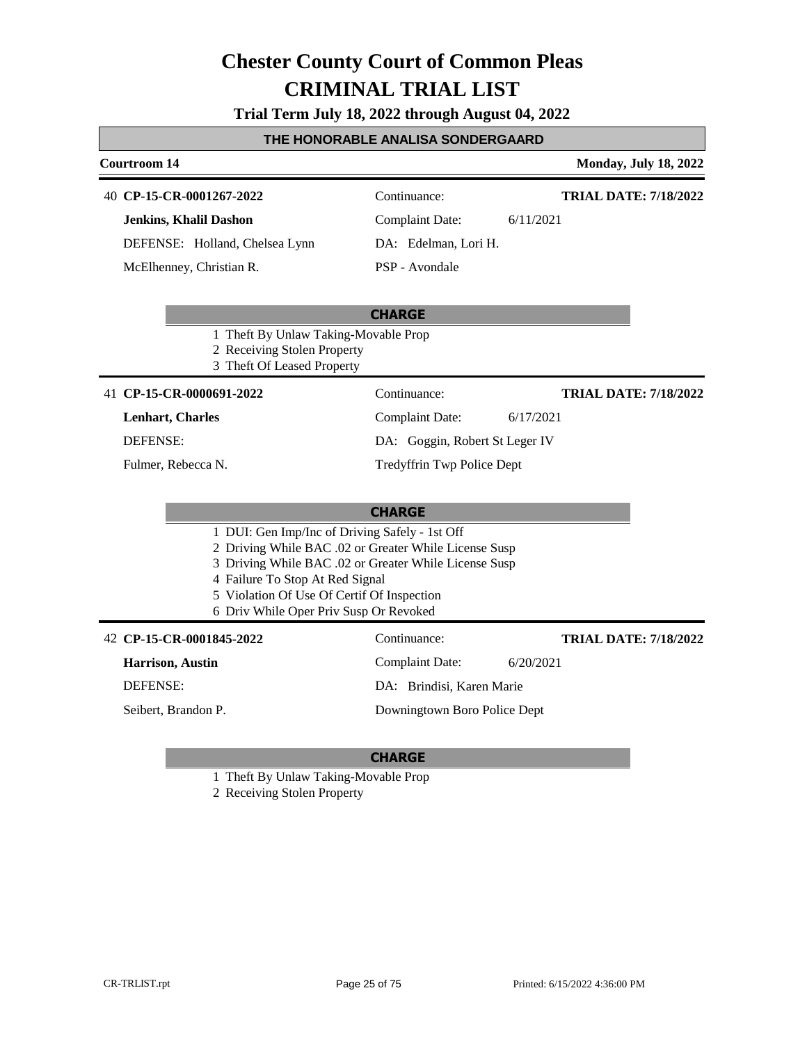**Trial Term July 18, 2022 through August 04, 2022**

#### **THE HONORABLE ANALISA SONDERGAARD**

## **Courtroom 14 Monday, July 18, 2022 CHARGE CP-15-CR-0001267-2022** 40 Continuance: **Jenkins, Khalil Dashon** DEFENSE: Holland, Chelsea Lynn Complaint Date: 6/11/2021 DA: Edelman, Lori H. PSP - Avondale **TRIAL DATE: 7/18/2022** McElhenney, Christian R. 1 Theft By Unlaw Taking-Movable Prop 2 Receiving Stolen Property 3 Theft Of Leased Property **CHARGE** 41 **CP-15-CR-0000691-2022** Continuance: **Lenhart, Charles** DEFENSE: Complaint Date: 6/17/2021 DA: Goggin, Robert St Leger IV Tredyffrin Twp Police Dept **TRIAL DATE: 7/18/2022** Fulmer, Rebecca N. 1 DUI: Gen Imp/Inc of Driving Safely - 1st Off 2 Driving While BAC .02 or Greater While License Susp 3 Driving While BAC .02 or Greater While License Susp 4 Failure To Stop At Red Signal 5 Violation Of Use Of Certif Of Inspection 6 Driv While Oper Priv Susp Or Revoked **CP-15-CR-0001845-2022** 42 Continuance: **Harrison, Austin** DEFENSE: Complaint Date: 6/20/2021 DA: Brindisi, Karen Marie Downingtown Boro Police Dept **TRIAL DATE: 7/18/2022** Seibert, Brandon P.

### **CHARGE**

1 Theft By Unlaw Taking-Movable Prop

2 Receiving Stolen Property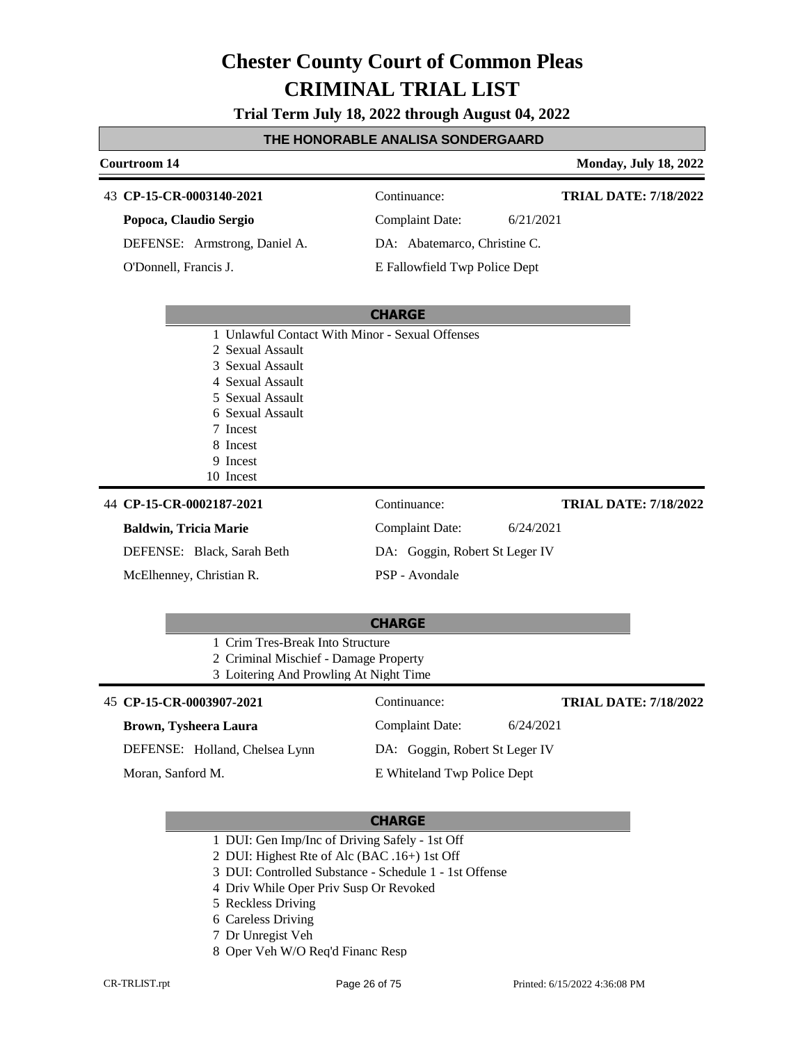**Trial Term July 18, 2022 through August 04, 2022**

### **THE HONORABLE ANALISA SONDERGAARD**

#### **Courtroom 14 Monday, July 18, 2022**

43 CP-

| 43 CP-15-CR-0003140-2021      | Continuance:                 | <b>TRIAL DATE: 7/18/2022</b> |
|-------------------------------|------------------------------|------------------------------|
| Popoca, Claudio Sergio        | Complaint Date:              | 6/21/2021                    |
| DEFENSE: Armstrong, Daniel A. | DA: Abatemarco, Christine C. |                              |

**CHARGE**

O'Donnell, Francis J.

E Fallowfield Twp Police Dept

|                              | 1 Unlawful Contact With Minor - Sexual Offenses |                              |
|------------------------------|-------------------------------------------------|------------------------------|
| 2 Sexual Assault             |                                                 |                              |
| 3 Sexual Assault             |                                                 |                              |
| 4 Sexual Assault             |                                                 |                              |
| 5 Sexual Assault             |                                                 |                              |
| 6 Sexual Assault             |                                                 |                              |
| 7 Incest                     |                                                 |                              |
| 8 Incest                     |                                                 |                              |
| 9 Incest                     |                                                 |                              |
| 10 Incest                    |                                                 |                              |
| 44 CP-15-CR-0002187-2021     | Continuance:                                    | <b>TRIAL DATE: 7/18/2022</b> |
| <b>Baldwin, Tricia Marie</b> | <b>Complaint Date:</b>                          | 6/24/2021                    |
| DEFENSE: Black, Sarah Beth   | DA: Goggin, Robert St Leger IV                  |                              |
| McElhenney, Christian R.     | PSP - Avondale                                  |                              |

| <b>CHARGE</b>                          |                 |                              |  |  |  |
|----------------------------------------|-----------------|------------------------------|--|--|--|
| 1 Crim Tres-Break Into Structure       |                 |                              |  |  |  |
| 2 Criminal Mischief - Damage Property  |                 |                              |  |  |  |
| 3 Loitering And Prowling At Night Time |                 |                              |  |  |  |
| 45 CP-15-CR-0003907-2021               | Continuance:    | <b>TRIAL DATE: 7/18/2022</b> |  |  |  |
| Brown, Tysheera Laura                  | Complaint Date: | 6/24/2021                    |  |  |  |

DA: Goggin, Robert St Leger IV E Whiteland Twp Police Dept

DEFENSE: Holland, Chelsea Lynn

Moran, Sanford M.

- 1 DUI: Gen Imp/Inc of Driving Safely 1st Off
- 2 DUI: Highest Rte of Alc (BAC .16+) 1st Off
- 3 DUI: Controlled Substance Schedule 1 1st Offense
- 4 Driv While Oper Priv Susp Or Revoked
- 5 Reckless Driving
- 6 Careless Driving
- 7 Dr Unregist Veh
- 8 Oper Veh W/O Req'd Financ Resp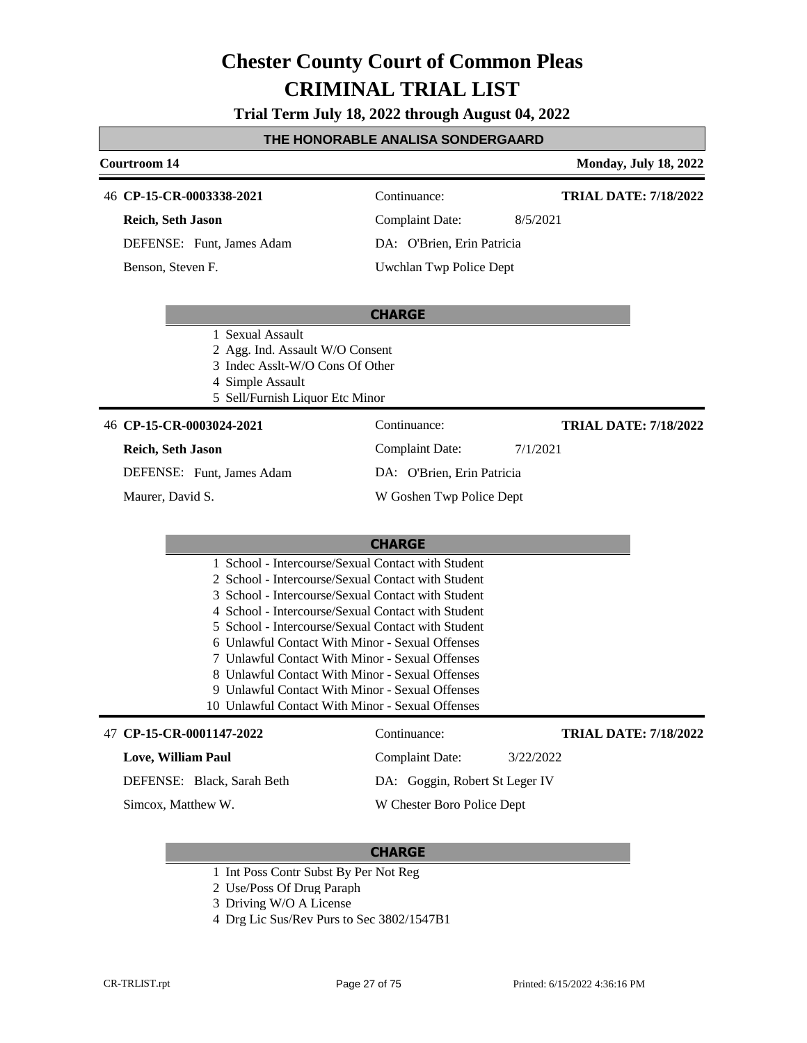### **Trial Term July 18, 2022 through August 04, 2022**

### **THE HONORABLE ANALISA SONDERGAARD**

#### **Courtroom 14 Monday, July 18, 2022**

**TRIAL DATE: 7/18/2022**

**TRIAL DATE: 7/18/2022**

46 **CP-15-CR-0003338-2021** Continuance:

### **Reich, Seth Jason**

DEFENSE: Funt, James Adam Benson, Steven F.

Complaint Date: 8/5/2021 DA: O'Brien, Erin Patricia Uwchlan Twp Police Dept

#### **CHARGE**

- 1 Sexual Assault
- 2 Agg. Ind. Assault W/O Consent
- 3 Indec Asslt-W/O Cons Of Other

5 Sell/Furnish Liquor Etc Minor

4 Simple Assault

## 46 **CP-15-CR-0003024-2021** Continuance:

#### **Reich, Seth Jason**

DEFENSE: Funt, James Adam

Maurer, David S.

Complaint Date: 7/1/2021 DA: O'Brien, Erin Patricia

W Goshen Twp Police Dept

### **CHARGE**

| 47 CP-15-CR-0001147-2022   | Continuance:                   | <b>TRIAL DATE: 7/18/2022</b> |
|----------------------------|--------------------------------|------------------------------|
| Love, William Paul         | Complaint Date:                | 3/22/2022                    |
| DEFENSE: Black, Sarah Beth | DA: Goggin, Robert St Leger IV |                              |
| Simcox, Matthew W.         | W Chester Boro Police Dept     |                              |

- 1 Int Poss Contr Subst By Per Not Reg
- 2 Use/Poss Of Drug Paraph
- 3 Driving W/O A License
- 4 Drg Lic Sus/Rev Purs to Sec 3802/1547B1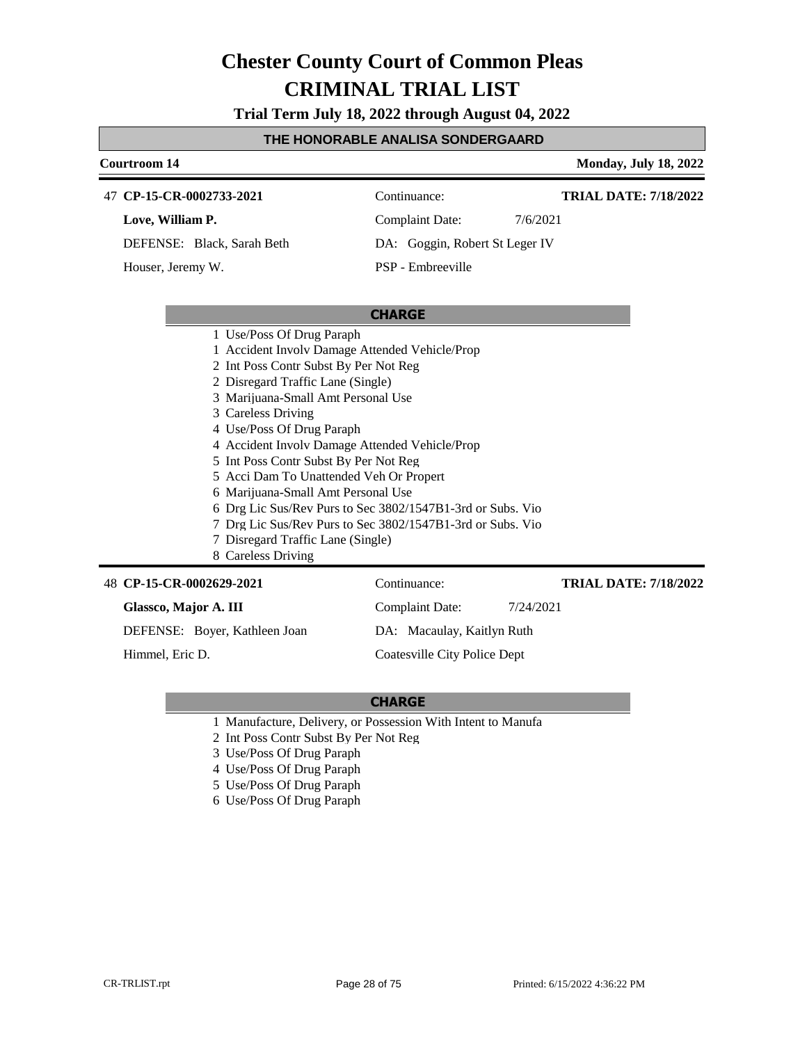**Trial Term July 18, 2022 through August 04, 2022**

#### **THE HONORABLE ANALISA SONDERGAARD**

## **Courtroom 14 Monday, July 18, 2022 CHARGE CP-15-CR-0002733-2021** 47 Continuance: **Love, William P.** DEFENSE: Black, Sarah Beth Complaint Date: 7/6/2021 DA: Goggin, Robert St Leger IV PSP - Embreeville **TRIAL DATE: 7/18/2022** Houser, Jeremy W. 1 Use/Poss Of Drug Paraph 1 Accident Involv Damage Attended Vehicle/Prop 2 Int Poss Contr Subst By Per Not Reg 2 Disregard Traffic Lane (Single) 3 Marijuana-Small Amt Personal Use 3 Careless Driving 4 Use/Poss Of Drug Paraph 4 Accident Involv Damage Attended Vehicle/Prop 5 Int Poss Contr Subst By Per Not Reg 5 Acci Dam To Unattended Veh Or Propert 6 Marijuana-Small Amt Personal Use 6 Drg Lic Sus/Rev Purs to Sec 3802/1547B1-3rd or Subs. Vio 7 Drg Lic Sus/Rev Purs to Sec 3802/1547B1-3rd or Subs. Vio 7 Disregard Traffic Lane (Single) 8 Careless Driving **CP-15-CR-0002629-2021** 48 Continuance: **TRIAL DATE: 7/18/2022**

#### **Glassco, Major A. III**

DEFENSE: Boyer, Kathleen Joan

Himmel, Eric D.

Complaint Date: 7/24/2021 DA: Macaulay, Kaitlyn Ruth

Coatesville City Police Dept

- 1 Manufacture, Delivery, or Possession With Intent to Manufa
- 2 Int Poss Contr Subst By Per Not Reg
- 3 Use/Poss Of Drug Paraph
- 4 Use/Poss Of Drug Paraph
- 5 Use/Poss Of Drug Paraph
- 6 Use/Poss Of Drug Paraph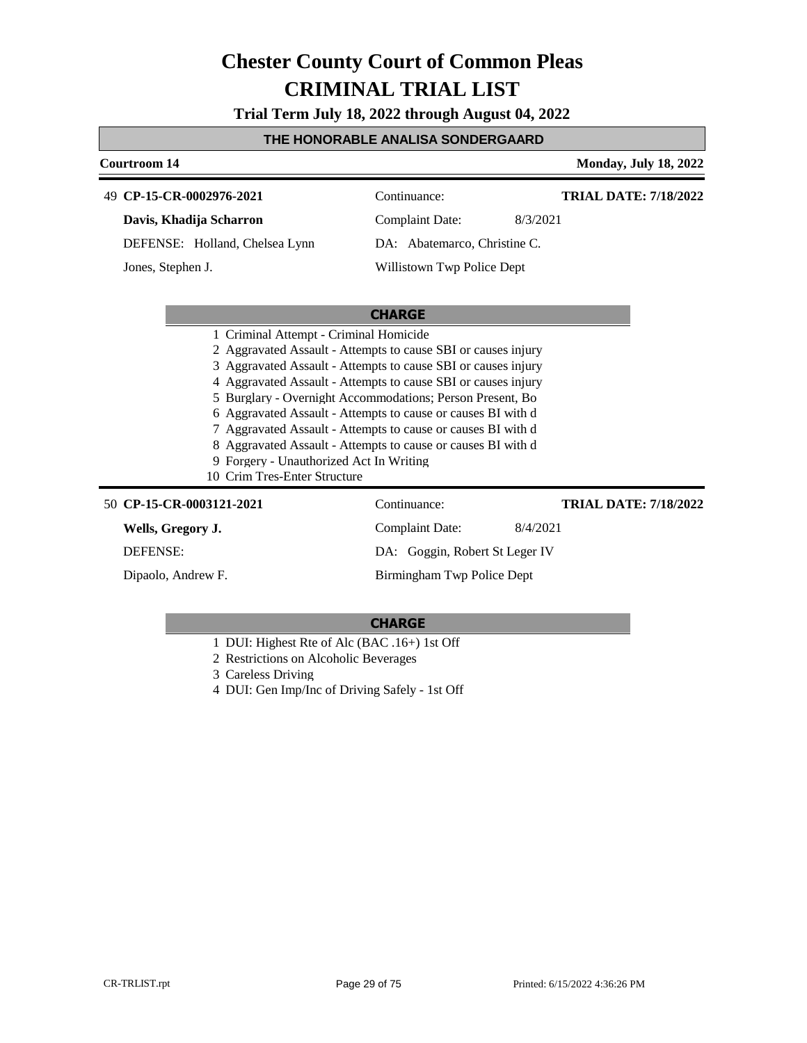**Trial Term July 18, 2022 through August 04, 2022**

### **THE HONORABLE ANALISA SONDERGAARD**

| Courtroom 14                                                                                                                                                                                                                                                                                                                                                                                                                                                                                                                                                                      |                                | <b>Monday, July 18, 2022</b> |  |  |
|-----------------------------------------------------------------------------------------------------------------------------------------------------------------------------------------------------------------------------------------------------------------------------------------------------------------------------------------------------------------------------------------------------------------------------------------------------------------------------------------------------------------------------------------------------------------------------------|--------------------------------|------------------------------|--|--|
| 49 CP-15-CR-0002976-2021                                                                                                                                                                                                                                                                                                                                                                                                                                                                                                                                                          | Continuance:                   | <b>TRIAL DATE: 7/18/2022</b> |  |  |
| Davis, Khadija Scharron                                                                                                                                                                                                                                                                                                                                                                                                                                                                                                                                                           | <b>Complaint Date:</b>         | 8/3/2021                     |  |  |
| DEFENSE: Holland, Chelsea Lynn                                                                                                                                                                                                                                                                                                                                                                                                                                                                                                                                                    | DA: Abatemarco, Christine C.   |                              |  |  |
| Jones, Stephen J.                                                                                                                                                                                                                                                                                                                                                                                                                                                                                                                                                                 | Willistown Twp Police Dept     |                              |  |  |
|                                                                                                                                                                                                                                                                                                                                                                                                                                                                                                                                                                                   |                                |                              |  |  |
| <b>CHARGE</b>                                                                                                                                                                                                                                                                                                                                                                                                                                                                                                                                                                     |                                |                              |  |  |
| 1 Criminal Attempt - Criminal Homicide<br>2 Aggravated Assault - Attempts to cause SBI or causes injury<br>3 Aggravated Assault - Attempts to cause SBI or causes injury<br>4 Aggravated Assault - Attempts to cause SBI or causes injury<br>5 Burglary - Overnight Accommodations; Person Present, Bo<br>6 Aggravated Assault - Attempts to cause or causes BI with d<br>7 Aggravated Assault - Attempts to cause or causes BI with d<br>8 Aggravated Assault - Attempts to cause or causes BI with d<br>9 Forgery - Unauthorized Act In Writing<br>10 Crim Tres-Enter Structure |                                |                              |  |  |
| 50 CP-15-CR-0003121-2021                                                                                                                                                                                                                                                                                                                                                                                                                                                                                                                                                          | Continuance:                   | <b>TRIAL DATE: 7/18/2022</b> |  |  |
| Wells, Gregory J.                                                                                                                                                                                                                                                                                                                                                                                                                                                                                                                                                                 | Complaint Date:                | 8/4/2021                     |  |  |
| <b>DEFENSE:</b>                                                                                                                                                                                                                                                                                                                                                                                                                                                                                                                                                                   | DA: Goggin, Robert St Leger IV |                              |  |  |
| Dipaolo, Andrew F.                                                                                                                                                                                                                                                                                                                                                                                                                                                                                                                                                                | Birmingham Twp Police Dept     |                              |  |  |

- 1 DUI: Highest Rte of Alc (BAC .16+) 1st Off
- 2 Restrictions on Alcoholic Beverages
- 3 Careless Driving
- 4 DUI: Gen Imp/Inc of Driving Safely 1st Off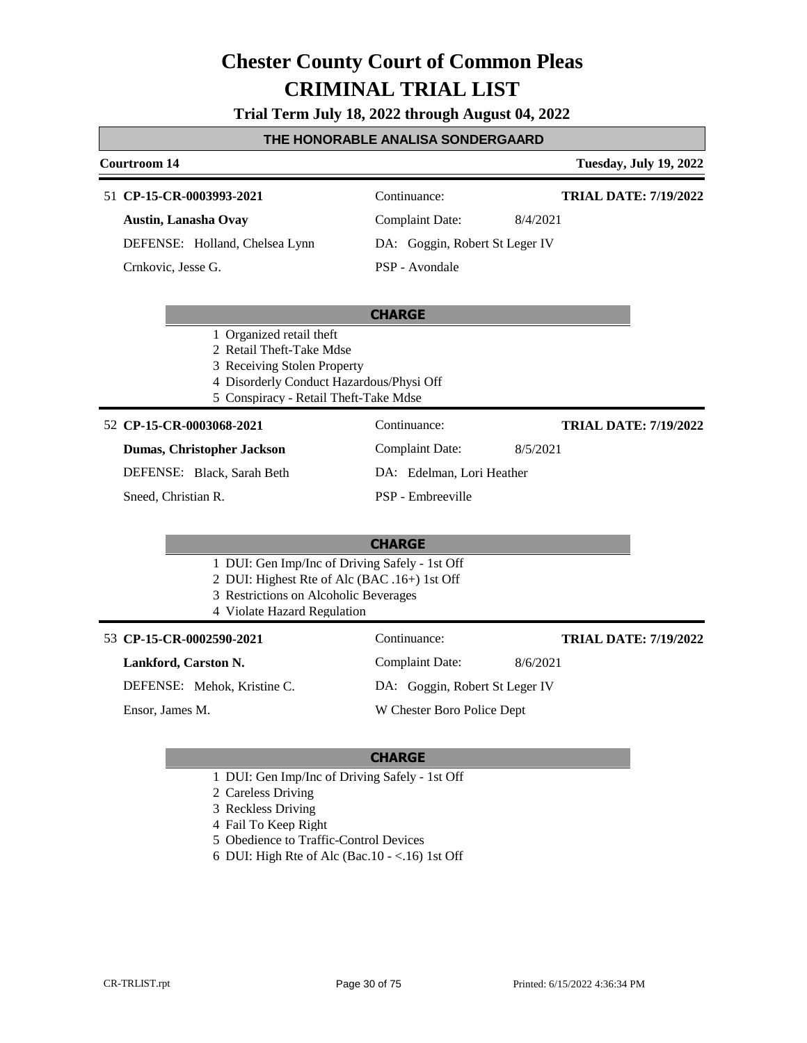**Trial Term July 18, 2022 through August 04, 2022**

### **THE HONORABLE ANALISA SONDERGAARD**

#### **Courtroom 14 Tuesday, July 19, 2022**

#### **CP-15-CR-0003993-2021** 51 Continuance:

**Austin, Lanasha Ovay**

DEFENSE: Holland, Chelsea Lynn Crnkovic, Jesse G.

Complaint Date: 8/4/2021

**TRIAL DATE: 7/19/2022**

**TRIAL DATE: 7/19/2022**

DA: Goggin, Robert St Leger IV

PSP - Avondale

#### **CHARGE**

- 1 Organized retail theft
- 2 Retail Theft-Take Mdse
- 3 Receiving Stolen Property
- 4 Disorderly Conduct Hazardous/Physi Off
- 5 Conspiracy Retail Theft-Take Mdse

**CP-15-CR-0003068-2021** 52 Continuance: **Dumas, Christopher Jackson** DEFENSE: Black, Sarah Beth Complaint Date: 8/5/2021 DA: Edelman, Lori Heather PSP - Embreeville **TRIAL DATE: 7/19/2022** Sneed, Christian R.

## **CHARGE**

- 1 DUI: Gen Imp/Inc of Driving Safely 1st Off
- 2 DUI: Highest Rte of Alc (BAC .16+) 1st Off
- 3 Restrictions on Alcoholic Beverages
- 4 Violate Hazard Regulation

#### 53 **CP-15-CR-0002590-2021** Continuance:

**Lankford, Carston N.**

DEFENSE: Mehok, Kristine C.

Ensor, James M.

Complaint Date: 8/6/2021 DA: Goggin, Robert St Leger IV W Chester Boro Police Dept

- 1 DUI: Gen Imp/Inc of Driving Safely 1st Off
- 2 Careless Driving
- 3 Reckless Driving
- 4 Fail To Keep Right
- 5 Obedience to Traffic-Control Devices
- 6 DUI: High Rte of Alc (Bac.10 <.16) 1st Off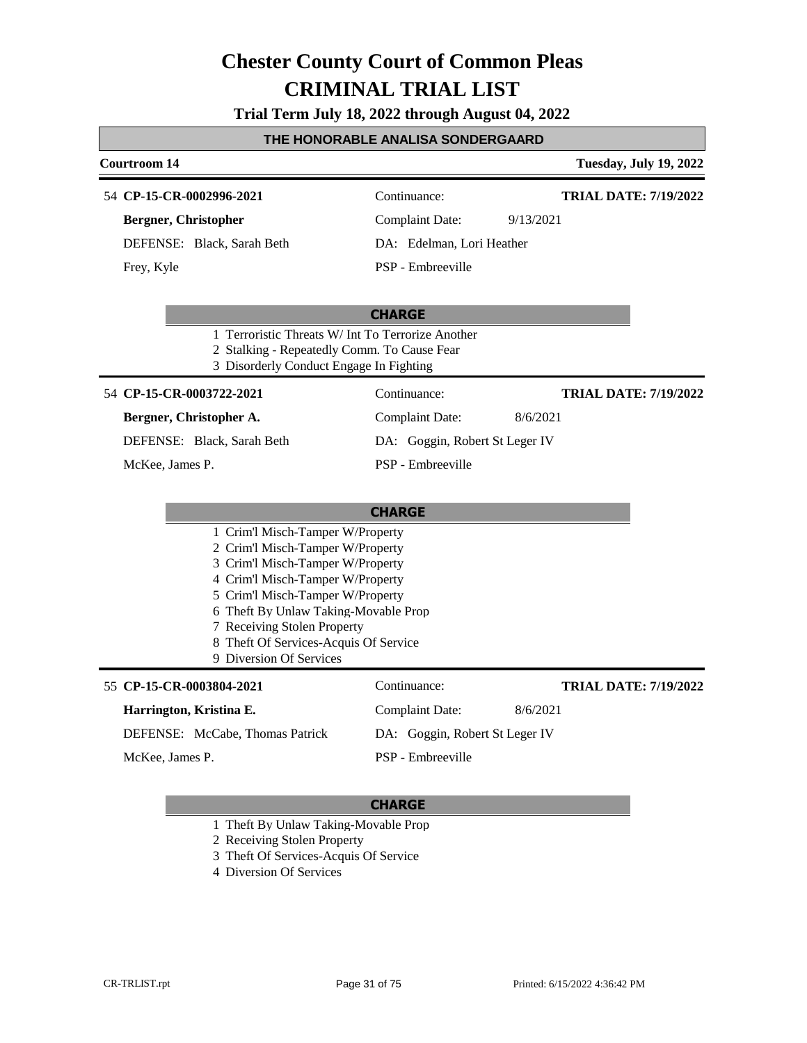**Trial Term July 18, 2022 through August 04, 2022**

#### **THE HONORABLE ANALISA SONDERGAARD**

#### **Courtroom 14 Tuesday, July 19, 2022**

#### **CP-15-CR-0002996-2021** 54 Continuance:

**Bergner, Christopher**

DEFENSE: Black, Sarah Beth Frey, Kyle

Complaint Date: 9/13/2021

**TRIAL DATE: 7/19/2022**

**TRIAL DATE: 7/19/2022**

DA: Edelman, Lori Heather

Complaint Date: 8/6/2021 DA: Goggin, Robert St Leger IV

PSP - Embreeville

#### **CHARGE**

- 1 Terroristic Threats W/ Int To Terrorize Another
- 2 Stalking Repeatedly Comm. To Cause Fear
- 3 Disorderly Conduct Engage In Fighting

#### **CP-15-CR-0003722-2021** 54 Continuance:

**Bergner, Christopher A.** DEFENSE: Black, Sarah Beth

McKee, James P.

#### **CHARGE** 1 Crim'l Misch-Tamper W/Property 2 Crim'l Misch-Tamper W/Property 3 Crim'l Misch-Tamper W/Property 4 Crim'l Misch-Tamper W/Property 5 Crim'l Misch-Tamper W/Property 6 Theft By Unlaw Taking-Movable Prop 7 Receiving Stolen Property 8 Theft Of Services-Acquis Of Service 9 Diversion Of Services 55 **CP-15-CR-0003804-2021** Continuance: **Harrington, Kristina E.** DEFENSE: McCabe, Thomas Patrick Complaint Date: 8/6/2021 DA: Goggin, Robert St Leger IV PSP - Embreeville **TRIAL DATE: 7/19/2022** McKee, James P.

PSP - Embreeville

- 1 Theft By Unlaw Taking-Movable Prop
- 2 Receiving Stolen Property
- 3 Theft Of Services-Acquis Of Service
- 4 Diversion Of Services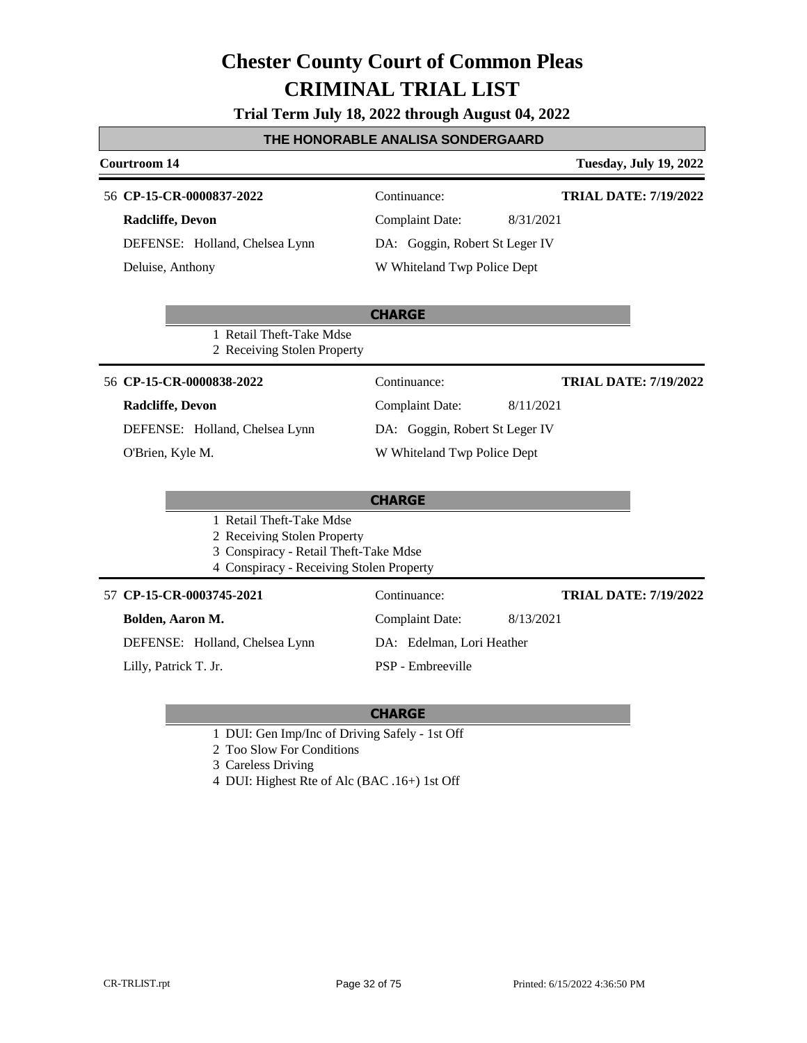|  |  | Trial Term July 18, 2022 through August 04, 2022 |  |
|--|--|--------------------------------------------------|--|
|--|--|--------------------------------------------------|--|

#### **THE HONORABLE ANALISA SONDERGAARD**

| <b>Courtroom 14</b>                                                                                                                          | <b>Tuesday, July 19, 2022</b>                                                                                                                        |
|----------------------------------------------------------------------------------------------------------------------------------------------|------------------------------------------------------------------------------------------------------------------------------------------------------|
| 56 CP-15-CR-0000837-2022<br>Radcliffe, Devon<br>DEFENSE: Holland, Chelsea Lynn<br>Deluise, Anthony                                           | Continuance:<br><b>TRIAL DATE: 7/19/2022</b><br>8/31/2021<br><b>Complaint Date:</b><br>DA: Goggin, Robert St Leger IV<br>W Whiteland Twp Police Dept |
| 1 Retail Theft-Take Mdse<br>2 Receiving Stolen Property                                                                                      | <b>CHARGE</b>                                                                                                                                        |
| 56 CP-15-CR-0000838-2022<br><b>Radcliffe</b> , Devon<br>DEFENSE: Holland, Chelsea Lynn<br>O'Brien, Kyle M.                                   | Continuance:<br><b>TRIAL DATE: 7/19/2022</b><br><b>Complaint Date:</b><br>8/11/2021<br>DA: Goggin, Robert St Leger IV<br>W Whiteland Twp Police Dept |
| 1 Retail Theft-Take Mdse<br>2 Receiving Stolen Property<br>3 Conspiracy - Retail Theft-Take Mdse<br>4 Conspiracy - Receiving Stolen Property | <b>CHARGE</b>                                                                                                                                        |
| 57 CP-15-CR-0003745-2021<br>Bolden, Aaron M.<br>DEFENSE: Holland, Chelsea Lynn<br>Lilly, Patrick T. Jr.                                      | Continuance:<br><b>TRIAL DATE: 7/19/2022</b><br>8/13/2021<br><b>Complaint Date:</b><br>DA: Edelman, Lori Heather<br>PSP - Embreeville                |

### **CHARGE**

- 1 DUI: Gen Imp/Inc of Driving Safely 1st Off
- 2 Too Slow For Conditions

3 Careless Driving

4 DUI: Highest Rte of Alc (BAC .16+) 1st Off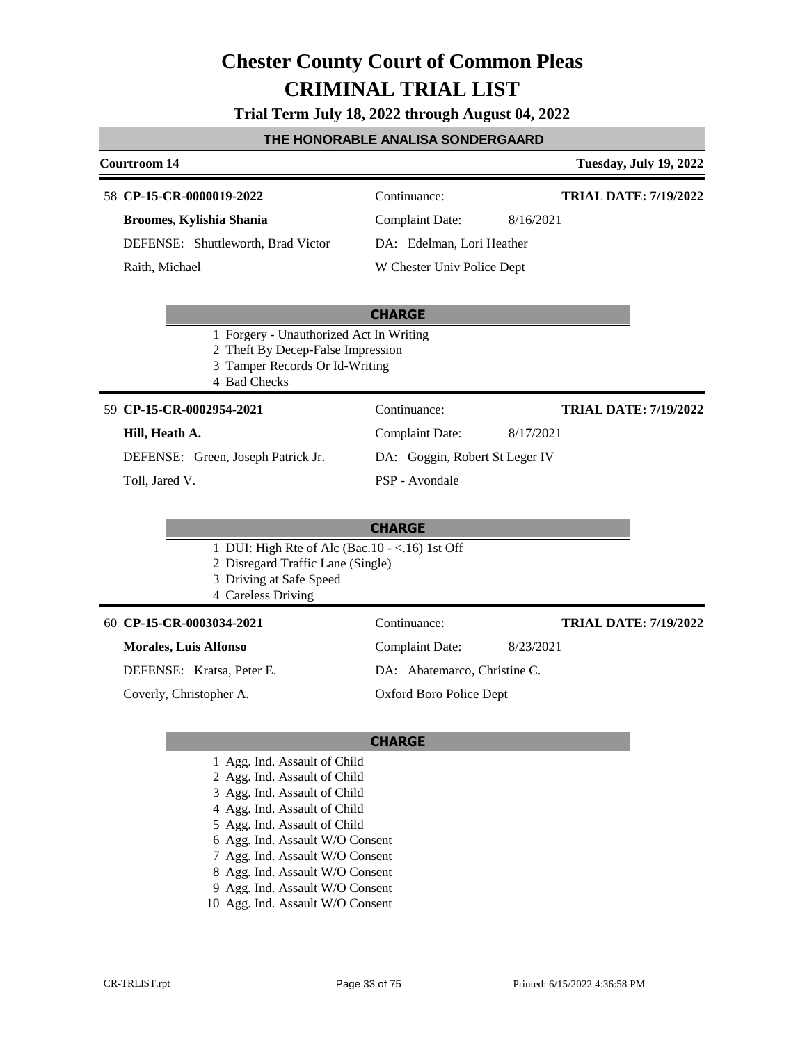**Trial Term July 18, 2022 through August 04, 2022**

#### **THE HONORABLE ANALISA SONDERGAARD**

#### **Courtroom 14 Tuesday, July 19, 2022**

#### **CP-15-CR-0000019-2022** 58 Continuance:

**Broomes, Kylishia Shania**

DEFENSE: Shuttleworth, Brad Victor

Raith, Michael

Complaint Date: 8/16/2021 DA: Edelman, Lori Heather W Chester Univ Police Dept

Complaint Date: 8/17/2021 DA: Goggin, Robert St Leger IV

**TRIAL DATE: 7/19/2022**

**TRIAL DATE: 7/19/2022**

**TRIAL DATE: 7/19/2022**

#### **CHARGE**

- 1 Forgery Unauthorized Act In Writing
- 2 Theft By Decep-False Impression
- 3 Tamper Records Or Id-Writing
- 4 Bad Checks

#### **CP-15-CR-0002954-2021** 59 Continuance:

#### **Hill, Heath A.**

DEFENSE: Green, Joseph Patrick Jr.

#### Toll, Jared V.

#### **CHARGE**

PSP - Avondale

- 1 DUI: High Rte of Alc (Bac.10 <.16) 1st Off
- 2 Disregard Traffic Lane (Single)
- 3 Driving at Safe Speed
- 4 Careless Driving

#### **CP-15-CR-0003034-2021** 60 Continuance:

#### **Morales, Luis Alfonso**

DEFENSE: Kratsa, Peter E.

Coverly, Christopher A.

DA: Abatemarco, Christine C. Oxford Boro Police Dept

Complaint Date: 8/23/2021

- 1 Agg. Ind. Assault of Child
- 2 Agg. Ind. Assault of Child
- 3 Agg. Ind. Assault of Child
- 4 Agg. Ind. Assault of Child
- 5 Agg. Ind. Assault of Child
- 6 Agg. Ind. Assault W/O Consent
- 7 Agg. Ind. Assault W/O Consent
- 8 Agg. Ind. Assault W/O Consent
- 9 Agg. Ind. Assault W/O Consent
- 10 Agg. Ind. Assault W/O Consent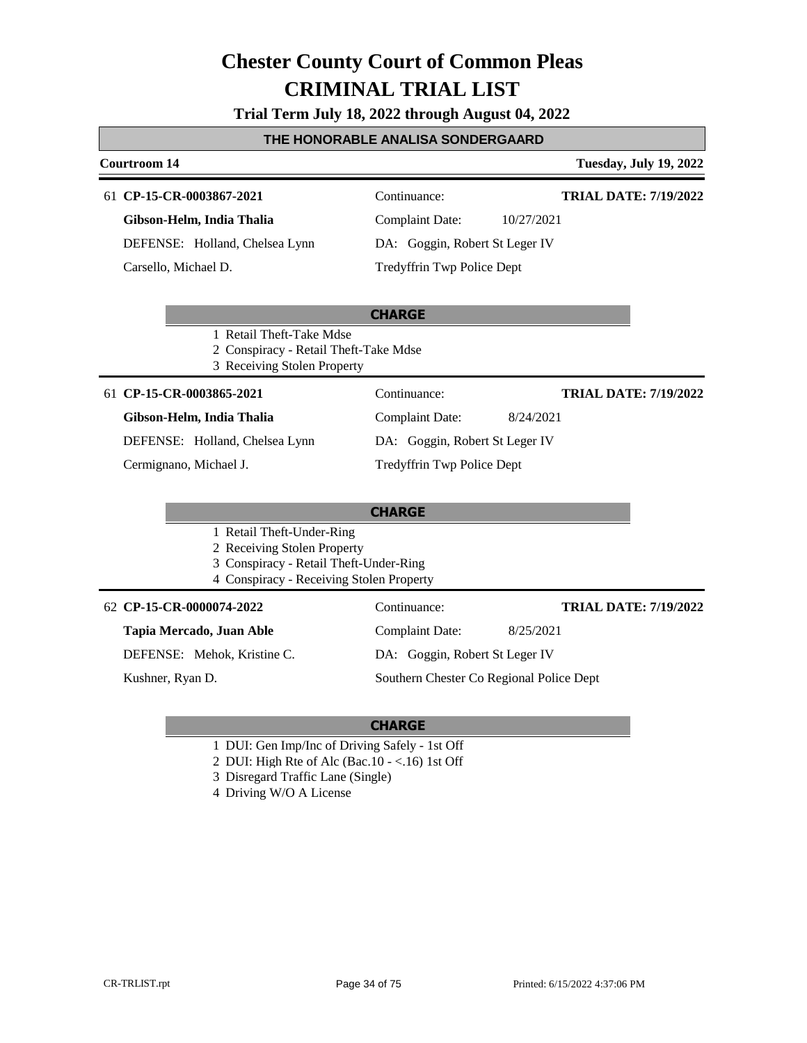#### **Trial Term July 18, 2022 through August 04, 2022**

#### **THE HONORABLE ANALISA SONDERGAARD**

#### **Courtroom 14 Tuesday, July 19, 2022**

#### **CP-15-CR-0003867-2021** 61 Continuance:

**Gibson-Helm, India Thalia**

DEFENSE: Holland, Chelsea Lynn Carsello, Michael D.

**TRIAL DATE: 7/19/2022**

**TRIAL DATE: 7/19/2022**

Complaint Date: 10/27/2021 DA: Goggin, Robert St Leger IV

Tredyffrin Twp Police Dept

#### **CHARGE**

- 1 Retail Theft-Take Mdse
- 2 Conspiracy Retail Theft-Take Mdse
- 3 Receiving Stolen Property

#### **CP-15-CR-0003865-2021** 61 Continuance:

#### **Gibson-Helm, India Thalia**

DEFENSE: Holland, Chelsea Lynn

Cermignano, Michael J.

### 1 Retail Theft-Under-Ring

- 2 Receiving Stolen Property
- 3 Conspiracy Retail Theft-Under-Ring
- 4 Conspiracy Receiving Stolen Property

#### **Tapia Mercado, Juan Able**

DEFENSE: Mehok, Kristine C.

Kushner, Ryan D.

#### **CHARGE**

- 1 DUI: Gen Imp/Inc of Driving Safely 1st Off
- 2 DUI: High Rte of Alc (Bac.10 <.16) 1st Off
- 3 Disregard Traffic Lane (Single)
- 4 Driving W/O A License

Complaint Date: 8/24/2021 DA: Goggin, Robert St Leger IV Tredyffrin Twp Police Dept **TRIAL DATE: 7/19/2022**

### **CHARGE**

- 
- 
- **CP-15-CR-0000074-2022** 62 Continuance:

Complaint Date: 8/25/2021 DA: Goggin, Robert St Leger IV

Southern Chester Co Regional Police Dept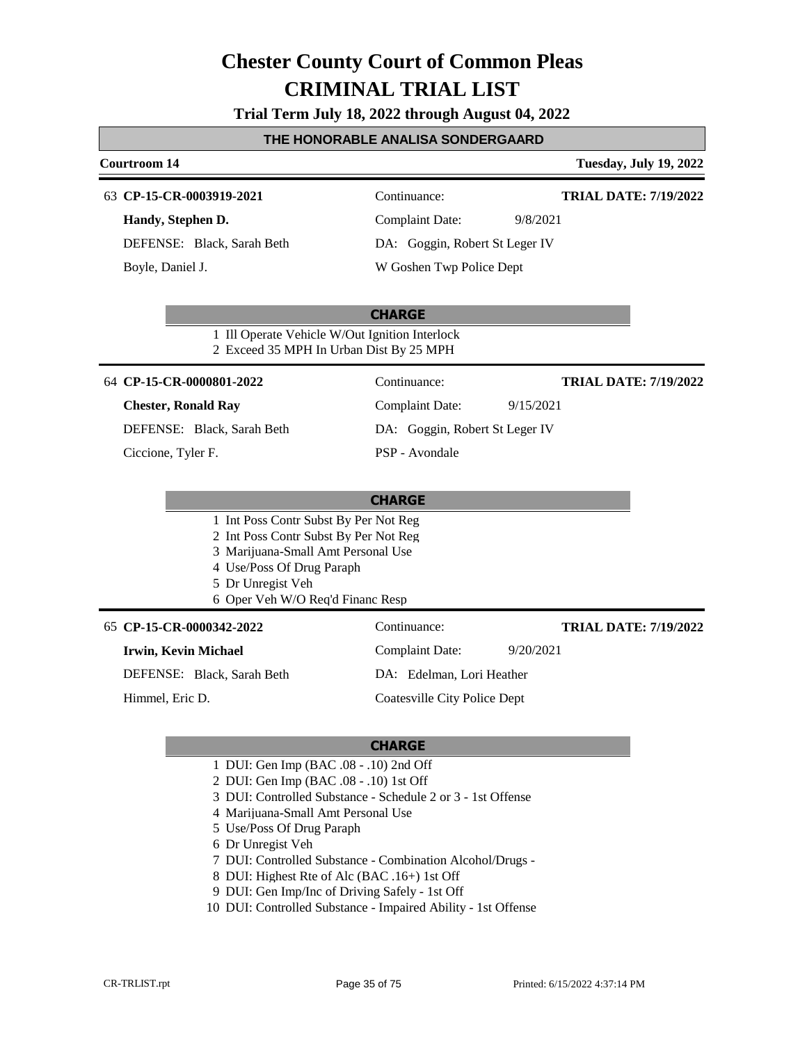**Trial Term July 18, 2022 through August 04, 2022**

#### **THE HONORABLE ANALISA SONDERGAARD**

### **Courtroom 14 Tuesday, July 19, 2022 CHARGE CP-15-CR-0003919-2021** 63 Continuance: **Handy, Stephen D.** DEFENSE: Black, Sarah Beth Complaint Date: 9/8/2021 DA: Goggin, Robert St Leger IV W Goshen Twp Police Dept **TRIAL DATE: 7/19/2022** Boyle, Daniel J. 1 Ill Operate Vehicle W/Out Ignition Interlock 2 Exceed 35 MPH In Urban Dist By 25 MPH **CHARGE CP-15-CR-0000801-2022** 64 Continuance: **Chester, Ronald Ray** DEFENSE: Black, Sarah Beth Complaint Date: 9/15/2021 DA: Goggin, Robert St Leger IV PSP - Avondale **TRIAL DATE: 7/19/2022** Ciccione, Tyler F. 1 Int Poss Contr Subst By Per Not Reg 2 Int Poss Contr Subst By Per Not Reg 3 Marijuana-Small Amt Personal Use 4 Use/Poss Of Drug Paraph 5 Dr Unregist Veh 6 Oper Veh W/O Req'd Financ Resp **CP-15-CR-0000342-2022** 65 Continuance: **Irwin, Kevin Michael** Complaint Date: 9/20/2021 **TRIAL DATE: 7/19/2022**

DEFENSE: Black, Sarah Beth

Himmel, Eric D.

DA: Edelman, Lori Heather

Coatesville City Police Dept

- 1 DUI: Gen Imp (BAC .08 .10) 2nd Off
- 2 DUI: Gen Imp (BAC .08 .10) 1st Off
- 3 DUI: Controlled Substance Schedule 2 or 3 1st Offense
- 4 Marijuana-Small Amt Personal Use
- 5 Use/Poss Of Drug Paraph
- 6 Dr Unregist Veh
- 7 DUI: Controlled Substance Combination Alcohol/Drugs -
- 8 DUI: Highest Rte of Alc (BAC .16+) 1st Off
- 9 DUI: Gen Imp/Inc of Driving Safely 1st Off
- 10 DUI: Controlled Substance Impaired Ability 1st Offense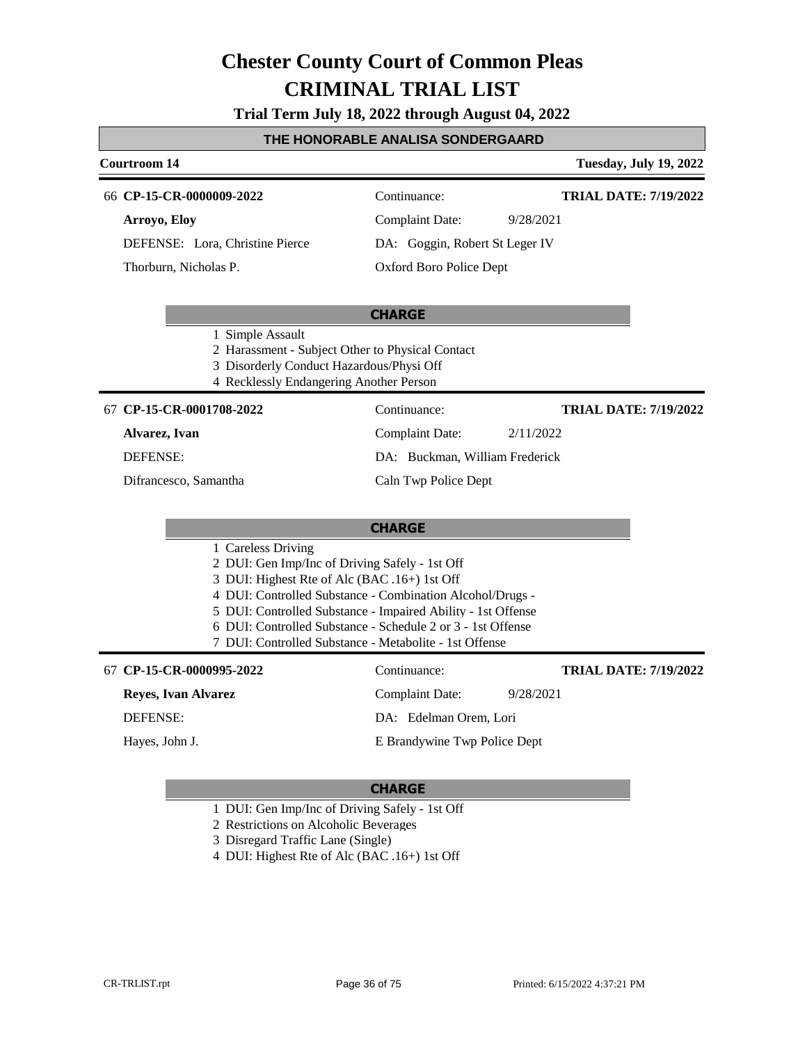**Trial Term July 18, 2022 through August 04, 2022**

#### **THE HONORABLE ANALISA SONDERGAARD**

#### **Courtroom 14 Tuesday, July 19, 2022** 66 **CP-15-CR-0000009-2022** Continuance: **Arroyo, Eloy** DEFENSE: Lora, Christine Pierce Complaint Date: 9/28/2021 DA: Goggin, Robert St Leger IV **TRIAL DATE: 7/19/2022**

Thorburn, Nicholas P.

**CHARGE**

Oxford Boro Police Dept

- 1 Simple Assault
- 2 Harassment Subject Other to Physical Contact
- 3 Disorderly Conduct Hazardous/Physi Off
- 4 Recklessly Endangering Another Person

#### **CP-15-CR-0001708-2022** 67 Continuance:

**Alvarez, Ivan**

DEFENSE:

Difrancesco, Samantha

**TRIAL DATE: 7/19/2022**

DA: Buckman, William Frederick

Complaint Date: 2/11/2022

#### Caln Twp Police Dept

| LI A<br>I I ARC |
|-----------------|
|-----------------|

- 1 Careless Driving
- 2 DUI: Gen Imp/Inc of Driving Safely 1st Off
- 3 DUI: Highest Rte of Alc (BAC .16+) 1st Off
- 4 DUI: Controlled Substance Combination Alcohol/Drugs -
- 5 DUI: Controlled Substance Impaired Ability 1st Offense
- 6 DUI: Controlled Substance Schedule 2 or 3 1st Offense
- 7 DUI: Controlled Substance Metabolite 1st Offense

#### **CP-15-CR-0000995-2022** 67 Continuance:

#### **Reyes, Ivan Alvarez**

DEFENSE:

Hayes, John J.

**TRIAL DATE: 7/19/2022**

DA: Edelman Orem, Lori

#### **CHARGE**

- 1 DUI: Gen Imp/Inc of Driving Safely 1st Off
- 2 Restrictions on Alcoholic Beverages
- 3 Disregard Traffic Lane (Single)
- 4 DUI: Highest Rte of Alc (BAC .16+) 1st Off

Complaint Date: 9/28/2021

### E Brandywine Twp Police Dept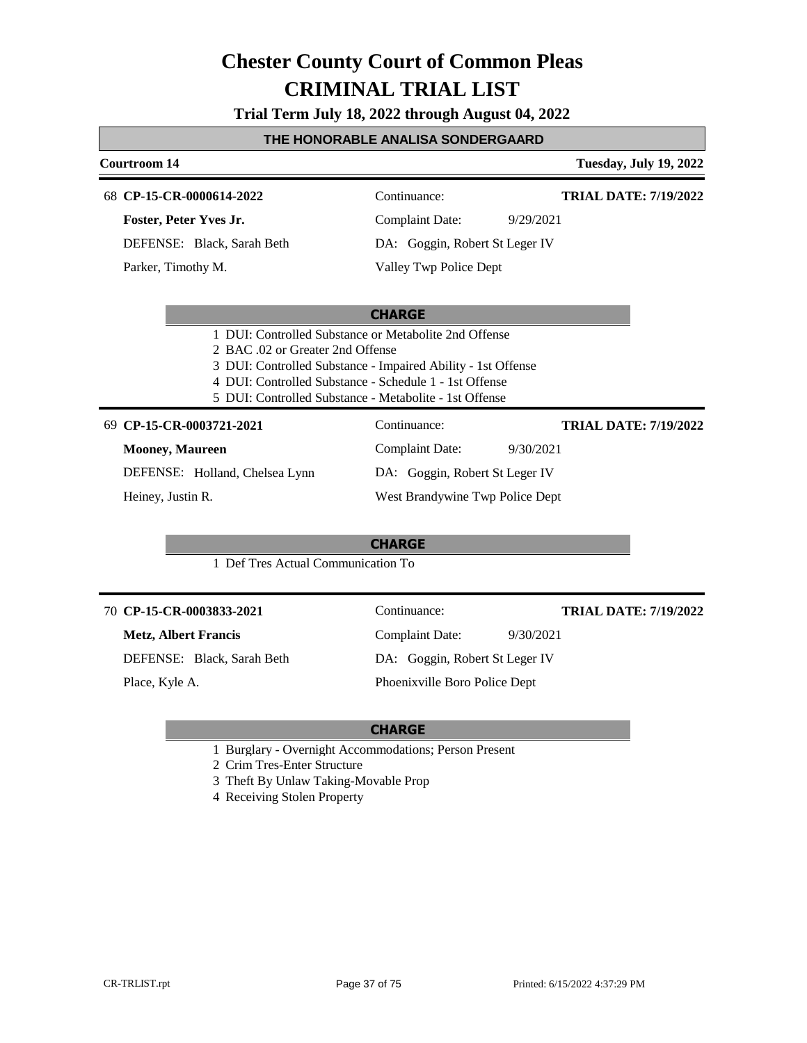**Trial Term July 18, 2022 through August 04, 2022**

#### **THE HONORABLE ANALISA SONDERGAARD**

#### **Courtroom 14 Tuesday, July 19, 2022**

#### **CP-15-CR-0000614-2022** 68 Continuance:

**Foster, Peter Yves Jr.**

DEFENSE: Black, Sarah Beth

Parker, Timothy M.

**TRIAL DATE: 7/19/2022**

**TRIAL DATE: 7/19/2022**

Complaint Date: 9/29/2021 DA: Goggin, Robert St Leger IV

Valley Twp Police Dept

#### **CHARGE**

- 1 DUI: Controlled Substance or Metabolite 2nd Offense
- 2 BAC .02 or Greater 2nd Offense
- 3 DUI: Controlled Substance Impaired Ability 1st Offense
- 4 DUI: Controlled Substance Schedule 1 1st Offense
- 5 DUI: Controlled Substance Metabolite 1st Offense

#### **CP-15-CR-0003721-2021** 69 Continuance:

#### **Mooney, Maureen**

DEFENSE: Holland, Chelsea Lynn Complaint Date: 9/30/2021 DA: Goggin, Robert St Leger IV West Brandywine Twp Police Dept

Heiney, Justin R.

#### **CHARGE**

1 Def Tres Actual Communication To

#### **CP-15-CR-0003833-2021** 70 Continuance:

#### **Metz, Albert Francis**

DEFENSE: Black, Sarah Beth

Place, Kyle A.

Complaint Date: 9/30/2021 DA: Goggin, Robert St Leger IV Phoenixville Boro Police Dept

#### **CHARGE**

- 1 Burglary Overnight Accommodations; Person Present
- 2 Crim Tres-Enter Structure
- 3 Theft By Unlaw Taking-Movable Prop
- 4 Receiving Stolen Property

**TRIAL DATE: 7/19/2022**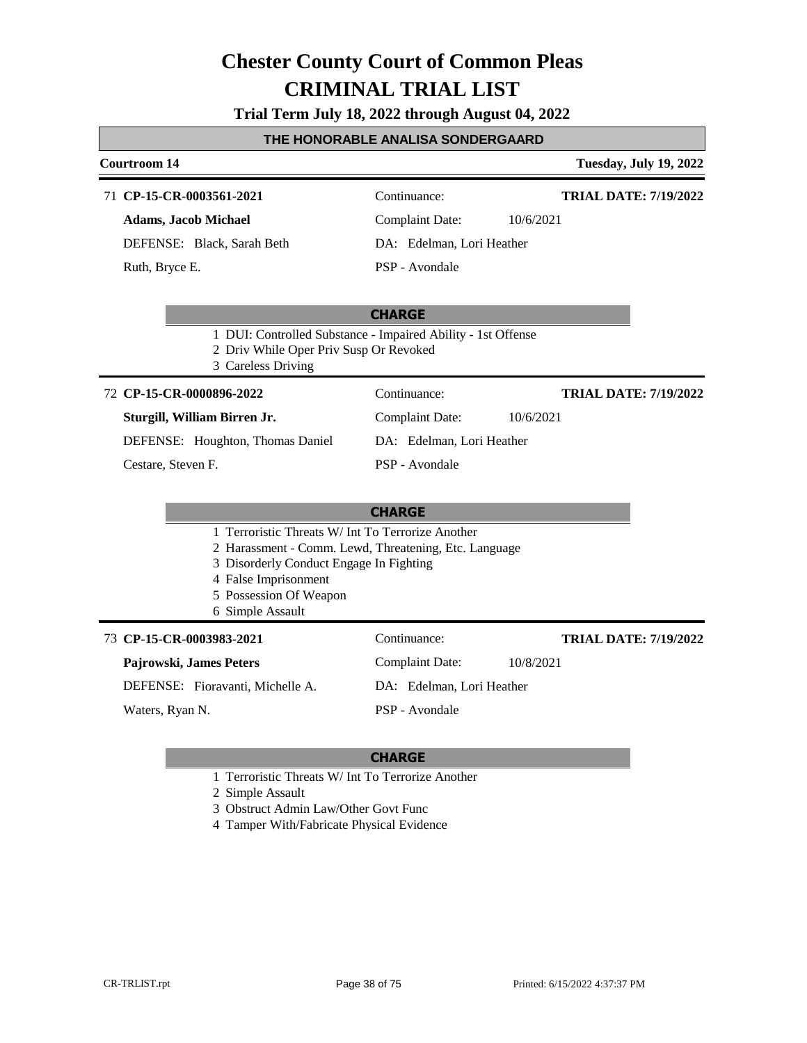**Trial Term July 18, 2022 through August 04, 2022**

#### **THE HONORABLE ANALISA SONDERGAARD**

### **Courtroom 14 Tuesday, July 19, 2022 CHARGE** 71 **CP-15-CR-0003561-2021** Continuance: **Adams, Jacob Michael** DEFENSE: Black, Sarah Beth Complaint Date: 10/6/2021 DA: Edelman, Lori Heather PSP - Avondale **TRIAL DATE: 7/19/2022** Ruth, Bryce E. 1 DUI: Controlled Substance - Impaired Ability - 1st Offense 2 Driv While Oper Priv Susp Or Revoked 3 Careless Driving **CHARGE CP-15-CR-0000896-2022** 72 Continuance: **Sturgill, William Birren Jr.** DEFENSE: Houghton, Thomas Daniel Complaint Date: 10/6/2021 DA: Edelman, Lori Heather PSP - Avondale **TRIAL DATE: 7/19/2022** Cestare, Steven F. 1 Terroristic Threats W/ Int To Terrorize Another 2 Harassment - Comm. Lewd, Threatening, Etc. Language 3 Disorderly Conduct Engage In Fighting 4 False Imprisonment 5 Possession Of Weapon 6 Simple Assault **CP-15-CR-0003983-2021** 73 Continuance: **Pajrowski, James Peters** DEFENSE: Fioravanti, Michelle A. Complaint Date: 10/8/2021 DA: Edelman, Lori Heather **TRIAL DATE: 7/19/2022**

Waters, Ryan N.

PSP - Avondale

### **CHARGE**

- 1 Terroristic Threats W/ Int To Terrorize Another
- 2 Simple Assault
- 3 Obstruct Admin Law/Other Govt Func

4 Tamper With/Fabricate Physical Evidence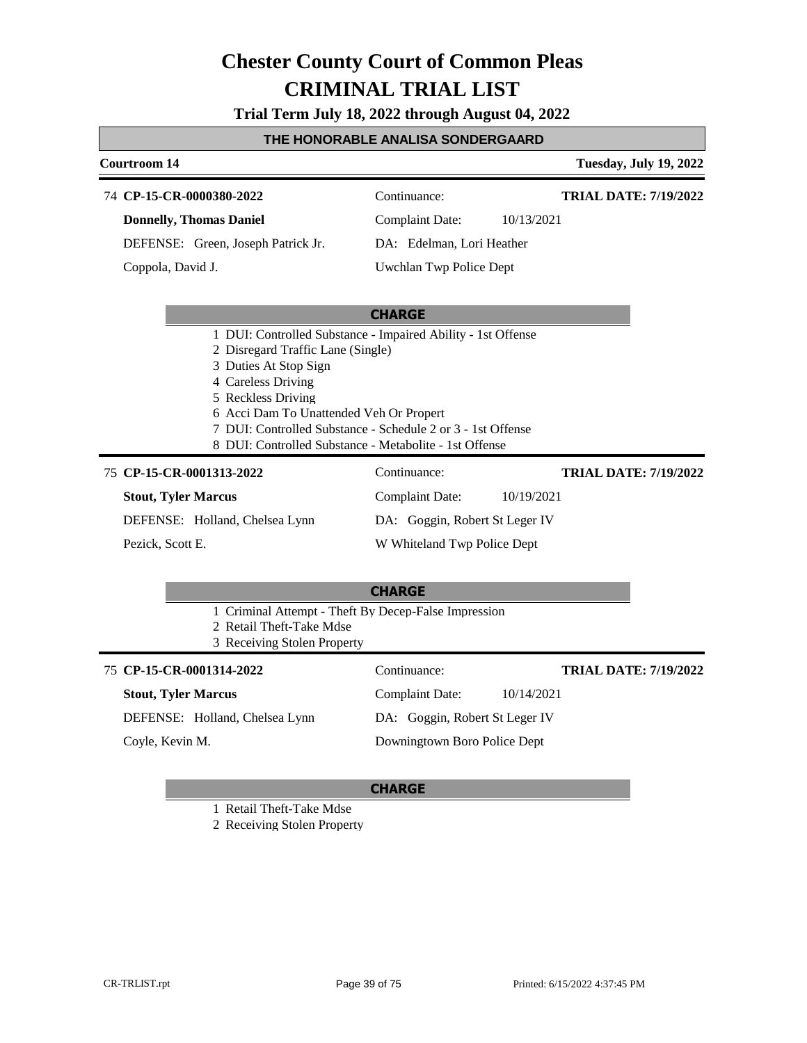**Trial Term July 18, 2022 through August 04, 2022**

#### **THE HONORABLE ANALISA SONDERGAARD**

### **CP-15-CR-0000380-2022** 74 Continuance:

**Courtroom 14 Tuesday, July 19, 2022**

**TRIAL DATE: 7/19/2022**

| <b>Donnelly, Thomas Daniel</b> |                                    |  |
|--------------------------------|------------------------------------|--|
|                                | DEFENSE: Green, Joseph Patrick Jr. |  |

Coppola, David J.

Complaint Date: 10/13/2021 DA: Edelman, Lori Heather

### Uwchlan Twp Police Dept

#### **CHARGE**

- 1 DUI: Controlled Substance Impaired Ability 1st Offense
- 2 Disregard Traffic Lane (Single)
- 3 Duties At Stop Sign
- 4 Careless Driving
- 5 Reckless Driving
- 6 Acci Dam To Unattended Veh Or Propert
- 7 DUI: Controlled Substance Schedule 2 or 3 1st Offense
- 8 DUI: Controlled Substance Metabolite 1st Offense

#### **CP-15-CR-0001313-2022** 75 Continuance:

#### **Stout, Tyler Marcus**

DEFENSE: Holland, Chelsea Lynn

Pezick, Scott E.

Complaint Date: 10/19/2021 DA: Goggin, Robert St Leger IV

W Whiteland Twp Police Dept

Downingtown Boro Police Dept

#### **TRIAL DATE: 7/19/2022**

**TRIAL DATE: 7/19/2022**

# **CHARGE**

- 1 Criminal Attempt Theft By Decep-False Impression
- 2 Retail Theft-Take Mdse
- 3 Receiving Stolen Property

#### **CP-15-CR-0001314-2022** 75 Continuance:

**Stout, Tyler Marcus** DEFENSE: Holland, Chelsea Lynn Complaint Date: 10/14/2021 DA: Goggin, Robert St Leger IV

Coyle, Kevin M.

#### **CHARGE**

1 Retail Theft-Take Mdse

2 Receiving Stolen Property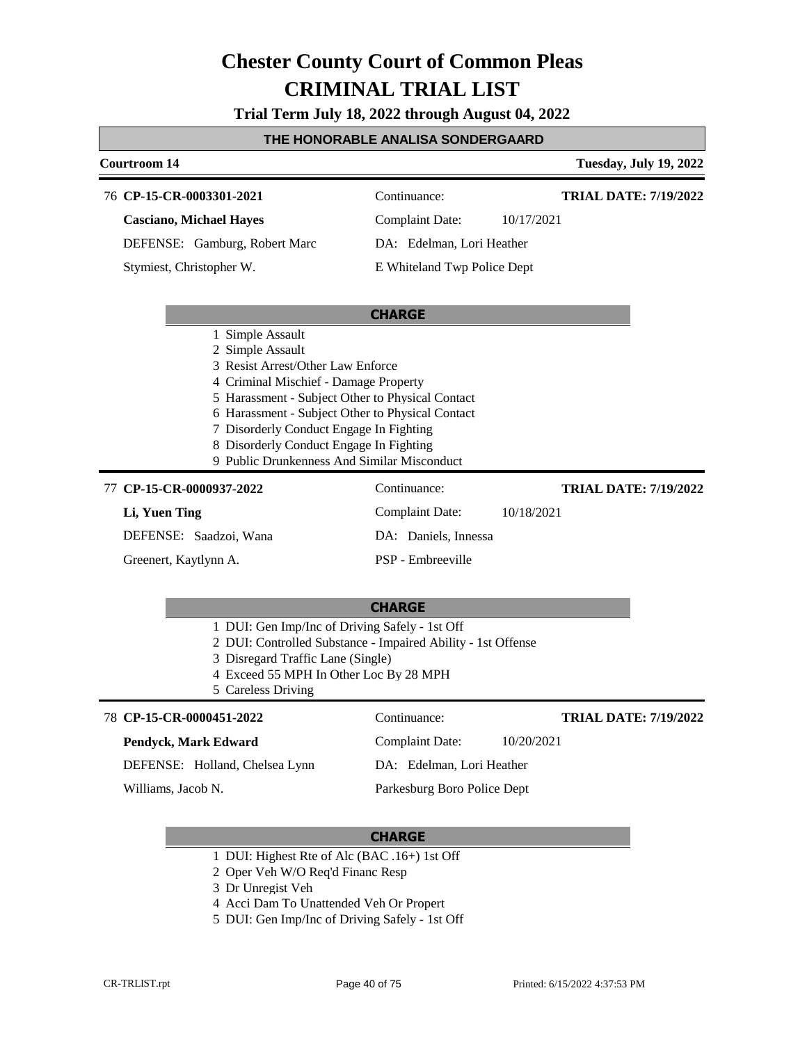**Trial Term July 18, 2022 through August 04, 2022**

#### **THE HONORABLE ANALISA SONDERGAARD**

| Courtroom 14                                                                                                                                                                                                                                                                                                                                                    |                             | <b>Tuesday, July 19, 2022</b> |
|-----------------------------------------------------------------------------------------------------------------------------------------------------------------------------------------------------------------------------------------------------------------------------------------------------------------------------------------------------------------|-----------------------------|-------------------------------|
| 76 CP-15-CR-0003301-2021                                                                                                                                                                                                                                                                                                                                        | Continuance:                | <b>TRIAL DATE: 7/19/2022</b>  |
| <b>Casciano, Michael Hayes</b>                                                                                                                                                                                                                                                                                                                                  | <b>Complaint Date:</b>      | 10/17/2021                    |
| DEFENSE: Gamburg, Robert Marc                                                                                                                                                                                                                                                                                                                                   | DA: Edelman, Lori Heather   |                               |
| Stymiest, Christopher W.                                                                                                                                                                                                                                                                                                                                        | E Whiteland Twp Police Dept |                               |
|                                                                                                                                                                                                                                                                                                                                                                 | <b>CHARGE</b>               |                               |
| 1 Simple Assault<br>2 Simple Assault<br>3 Resist Arrest/Other Law Enforce<br>4 Criminal Mischief - Damage Property<br>5 Harassment - Subject Other to Physical Contact<br>6 Harassment - Subject Other to Physical Contact<br>7 Disorderly Conduct Engage In Fighting<br>8 Disorderly Conduct Engage In Fighting<br>9 Public Drunkenness And Similar Misconduct |                             |                               |
| 77 CP-15-CR-0000937-2022                                                                                                                                                                                                                                                                                                                                        | Continuance:                | <b>TRIAL DATE: 7/19/2022</b>  |
| Li, Yuen Ting                                                                                                                                                                                                                                                                                                                                                   | <b>Complaint Date:</b>      | 10/18/2021                    |
| DEFENSE: Saadzoi, Wana                                                                                                                                                                                                                                                                                                                                          | DA: Daniels, Innessa        |                               |
| Greenert, Kaytlynn A.                                                                                                                                                                                                                                                                                                                                           | PSP - Embreeville           |                               |
|                                                                                                                                                                                                                                                                                                                                                                 | <b>CHARGE</b>               |                               |
| 1 DUI: Gen Imp/Inc of Driving Safely - 1st Off<br>2 DUI: Controlled Substance - Impaired Ability - 1st Offense<br>3 Disregard Traffic Lane (Single)<br>4 Exceed 55 MPH In Other Loc By 28 MPH<br>5 Careless Driving                                                                                                                                             |                             |                               |
| 78 CP-15-CR-0000451-2022                                                                                                                                                                                                                                                                                                                                        | Continuance:                | <b>TRIAL DATE: 7/19/2022</b>  |
| Pendyck, Mark Edward                                                                                                                                                                                                                                                                                                                                            | <b>Complaint Date:</b>      | 10/20/2021                    |
| DEFENSE: Holland, Chelsea Lynn                                                                                                                                                                                                                                                                                                                                  | DA: Edelman, Lori Heather   |                               |

Williams, Jacob N.

Parkesburg Boro Police Dept

- 1 DUI: Highest Rte of Alc (BAC .16+) 1st Off
- 2 Oper Veh W/O Req'd Financ Resp
- 3 Dr Unregist Veh
- 4 Acci Dam To Unattended Veh Or Propert
- 5 DUI: Gen Imp/Inc of Driving Safely 1st Off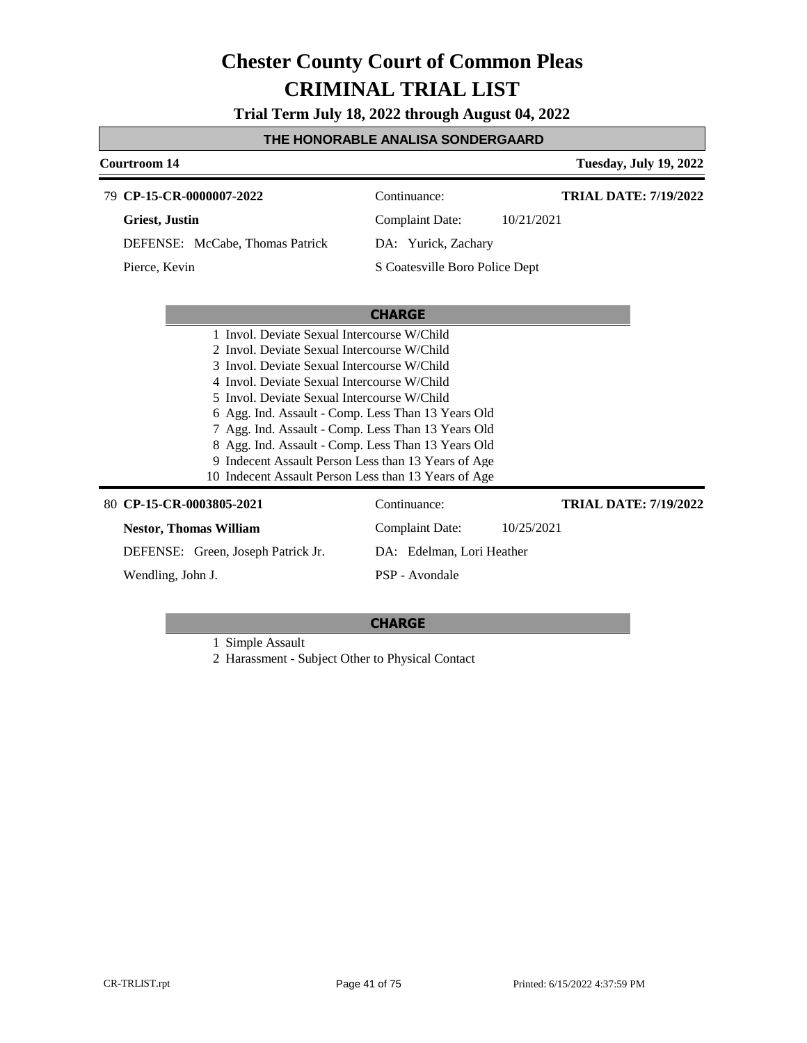**Trial Term July 18, 2022 through August 04, 2022**

#### **THE HONORABLE ANALISA SONDERGAARD**

### **Courtroom 14 Tuesday, July 19, 2022 CHARGE CP-15-CR-0000007-2022** 79 Continuance: **Griest, Justin** DEFENSE: McCabe, Thomas Patrick Complaint Date: 10/21/2021 DA: Yurick, Zachary S Coatesville Boro Police Dept **TRIAL DATE: 7/19/2022** Pierce, Kevin

| 1 Invol. Deviate Sexual Intercourse W/Child          |                           |                       |  |  |
|------------------------------------------------------|---------------------------|-----------------------|--|--|
| 2 Invol. Deviate Sexual Intercourse W/Child          |                           |                       |  |  |
| 3 Invol. Deviate Sexual Intercourse W/Child          |                           |                       |  |  |
| 4 Invol. Deviate Sexual Intercourse W/Child          |                           |                       |  |  |
| 5 Invol. Deviate Sexual Intercourse W/Child          |                           |                       |  |  |
| 6 Agg. Ind. Assault - Comp. Less Than 13 Years Old   |                           |                       |  |  |
| 7 Agg. Ind. Assault - Comp. Less Than 13 Years Old   |                           |                       |  |  |
| 8 Agg. Ind. Assault - Comp. Less Than 13 Years Old   |                           |                       |  |  |
| 9 Indecent Assault Person Less than 13 Years of Age  |                           |                       |  |  |
| 10 Indecent Assault Person Less than 13 Years of Age |                           |                       |  |  |
| 80 CP-15-CR-0003805-2021                             | Continuance:              | TRIAL DATE: 7/19/2022 |  |  |
| <b>Nestor, Thomas William</b>                        | Complaint Date:           | 10/25/2021            |  |  |
| DEFENSE: Green, Joseph Patrick Jr.                   | DA: Edelman, Lori Heather |                       |  |  |
| Wendling, John J.                                    | PSP - Avondale            |                       |  |  |

#### **CHARGE**

1 Simple Assault

2 Harassment - Subject Other to Physical Contact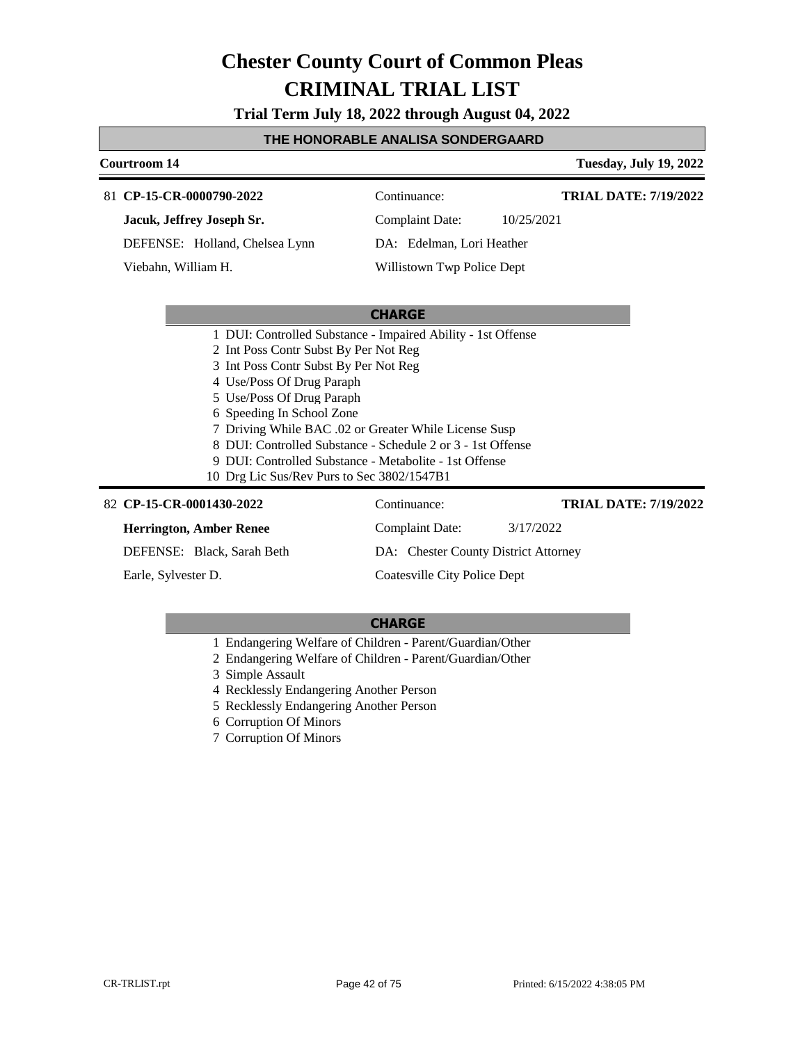**Trial Term July 18, 2022 through August 04, 2022**

#### **THE HONORABLE ANALISA SONDERGAARD**

#### **Courtroom 14 Tuesday, July 19, 2022 CP-15-CR-0000790-2022** 81 Continuance: **Jacuk, Jeffrey Joseph Sr.** DEFENSE: Holland, Chelsea Lynn Complaint Date: 10/25/2021 DA: Edelman, Lori Heather Willistown Twp Police Dept **TRIAL DATE: 7/19/2022** Viebahn, William H.

#### **CHARGE**

- 1 DUI: Controlled Substance Impaired Ability 1st Offense
- 2 Int Poss Contr Subst By Per Not Reg
- 3 Int Poss Contr Subst By Per Not Reg
- 4 Use/Poss Of Drug Paraph
- 5 Use/Poss Of Drug Paraph
- 6 Speeding In School Zone
- 7 Driving While BAC .02 or Greater While License Susp
- 8 DUI: Controlled Substance Schedule 2 or 3 1st Offense
- 9 DUI: Controlled Substance Metabolite 1st Offense
- 10 Drg Lic Sus/Rev Purs to Sec 3802/1547B1

#### **CP-15-CR-0001430-2022** 82 Continuance:

### **Herrington, Amber Renee**

DEFENSE: Black, Sarah Beth

Earle, Sylvester D.

Coatesville City Police Dept

Complaint Date: 3/17/2022

DA: Chester County District Attorney

#### **CHARGE**

- 1 Endangering Welfare of Children Parent/Guardian/Other
- 2 Endangering Welfare of Children Parent/Guardian/Other
- 3 Simple Assault
- 4 Recklessly Endangering Another Person
- 5 Recklessly Endangering Another Person
- 6 Corruption Of Minors
- 7 Corruption Of Minors

**TRIAL DATE: 7/19/2022**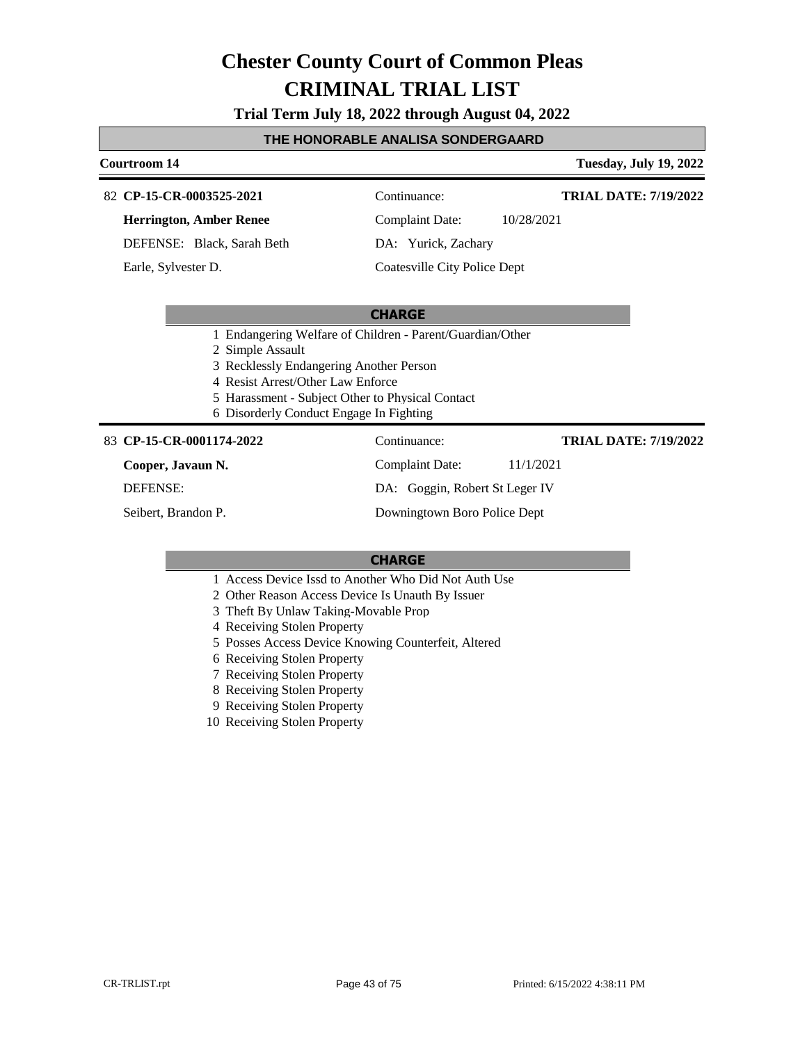**Trial Term July 18, 2022 through August 04, 2022**

#### **THE HONORABLE ANALISA SONDERGAARD**

#### **Courtroom 14 Tuesday, July 19, 2022**

#### **CP-15-CR-0003525-2021** 82 Continuance:

**Herrington, Amber Renee**

DEFENSE: Black, Sarah Beth

Earle, Sylvester D.

Complaint Date: 10/28/2021

**TRIAL DATE: 7/19/2022**

DA: Yurick, Zachary

Coatesville City Police Dept

#### **CHARGE**

- 1 Endangering Welfare of Children Parent/Guardian/Other
- 2 Simple Assault
- 3 Recklessly Endangering Another Person
- 4 Resist Arrest/Other Law Enforce
- 5 Harassment Subject Other to Physical Contact
- 6 Disorderly Conduct Engage In Fighting

#### 83 **CP-15-CR-0001174-2022** Continuance:

**Cooper, Javaun N.**

DEFENSE:

Seibert, Brandon P.

Complaint Date: 11/1/2021 DA: Goggin, Robert St Leger IV Downingtown Boro Police Dept **TRIAL DATE: 7/19/2022**

- 1 Access Device Issd to Another Who Did Not Auth Use
- 2 Other Reason Access Device Is Unauth By Issuer
- 3 Theft By Unlaw Taking-Movable Prop
- 4 Receiving Stolen Property
- 5 Posses Access Device Knowing Counterfeit, Altered
- 6 Receiving Stolen Property
- 7 Receiving Stolen Property
- 8 Receiving Stolen Property
- 9 Receiving Stolen Property
- 10 Receiving Stolen Property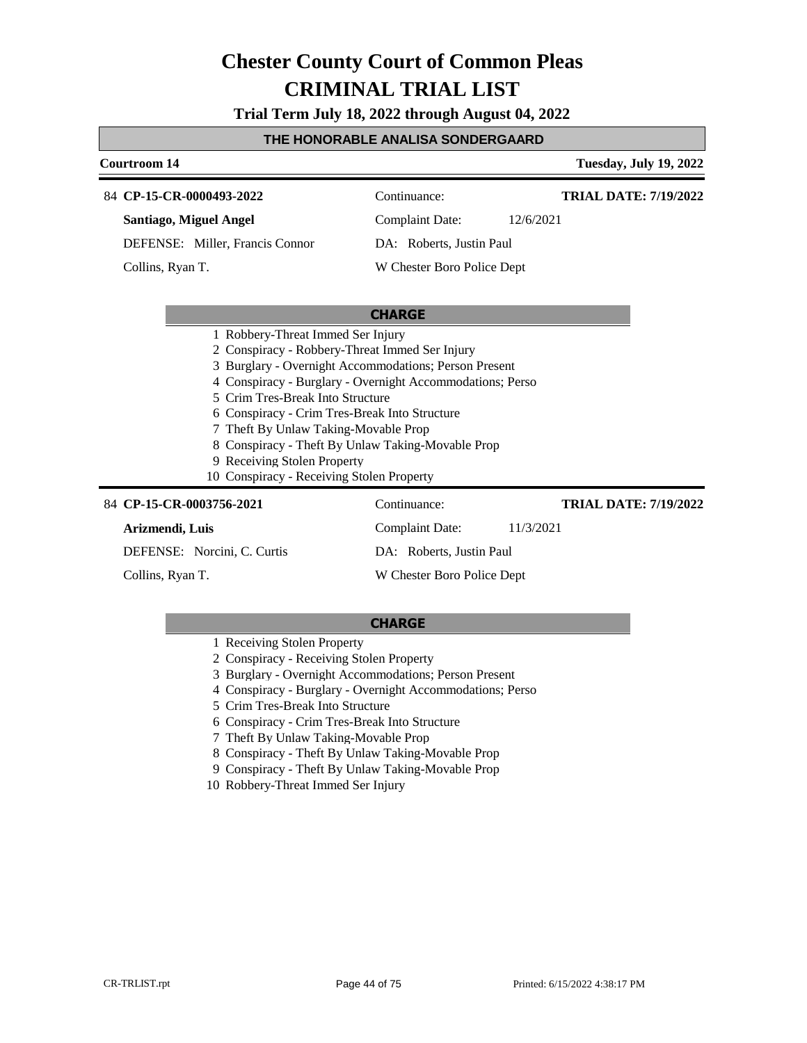**Trial Term July 18, 2022 through August 04, 2022**

#### **THE HONORABLE ANALISA SONDERGAARD**

### **Courtroom 14 Tuesday, July 19, 2022 CHARGE** 84 **CP-15-CR-0000493-2022** Continuance: **Santiago, Miguel Angel** DEFENSE: Miller, Francis Connor Complaint Date: 12/6/2021 DA: Roberts, Justin Paul W Chester Boro Police Dept **TRIAL DATE: 7/19/2022** Collins, Ryan T. 1 Robbery-Threat Immed Ser Injury 2 Conspiracy - Robbery-Threat Immed Ser Injury 3 Burglary - Overnight Accommodations; Person Present 4 Conspiracy - Burglary - Overnight Accommodations; Perso 5 Crim Tres-Break Into Structure 6 Conspiracy - Crim Tres-Break Into Structure 7 Theft By Unlaw Taking-Movable Prop 8 Conspiracy - Theft By Unlaw Taking-Movable Prop 9 Receiving Stolen Property 10 Conspiracy - Receiving Stolen Property 84 **CP-15-CR-0003756-2021** Continuance: **Arizmendi, Luis** DEFENSE: Norcini, C. Curtis Complaint Date: 11/3/2021 DA: Roberts, Justin Paul **TRIAL DATE: 7/19/2022**

Collins, Ryan T.

#### **CHARGE**

W Chester Boro Police Dept

- 1 Receiving Stolen Property
- 2 Conspiracy Receiving Stolen Property
- 3 Burglary Overnight Accommodations; Person Present
- 4 Conspiracy Burglary Overnight Accommodations; Perso
- 5 Crim Tres-Break Into Structure
- 6 Conspiracy Crim Tres-Break Into Structure
- 7 Theft By Unlaw Taking-Movable Prop
- 8 Conspiracy Theft By Unlaw Taking-Movable Prop
- 9 Conspiracy Theft By Unlaw Taking-Movable Prop
- 10 Robbery-Threat Immed Ser Injury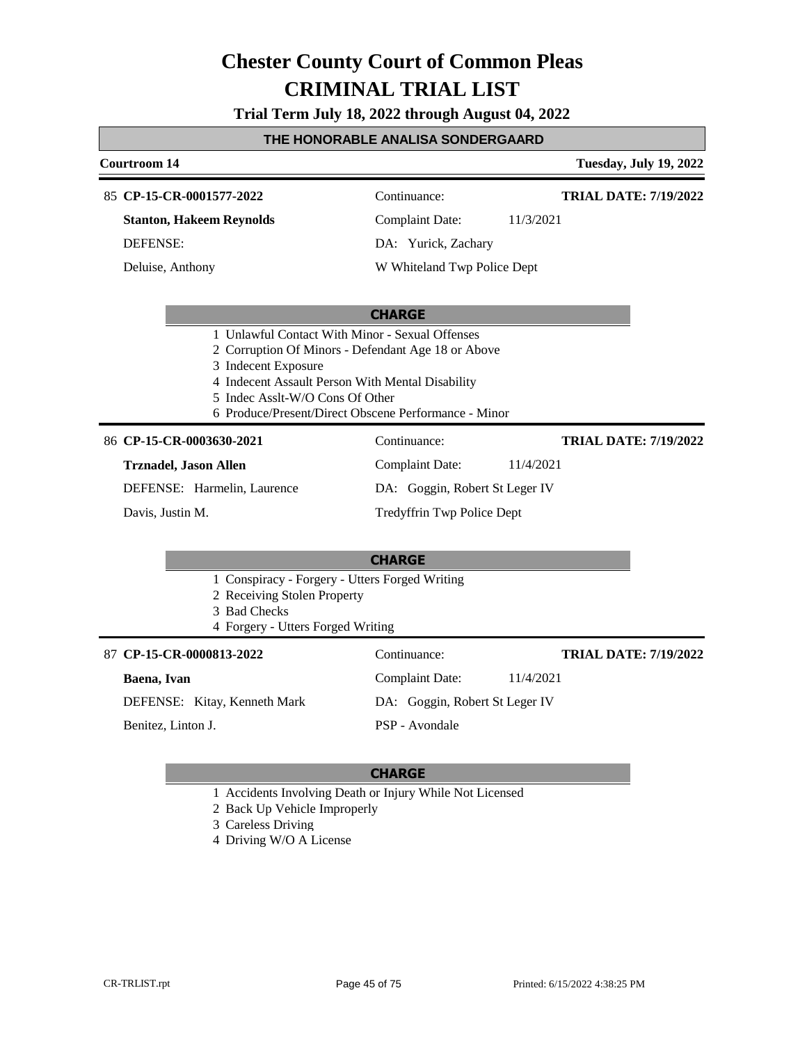**Trial Term July 18, 2022 through August 04, 2022**

#### **THE HONORABLE ANALISA SONDERGAARD**

### **Courtroom 14 Tuesday, July 19, 2022 CHARGE CP-15-CR-0001577-2022** 85 Continuance: **Stanton, Hakeem Reynolds** DEFENSE: Complaint Date: 11/3/2021 DA: Yurick, Zachary W Whiteland Twp Police Dept **TRIAL DATE: 7/19/2022** Deluise, Anthony 1 Unlawful Contact With Minor - Sexual Offenses 2 Corruption Of Minors - Defendant Age 18 or Above 3 Indecent Exposure 4 Indecent Assault Person With Mental Disability 5 Indec Asslt-W/O Cons Of Other 6 Produce/Present/Direct Obscene Performance - Minor **CHARGE** 86 CP-15-CR-0003630-2021 Continuance: **Trznadel, Jason Allen** DEFENSE: Harmelin, Laurence Complaint Date: 11/4/2021 DA: Goggin, Robert St Leger IV Tredyffrin Twp Police Dept **TRIAL DATE: 7/19/2022** Davis, Justin M. 1 Conspiracy - Forgery - Utters Forged Writing 2 Receiving Stolen Property 3 Bad Checks 4 Forgery - Utters Forged Writing **CP-15-CR-0000813-2022** 87 Continuance: **Baena, Ivan** DEFENSE: Kitay, Kenneth Mark Complaint Date: 11/4/2021 DA: Goggin, Robert St Leger IV **TRIAL DATE: 7/19/2022**

Benitez, Linton J.

#### **CHARGE**

PSP - Avondale

- 1 Accidents Involving Death or Injury While Not Licensed
- 2 Back Up Vehicle Improperly
- 3 Careless Driving
- 4 Driving W/O A License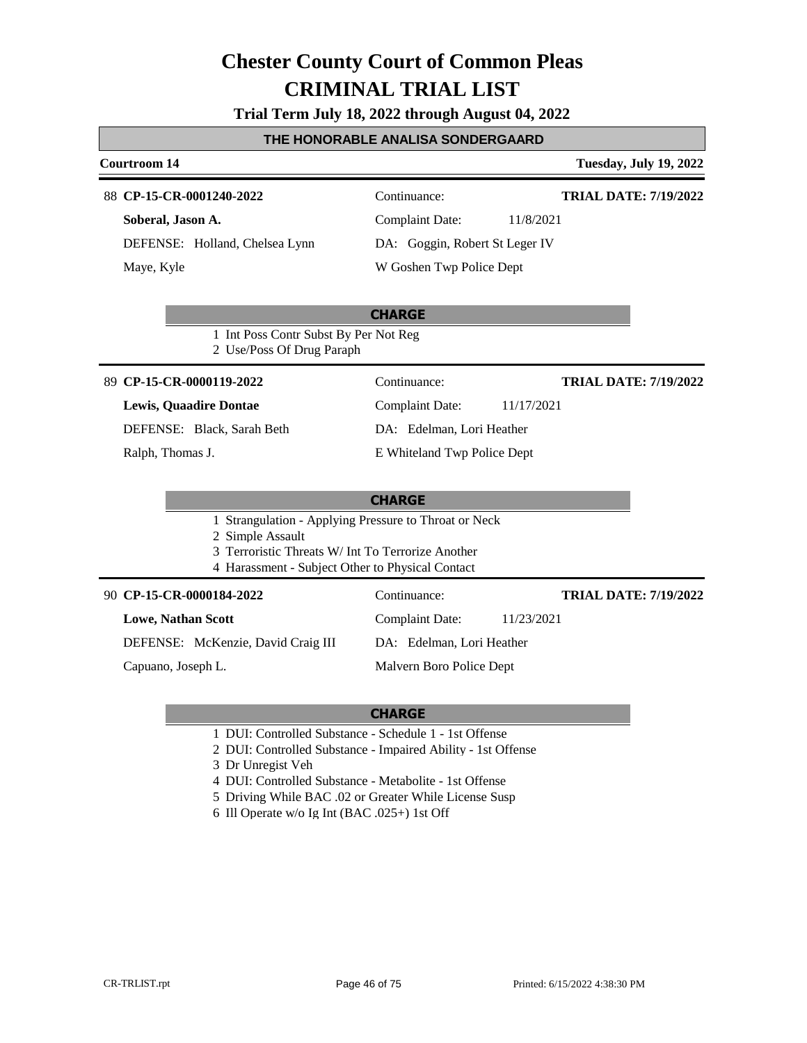**Trial Term July 18, 2022 through August 04, 2022**

#### **THE HONORABLE ANALISA SONDERGAARD**

#### **Courtroom 14 Tuesday, July 19, 2022**

#### 88 **CP-15-CR-0001240-2022** Continuance:

**Soberal, Jason A.** DEFENSE: Holland, Chelsea Lynn Maye, Kyle

# Complaint Date: 11/8/2021 DA: Goggin, Robert St Leger IV

W Goshen Twp Police Dept

### **CHARGE**

1 Int Poss Contr Subst By Per Not Reg 2 Use/Poss Of Drug Paraph

#### **CP-15-CR-0000119-2022** 89 Continuance:

#### **Lewis, Quaadire Dontae**

DEFENSE: Black, Sarah Beth

Ralph, Thomas J.

Complaint Date: 11/17/2021 DA: Edelman, Lori Heather E Whiteland Twp Police Dept **TRIAL DATE: 7/19/2022**

**TRIAL DATE: 7/19/2022**

**TRIAL DATE: 7/19/2022**

#### **CHARGE**

1 Strangulation - Applying Pressure to Throat or Neck

- 2 Simple Assault
- 3 Terroristic Threats W/ Int To Terrorize Another
- 4 Harassment Subject Other to Physical Contact

#### **CP-15-CR-0000184-2022** 90 Continuance:

**Lowe, Nathan Scott**

DEFENSE: McKenzie, David Craig III

Capuano, Joseph L.

DA: Edelman, Lori Heather Malvern Boro Police Dept

Complaint Date: 11/23/2021

- 1 DUI: Controlled Substance Schedule 1 1st Offense
- 2 DUI: Controlled Substance Impaired Ability 1st Offense
- 3 Dr Unregist Veh
- 4 DUI: Controlled Substance Metabolite 1st Offense
- 5 Driving While BAC .02 or Greater While License Susp
- 6 Ill Operate w/o Ig Int (BAC .025+) 1st Off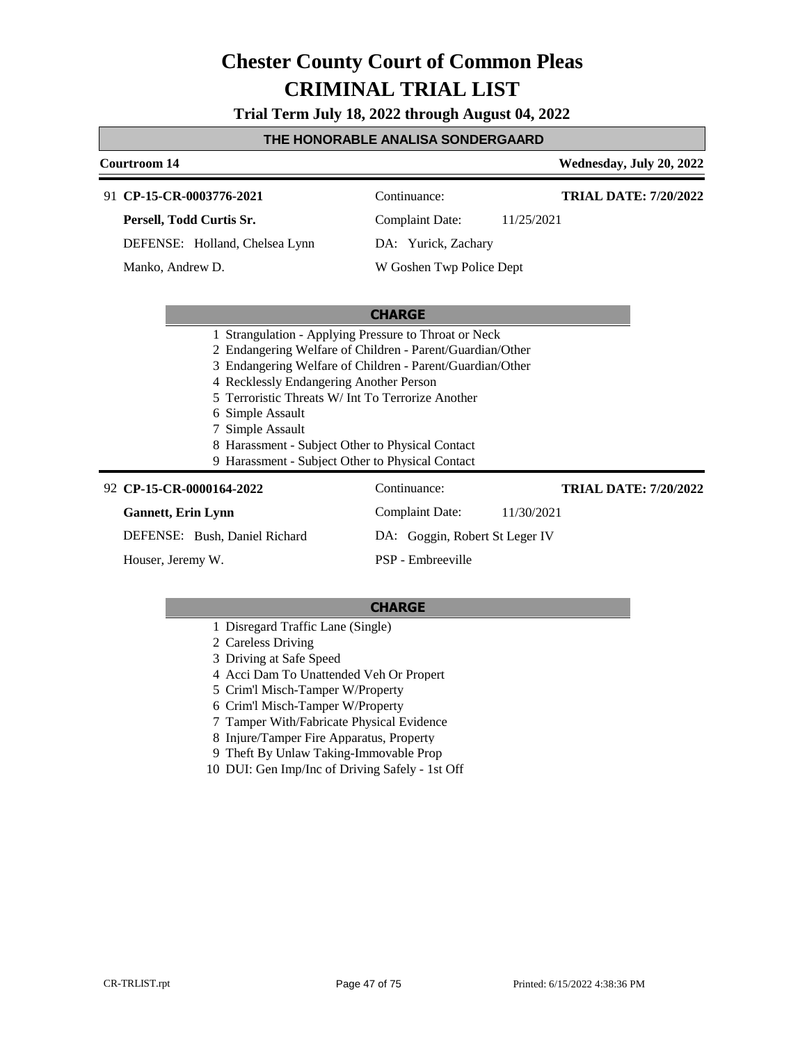**Trial Term July 18, 2022 through August 04, 2022**

#### **THE HONORABLE ANALISA SONDERGAARD**

#### **Courtroom 14 Wednesday, July 20, 2022 CP-15-CR-0003776-2021** 91 Continuance: **Persell, Todd Curtis Sr.** DEFENSE: Holland, Chelsea Lynn Complaint Date: 11/25/2021 DA: Yurick, Zachary W Goshen Twp Police Dept **TRIAL DATE: 7/20/2022** Manko, Andrew D.

#### **CHARGE**

- 1 Strangulation Applying Pressure to Throat or Neck
- 2 Endangering Welfare of Children Parent/Guardian/Other
- 3 Endangering Welfare of Children Parent/Guardian/Other
- 4 Recklessly Endangering Another Person
- 5 Terroristic Threats W/ Int To Terrorize Another
- 6 Simple Assault
- 7 Simple Assault
- 8 Harassment Subject Other to Physical Contact
- 9 Harassment Subject Other to Physical Contact

### **CP-15-CR-0000164-2022** 92 Continuance:

#### **Gannett, Erin Lynn**

DEFENSE: Bush, Daniel Richard

Houser, Jeremy W.

Complaint Date: 11/30/2021 DA: Goggin, Robert St Leger IV

### PSP - Embreeville

### **CHARGE**

- 1 Disregard Traffic Lane (Single)
- 2 Careless Driving
- 3 Driving at Safe Speed
- 4 Acci Dam To Unattended Veh Or Propert
- 5 Crim'l Misch-Tamper W/Property
- 6 Crim'l Misch-Tamper W/Property
- 7 Tamper With/Fabricate Physical Evidence
- 8 Injure/Tamper Fire Apparatus, Property
- 9 Theft By Unlaw Taking-Immovable Prop
- 10 DUI: Gen Imp/Inc of Driving Safely 1st Off

**TRIAL DATE: 7/20/2022**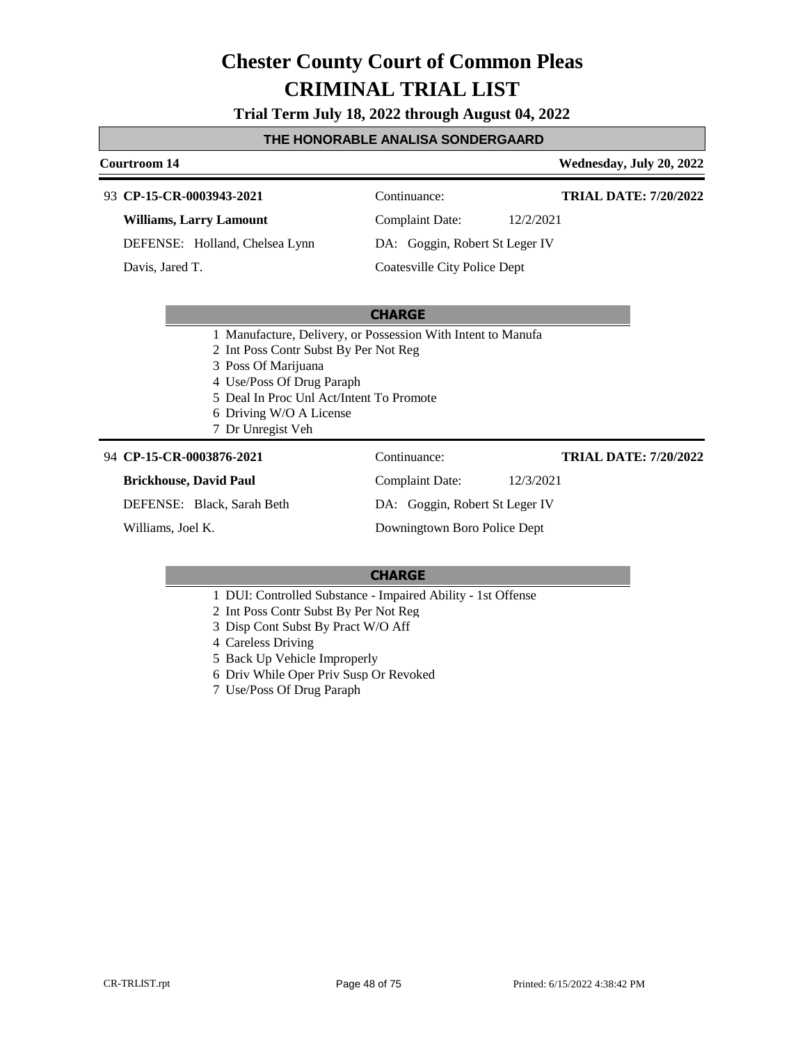**Trial Term July 18, 2022 through August 04, 2022**

#### **THE HONORABLE ANALISA SONDERGAARD**

#### **Courtroom 14 Wednesday, July 20, 2022**

#### **CP-15-CR-0003943-2021** 93 Continuance:

**Williams, Larry Lamount**

DEFENSE: Holland, Chelsea Lynn

Davis, Jared T.

# Complaint Date: 12/2/2021

**TRIAL DATE: 7/20/2022**

**TRIAL DATE: 7/20/2022**

DA: Goggin, Robert St Leger IV

Coatesville City Police Dept

#### **CHARGE**

- 1 Manufacture, Delivery, or Possession With Intent to Manufa
- 2 Int Poss Contr Subst By Per Not Reg
- 3 Poss Of Marijuana
- 4 Use/Poss Of Drug Paraph
- 5 Deal In Proc Unl Act/Intent To Promote
- 6 Driving W/O A License
- 7 Dr Unregist Veh

#### **CP-15-CR-0003876-2021** 94 Continuance:

### **Brickhouse, David Paul**

DEFENSE: Black, Sarah Beth

Williams, Joel K.

Complaint Date: 12/3/2021 DA: Goggin, Robert St Leger IV Downingtown Boro Police Dept

- 1 DUI: Controlled Substance Impaired Ability 1st Offense
- 2 Int Poss Contr Subst By Per Not Reg
- 3 Disp Cont Subst By Pract W/O Aff
- 4 Careless Driving
- 5 Back Up Vehicle Improperly
- 6 Driv While Oper Priv Susp Or Revoked
- 7 Use/Poss Of Drug Paraph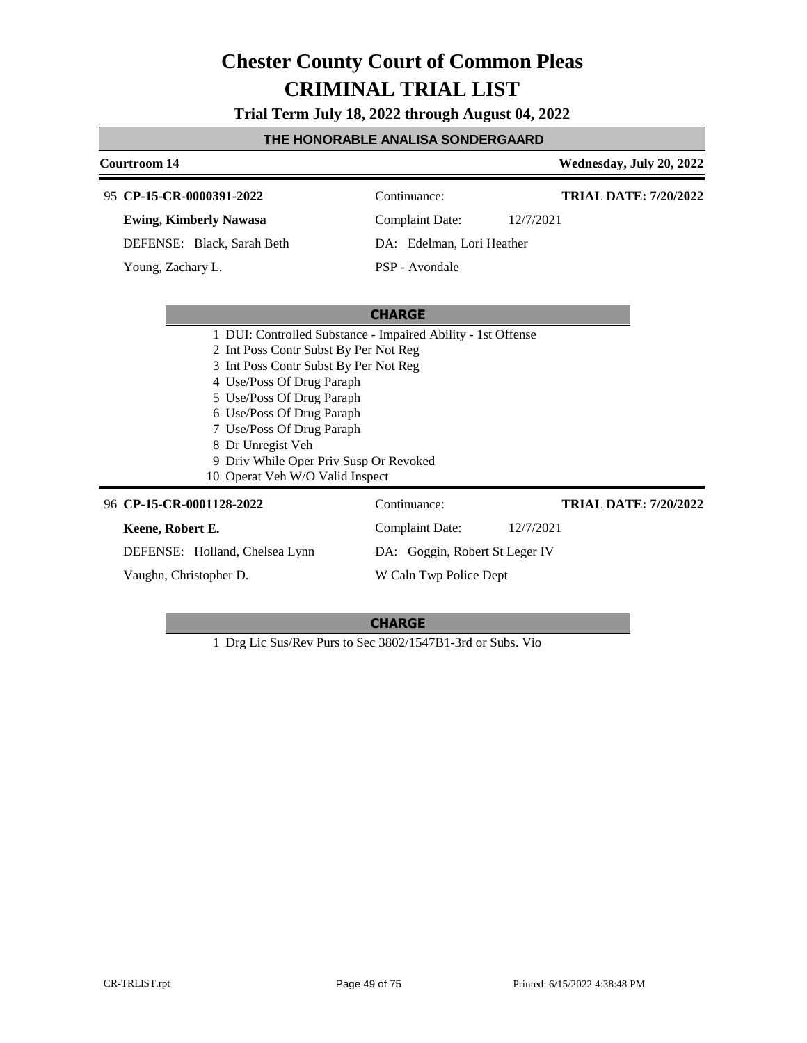**Trial Term July 18, 2022 through August 04, 2022**

#### **THE HONORABLE ANALISA SONDERGAARD**

#### **Courtroom 14 Wednesday, July 20, 2022 CHARGE CP-15-CR-0000391-2022** 95 Continuance: **Ewing, Kimberly Nawasa** DEFENSE: Black, Sarah Beth Complaint Date: 12/7/2021 DA: Edelman, Lori Heather PSP - Avondale **TRIAL DATE: 7/20/2022** Young, Zachary L. 1 DUI: Controlled Substance - Impaired Ability - 1st Offense 2 Int Poss Contr Subst By Per Not Reg 3 Int Poss Contr Subst By Per Not Reg 4 Use/Poss Of Drug Paraph 5 Use/Poss Of Drug Paraph 6 Use/Poss Of Drug Paraph 7 Use/Poss Of Drug Paraph 8 Dr Unregist Veh 9 Driv While Oper Priv Susp Or Revoked 10 Operat Veh W/O Valid Inspect 96 **CP-15-CR-0001128-2022** Continuance: **Keene, Robert E.** DEFENSE: Holland, Chelsea Lynn Complaint Date: 12/7/2021 DA: Goggin, Robert St Leger IV W Caln Twp Police Dept **TRIAL DATE: 7/20/2022** Vaughn, Christopher D.

#### **CHARGE**

1 Drg Lic Sus/Rev Purs to Sec 3802/1547B1-3rd or Subs. Vio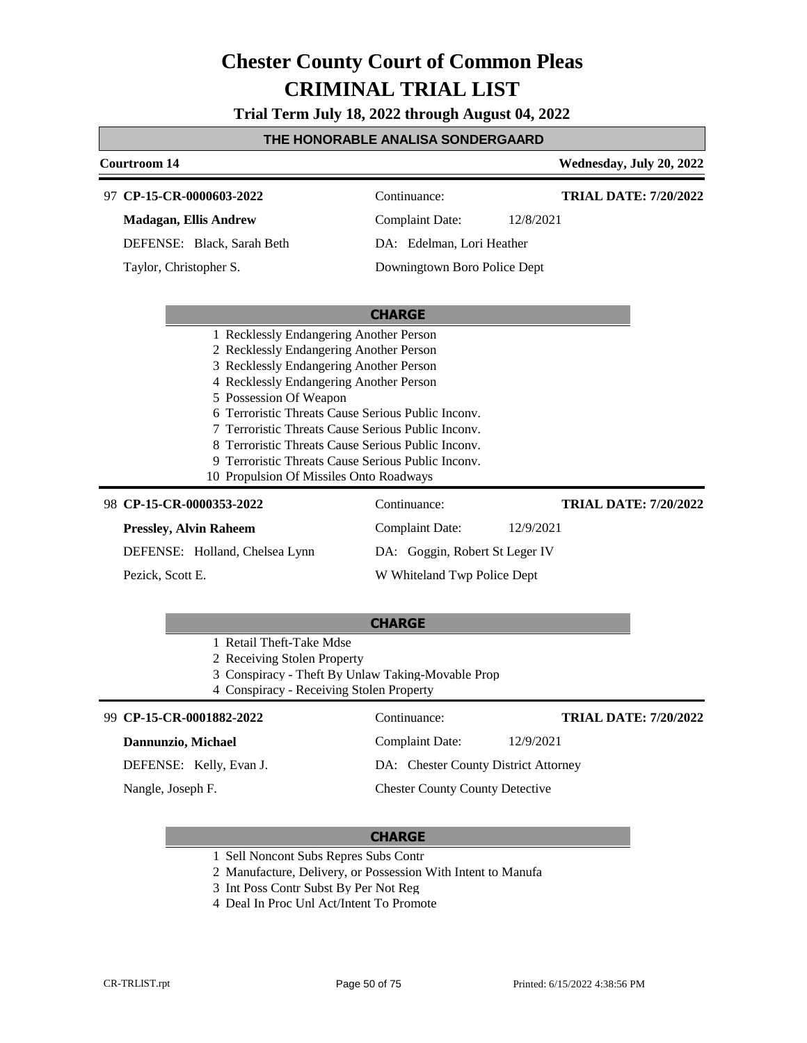**Trial Term July 18, 2022 through August 04, 2022**

#### **THE HONORABLE ANALISA SONDERGAARD**

| <b>Courtroom 14</b>                                |                                |           | Wednesday, July 20, 2022     |
|----------------------------------------------------|--------------------------------|-----------|------------------------------|
| 97 CP-15-CR-0000603-2022                           | Continuance:                   |           | <b>TRIAL DATE: 7/20/2022</b> |
| <b>Madagan, Ellis Andrew</b>                       | <b>Complaint Date:</b>         | 12/8/2021 |                              |
| DEFENSE: Black, Sarah Beth                         | DA: Edelman, Lori Heather      |           |                              |
| Taylor, Christopher S.                             | Downingtown Boro Police Dept   |           |                              |
|                                                    | <b>CHARGE</b>                  |           |                              |
| 1 Recklessly Endangering Another Person            |                                |           |                              |
| 2 Recklessly Endangering Another Person            |                                |           |                              |
| 3 Recklessly Endangering Another Person            |                                |           |                              |
| 4 Recklessly Endangering Another Person            |                                |           |                              |
| 5 Possession Of Weapon                             |                                |           |                              |
| Terroristic Threats Cause Serious Public Inconv.   |                                |           |                              |
| 7 Terroristic Threats Cause Serious Public Inconv. |                                |           |                              |
| 8 Terroristic Threats Cause Serious Public Inconv. |                                |           |                              |
| 9 Terroristic Threats Cause Serious Public Inconv. |                                |           |                              |
| 10 Propulsion Of Missiles Onto Roadways            |                                |           |                              |
| 98 CP-15-CR-0000353-2022                           | Continuance:                   |           | <b>TRIAL DATE: 7/20/2022</b> |
| <b>Pressley, Alvin Raheem</b>                      | <b>Complaint Date:</b>         | 12/9/2021 |                              |
| DEFENSE: Holland, Chelsea Lynn                     | DA: Goggin, Robert St Leger IV |           |                              |
| Pezick, Scott E.                                   | W Whiteland Twp Police Dept    |           |                              |
|                                                    | <b>CHARGE</b>                  |           |                              |
| 1 Retail Theft-Take Mdse                           |                                |           |                              |
| 2 December Stelen Dronorty                         |                                |           |                              |

2 Receiving Stolen Property

3 Conspiracy - Theft By Unlaw Taking-Movable Prop

4 Conspiracy - Receiving Stolen Property

#### **CP-15-CR-0001882-2022** 99 Continuance: **Dannunzio, Michael** DEFENSE: Kelly, Evan J. Complaint Date: 12/9/2021 DA: Chester County District Attorney Chester County County Detective **TRIAL DATE: 7/20/2022** Nangle, Joseph F.

- 1 Sell Noncont Subs Repres Subs Contr
- 2 Manufacture, Delivery, or Possession With Intent to Manufa
- 3 Int Poss Contr Subst By Per Not Reg
- 4 Deal In Proc Unl Act/Intent To Promote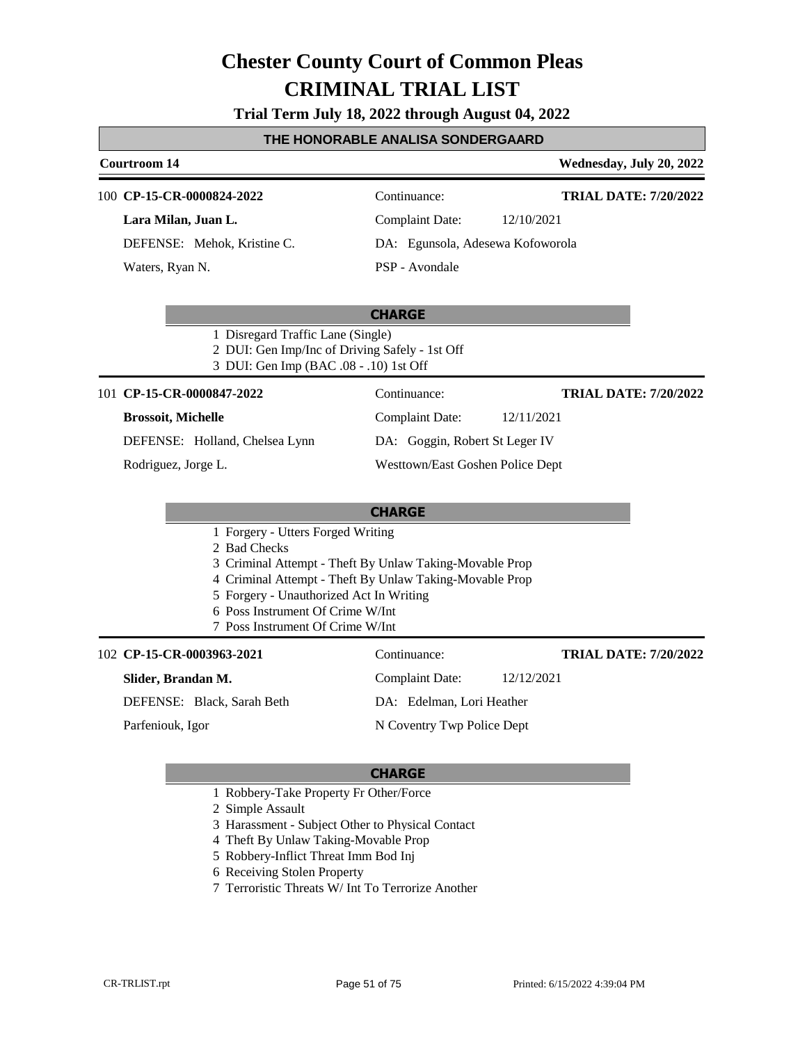#### **Trial Term July 18, 2022 through August 04, 2022**

#### **THE HONORABLE ANALISA SONDERGAARD**

#### **Courtroom 14 Wednesday, July 20, 2022**

| 100 CP-15-CR-0000824-2022   | Continuance:                     | <b>TRIAL DATE: 7/20/2022</b> |
|-----------------------------|----------------------------------|------------------------------|
| Lara Milan, Juan L.         | Complaint Date:                  | 12/10/2021                   |
| DEFENSE: Mehok, Kristine C. | DA: Egunsola, Adesewa Kofoworola |                              |
| Waters, Ryan N.             | PSP - Avondale                   |                              |

#### **CHARGE**

- 1 Disregard Traffic Lane (Single)
- 2 DUI: Gen Imp/Inc of Driving Safely 1st Off
- 3 DUI: Gen Imp (BAC .08 .10) 1st Off

101 **CP-15-CR-0000847-2022** Continuance:

#### **Brossoit, Michelle**

DEFENSE: Holland, Chelsea Lynn

Rodriguez, Jorge L.

### Complaint Date: 12/11/2021 DA: Goggin, Robert St Leger IV Westtown/East Goshen Police Dept **TRIAL DATE: 7/20/2022**

|                                                         | <b>CHARGE</b>                 |                              |
|---------------------------------------------------------|-------------------------------|------------------------------|
| 1 Forgery - Utters Forged Writing                       |                               |                              |
| 2 Bad Checks                                            |                               |                              |
| 3 Criminal Attempt - Theft By Unlaw Taking-Movable Prop |                               |                              |
| 4 Criminal Attempt - Theft By Unlaw Taking-Movable Prop |                               |                              |
| 5 Forgery - Unauthorized Act In Writing                 |                               |                              |
| 6 Poss Instrument Of Crime W/Int                        |                               |                              |
| 7 Poss Instrument Of Crime W/Int                        |                               |                              |
| 102 CP-15-CR-0003963-2021                               | Continuance:                  | <b>TRIAL DATE: 7/20/2022</b> |
| Slider, Brandan M.                                      | 12/12/2021<br>Complaint Date: |                              |
| DEFENSE: Black, Sarah Beth                              | DA: Edelman, Lori Heather     |                              |
| Parfeniouk, Igor                                        | N Coventry Twp Police Dept    |                              |

- 1 Robbery-Take Property Fr Other/Force
- 2 Simple Assault
- 3 Harassment Subject Other to Physical Contact
- 4 Theft By Unlaw Taking-Movable Prop
- 5 Robbery-Inflict Threat Imm Bod Inj
- 6 Receiving Stolen Property
- 7 Terroristic Threats W/ Int To Terrorize Another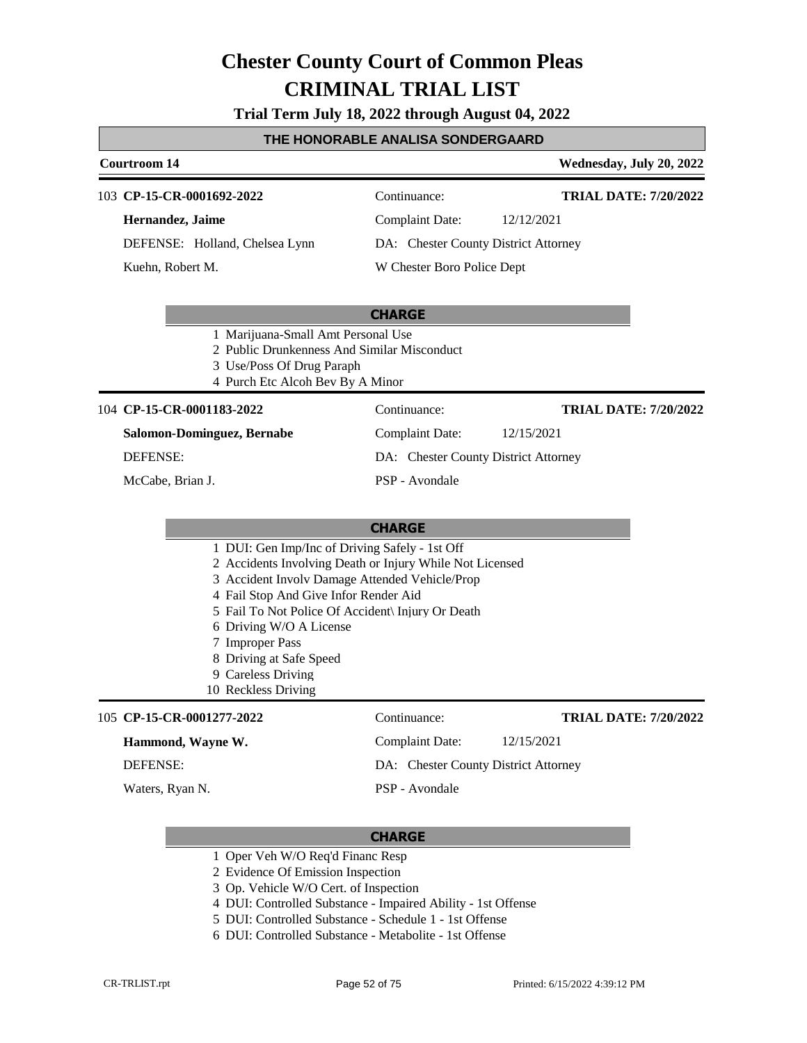**Trial Term July 18, 2022 through August 04, 2022**

#### **THE HONORABLE ANALISA SONDERGAARD**

### **Courtroom 14 Wednesday, July 20, 2022**

**TRIAL DATE: 7/20/2022**

| 103 CP-15-CR-0001692-2022      | Continuance:                         | <b>TRIAL DATE: 7/20/2022</b> |
|--------------------------------|--------------------------------------|------------------------------|
| Hernandez, Jaime               | Complaint Date:                      | 12/12/2021                   |
| DEFENSE: Holland, Chelsea Lynn | DA: Chester County District Attorney |                              |
| Kuehn, Robert M.               | W Chester Boro Police Dept           |                              |

#### **CHARGE**

- 1 Marijuana-Small Amt Personal Use
- 2 Public Drunkenness And Similar Misconduct
- 3 Use/Poss Of Drug Paraph
- 4 Purch Etc Alcoh Bev By A Minor

#### 104 **CP-15-CR-0001183-2022** Continuance:

**Salomon-Dominguez, Bernabe**

DEFENSE:

McCabe, Brian J.

DA: Chester County District Attorney PSP - Avondale

Complaint Date: 12/15/2021

#### **CHARGE**

- 1 DUI: Gen Imp/Inc of Driving Safely 1st Off
- 2 Accidents Involving Death or Injury While Not Licensed
- 3 Accident Involv Damage Attended Vehicle/Prop
- 4 Fail Stop And Give Infor Render Aid
- 5 Fail To Not Police Of Accident\ Injury Or Death
- 6 Driving W/O A License
- 7 Improper Pass
- 8 Driving at Safe Speed
- 9 Careless Driving
- 10 Reckless Driving

#### **CP-15-CR-0001277-2022** 105 Continuance:

**TRIAL DATE: 7/20/2022**

**Hammond, Wayne W.** DEFENSE:

Waters, Ryan N.

PSP - Avondale

Complaint Date: 12/15/2021 DA: Chester County District Attorney

- 1 Oper Veh W/O Req'd Financ Resp
- 2 Evidence Of Emission Inspection
- 3 Op. Vehicle W/O Cert. of Inspection
- 4 DUI: Controlled Substance Impaired Ability 1st Offense
- 5 DUI: Controlled Substance Schedule 1 1st Offense
- 6 DUI: Controlled Substance Metabolite 1st Offense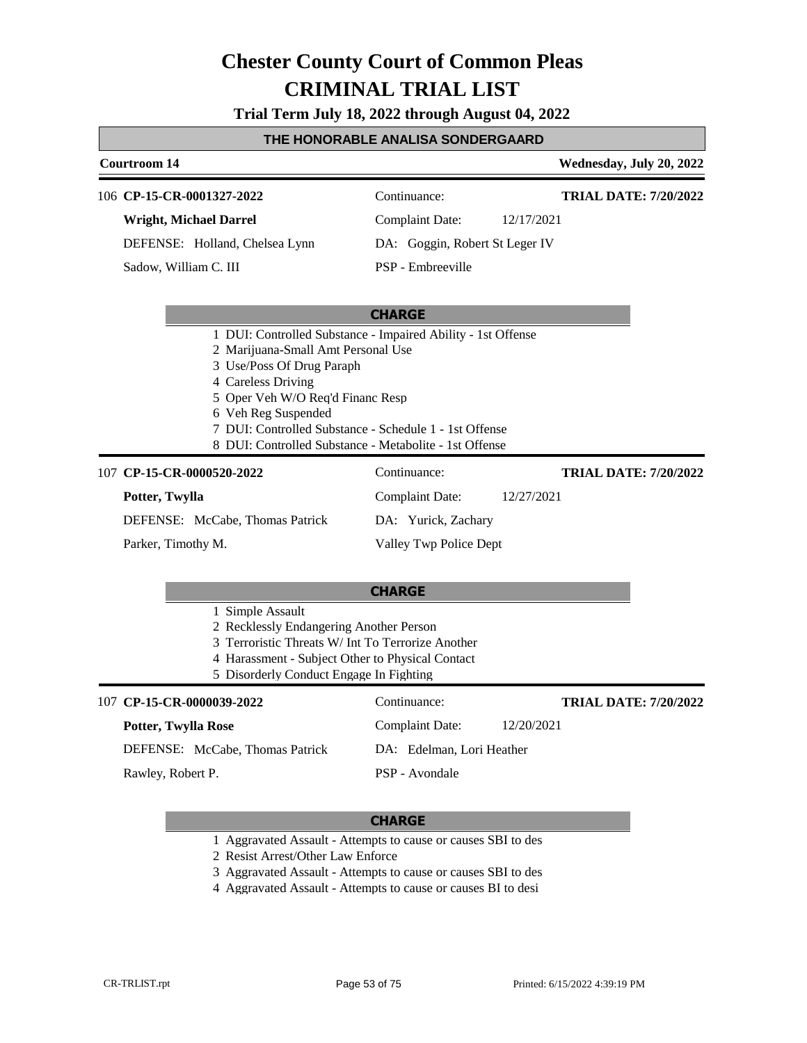**Trial Term July 18, 2022 through August 04, 2022**

#### **THE HONORABLE ANALISA SONDERGAARD**

#### **Courtroom 14 Wednesday, July 20, 2022** 106 **CP-15-CR-0001327-2022** Continuance: **Wright, Michael Darrel** DEFENSE: Holland, Chelsea Lynn Complaint Date: 12/17/2021 DA: Goggin, Robert St Leger IV PSP - Embreeville **TRIAL DATE: 7/20/2022** Sadow, William C. III

#### **CHARGE**

- 1 DUI: Controlled Substance Impaired Ability 1st Offense
- 2 Marijuana-Small Amt Personal Use
- 3 Use/Poss Of Drug Paraph
- 4 Careless Driving
- 5 Oper Veh W/O Req'd Financ Resp
- 6 Veh Reg Suspended
- 7 DUI: Controlled Substance Schedule 1 1st Offense
- 8 DUI: Controlled Substance Metabolite 1st Offense

#### **CP-15-CR-0000520-2022** 107 Continuance:

#### **Potter, Twylla** DEFENSE: McCabe, Thomas Patrick Complaint Date: 12/27/2021 DA: Yurick, Zachary Valley Twp Police Dept Parker, Timothy M.

#### **CHARGE**

|                                                   | Simple Assault            |                                         |                              |
|---------------------------------------------------|---------------------------|-----------------------------------------|------------------------------|
| 2 Recklessly Endangering Another Person           |                           |                                         |                              |
| 3 Terroristic Threats W/ Int To Terrorize Another |                           |                                         |                              |
| 4 Harassment - Subject Other to Physical Contact  |                           |                                         |                              |
|                                                   |                           | 5 Disorderly Conduct Engage In Fighting |                              |
|                                                   | 107 CP-15-CR-0000039-2022 | Continuance:                            | <b>TRIAL DATE: 7/20/2022</b> |
|                                                   | Potter, Twylla Rose       | Complaint Date:                         | 12/20/2021                   |

PSP - Avondale

DA: Edelman, Lori Heather

### **Potter**

DEFENSE: McCabe, Thomas Patrick

Rawley, Robert P.

#### **CHARGE**

- 1 Aggravated Assault Attempts to cause or causes SBI to des
- 2 Resist Arrest/Other Law Enforce
- 3 Aggravated Assault Attempts to cause or causes SBI to des
- 4 Aggravated Assault Attempts to cause or causes BI to desi

**TRIAL DATE: 7/20/2022**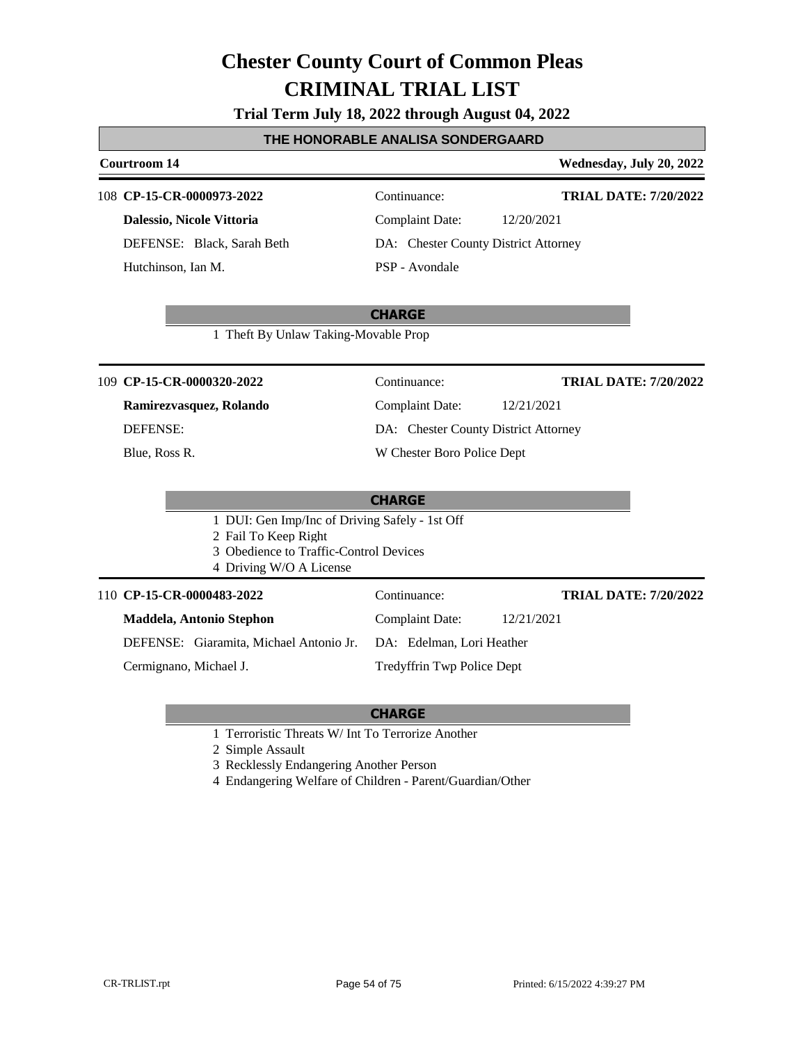**Trial Term July 18, 2022 through August 04, 2022**

#### **THE HONORABLE ANALISA SONDERGAARD**

#### **Courtroom 14 Wednesday, July 20, 2022**

#### **CP-15-CR-0000973-2022** 108 Continuance:

**Dalessio, Nicole Vittoria**

DEFENSE: Black, Sarah Beth Hutchinson, Ian M.

Complaint Date: 12/20/2021

**TRIAL DATE: 7/20/2022**

DA: Chester County District Attorney

### PSP - Avondale

#### **CHARGE**

1 Theft By Unlaw Taking-Movable Prop

**CP-15-CR-0000320-2022** 109 Continuance:

### **Ramirezvasquez, Rolando**

DEFENSE:

Blue, Ross R.

Complaint Date: 12/21/2021 DA: Chester County District Attorney W Chester Boro Police Dept

#### **CHARGE**

1 DUI: Gen Imp/Inc of Driving Safely - 1st Off

- 2 Fail To Keep Right
- 3 Obedience to Traffic-Control Devices
- 4 Driving W/O A License

#### 110 **CP-15-CR-0000483-2022** Continuance:

**Maddela, Antonio Stephon**

DEFENSE: Giaramita, Michael Antonio Jr. Complaint Date: 12/21/2021 DA: Edelman, Lori Heather

Cermignano, Michael J.

Tredyffrin Twp Police Dept

### **CHARGE**

1 Terroristic Threats W/ Int To Terrorize Another

2 Simple Assault

- 3 Recklessly Endangering Another Person
- 4 Endangering Welfare of Children Parent/Guardian/Other

**TRIAL DATE: 7/20/2022**

**TRIAL DATE: 7/20/2022**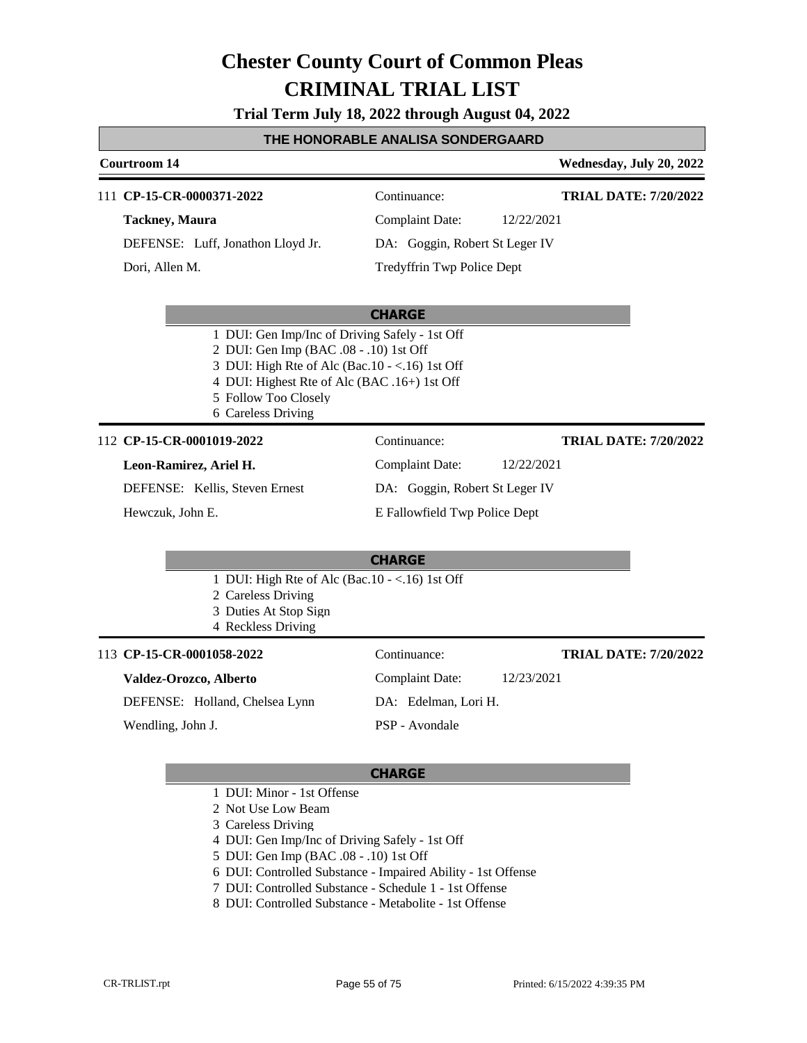**Trial Term July 18, 2022 through August 04, 2022**

#### **THE HONORABLE ANALISA SONDERGAARD**

### **Courtroom 14 Wednesday, July 20, 2022 CHARGE** 111 **CP-15-CR-0000371-2022** Continuance: **Tackney, Maura** DEFENSE: Luff, Jonathon Lloyd Jr. Complaint Date: 12/22/2021 DA: Goggin, Robert St Leger IV Tredyffrin Twp Police Dept **TRIAL DATE: 7/20/2022** Dori, Allen M. 1 DUI: Gen Imp/Inc of Driving Safely - 1st Off 2 DUI: Gen Imp (BAC .08 - .10) 1st Off 3 DUI: High Rte of Alc (Bac.10 - <.16) 1st Off 4 DUI: Highest Rte of Alc (BAC .16+) 1st Off 5 Follow Too Closely 6 Careless Driving **CHARGE** 112 **CP-15-CR-0001019-2022** Continuance: **Leon-Ramirez, Ariel H.** DEFENSE: Kellis, Steven Ernest Complaint Date: 12/22/2021 DA: Goggin, Robert St Leger IV E Fallowfield Twp Police Dept **TRIAL DATE: 7/20/2022** Hewczuk, John E. 1 DUI: High Rte of Alc (Bac.10 - <.16) 1st Off 2 Careless Driving 3 Duties At Stop Sign 4 Reckless Driving

| 113 CP-15-CR-0001058-2022      | Continuance:         | <b>TRIAL DATE: 7/20/2022</b> |
|--------------------------------|----------------------|------------------------------|
| Valdez-Orozco, Alberto         | Complaint Date:      | 12/23/2021                   |
| DEFENSE: Holland, Chelsea Lynn | DA: Edelman, Lori H. |                              |
| Wendling, John J.              | PSP - Avondale       |                              |

- 1 DUI: Minor 1st Offense
- 2 Not Use Low Beam
- 3 Careless Driving
- 4 DUI: Gen Imp/Inc of Driving Safely 1st Off
- 5 DUI: Gen Imp (BAC .08 .10) 1st Off
- 6 DUI: Controlled Substance Impaired Ability 1st Offense
- 7 DUI: Controlled Substance Schedule 1 1st Offense
- 8 DUI: Controlled Substance Metabolite 1st Offense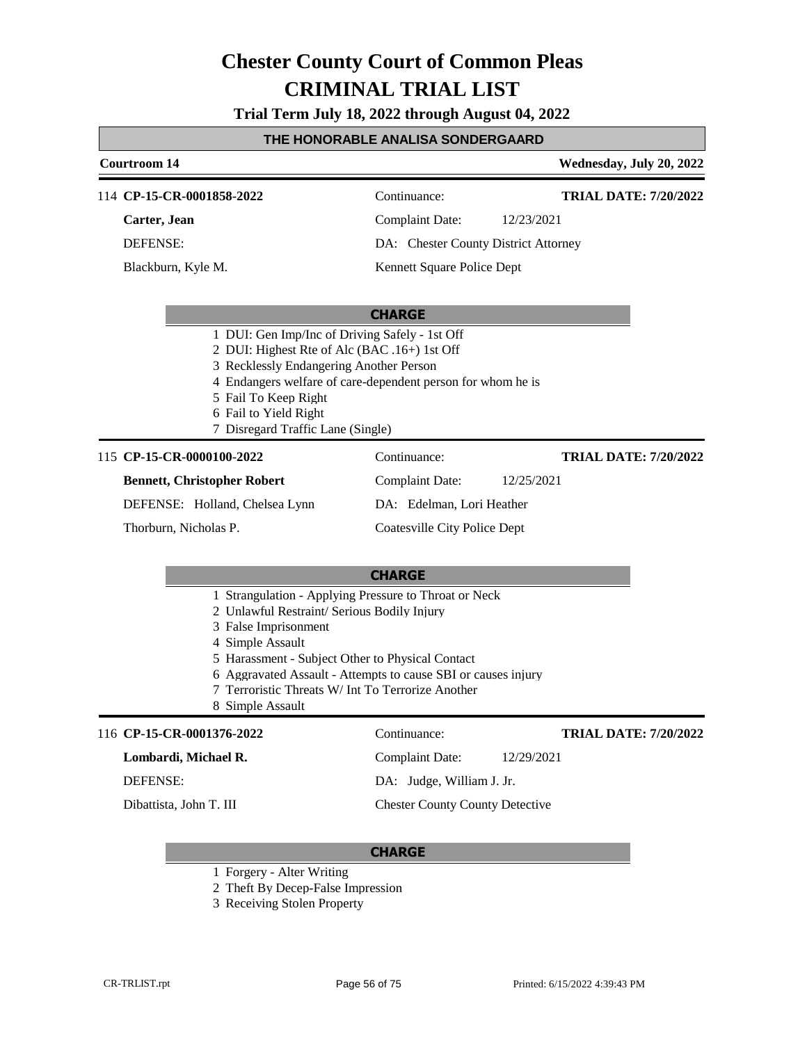**Trial Term July 18, 2022 through August 04, 2022**

### **THE HONORABLE ANALISA SONDERGAARD**

|          | Courtroom 14                                                                                                                                                                                                                                                                                                                                   |                                        | Wednesday, July 20, 2022     |  |  |  |
|----------|------------------------------------------------------------------------------------------------------------------------------------------------------------------------------------------------------------------------------------------------------------------------------------------------------------------------------------------------|----------------------------------------|------------------------------|--|--|--|
|          | 114 CP-15-CR-0001858-2022                                                                                                                                                                                                                                                                                                                      | Continuance:                           | <b>TRIAL DATE: 7/20/2022</b> |  |  |  |
|          | Carter, Jean                                                                                                                                                                                                                                                                                                                                   | <b>Complaint Date:</b>                 | 12/23/2021                   |  |  |  |
|          | <b>DEFENSE:</b>                                                                                                                                                                                                                                                                                                                                | DA: Chester County District Attorney   |                              |  |  |  |
|          | Blackburn, Kyle M.                                                                                                                                                                                                                                                                                                                             | Kennett Square Police Dept             |                              |  |  |  |
|          |                                                                                                                                                                                                                                                                                                                                                | <b>CHARGE</b>                          |                              |  |  |  |
|          | 1 DUI: Gen Imp/Inc of Driving Safely - 1st Off<br>2 DUI: Highest Rte of Alc (BAC .16+) 1st Off<br>3 Recklessly Endangering Another Person<br>4 Endangers welfare of care-dependent person for whom he is<br>5 Fail To Keep Right<br>6 Fail to Yield Right<br>7 Disregard Traffic Lane (Single)                                                 |                                        |                              |  |  |  |
|          | 115 CP-15-CR-0000100-2022                                                                                                                                                                                                                                                                                                                      | Continuance:                           | <b>TRIAL DATE: 7/20/2022</b> |  |  |  |
|          | <b>Bennett, Christopher Robert</b>                                                                                                                                                                                                                                                                                                             | Complaint Date:                        | 12/25/2021                   |  |  |  |
|          | DEFENSE: Holland, Chelsea Lynn                                                                                                                                                                                                                                                                                                                 | DA: Edelman, Lori Heather              |                              |  |  |  |
|          | Thorburn, Nicholas P.                                                                                                                                                                                                                                                                                                                          | <b>Coatesville City Police Dept</b>    |                              |  |  |  |
|          |                                                                                                                                                                                                                                                                                                                                                | <b>CHARGE</b>                          |                              |  |  |  |
|          | 1 Strangulation - Applying Pressure to Throat or Neck<br>2 Unlawful Restraint/ Serious Bodily Injury<br>3 False Imprisonment<br>4 Simple Assault<br>5 Harassment - Subject Other to Physical Contact<br>6 Aggravated Assault - Attempts to cause SBI or causes injury<br>7 Terroristic Threats W/ Int To Terrorize Another<br>8 Simple Assault |                                        |                              |  |  |  |
|          | 116 CP-15-CR-0001376-2022                                                                                                                                                                                                                                                                                                                      | Continuance:                           | <b>TRIAL DATE: 7/20/2022</b> |  |  |  |
|          | Lombardi, Michael R.                                                                                                                                                                                                                                                                                                                           | <b>Complaint Date:</b>                 | 12/29/2021                   |  |  |  |
| DEFENSE: |                                                                                                                                                                                                                                                                                                                                                | DA: Judge, William J. Jr.              |                              |  |  |  |
|          | Dibattista, John T. III                                                                                                                                                                                                                                                                                                                        | <b>Chester County County Detective</b> |                              |  |  |  |

- 1 Forgery Alter Writing
- 2 Theft By Decep-False Impression
- 3 Receiving Stolen Property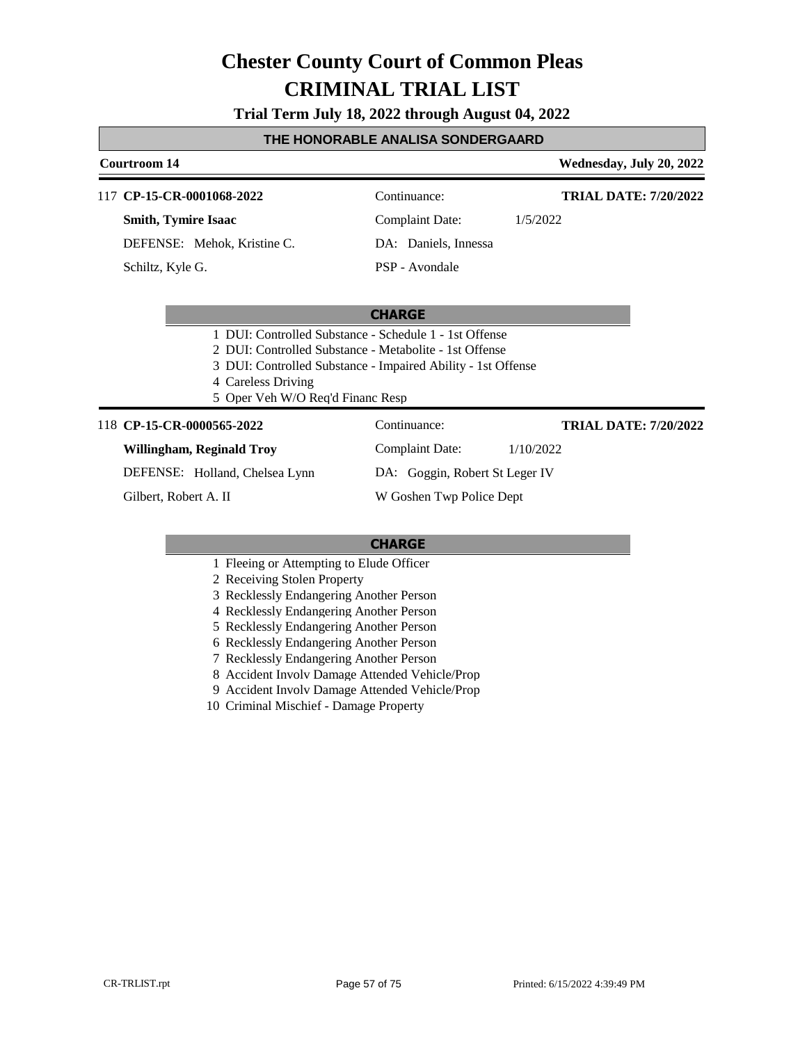**Trial Term July 18, 2022 through August 04, 2022**

#### **THE HONORABLE ANALISA SONDERGAARD**

### **Courtroom 14 Wednesday, July 20, 2022**

117 **CP-15-CR-0001068-2022** Continuance:

**Smith, Tymire Isaac** DEFENSE: Mehok, Kristine C. Schiltz, Kyle G.

Complaint Date: 1/5/2022 DA: Daniels, Innessa

**TRIAL DATE: 7/20/2022**

**TRIAL DATE: 7/20/2022**

PSP - Avondale

#### **CHARGE**

- 1 DUI: Controlled Substance Schedule 1 1st Offense
- 2 DUI: Controlled Substance Metabolite 1st Offense
- 3 DUI: Controlled Substance Impaired Ability 1st Offense
- 4 Careless Driving
- 5 Oper Veh W/O Req'd Financ Resp

#### 118 **CP-15-CR-0000565-2022** Continuance:

**Willingham, Reginald Troy**

DEFENSE: Holland, Chelsea Lynn

Gilbert, Robert A. II

Complaint Date: 1/10/2022 DA: Goggin, Robert St Leger IV

W Goshen Twp Police Dept

- 1 Fleeing or Attempting to Elude Officer
- 2 Receiving Stolen Property
- 3 Recklessly Endangering Another Person
- 4 Recklessly Endangering Another Person
- 5 Recklessly Endangering Another Person
- 6 Recklessly Endangering Another Person
- 7 Recklessly Endangering Another Person
- 8 Accident Involv Damage Attended Vehicle/Prop
- 9 Accident Involv Damage Attended Vehicle/Prop
- 10 Criminal Mischief Damage Property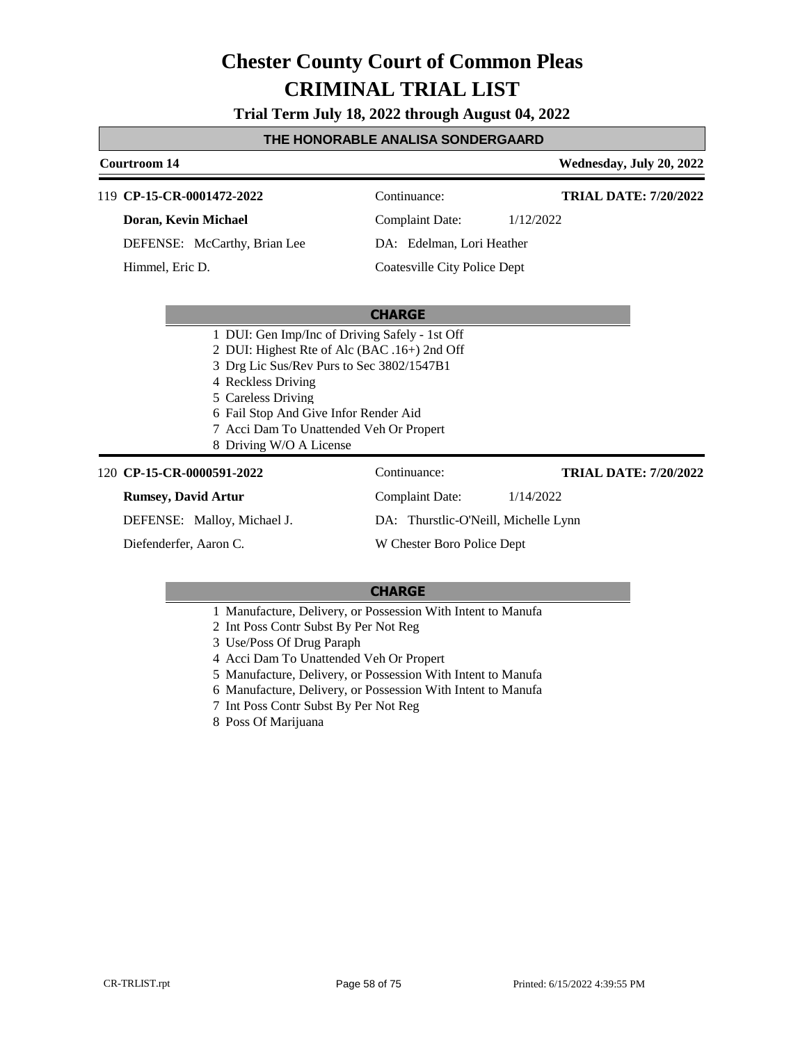**Trial Term July 18, 2022 through August 04, 2022**

#### **THE HONORABLE ANALISA SONDERGAARD**

#### **Courtroom 14 Wednesday, July 20, 2022** 119 **CP-15-CR-0001472-2022** Continuance: **Doran, Kevin Michael** DEFENSE: McCarthy, Brian Lee Complaint Date: 1/12/2022 DA: Edelman, Lori Heather Coatesville City Police Dept **TRIAL DATE: 7/20/2022** Himmel, Eric D.

#### **CHARGE**

- 1 DUI: Gen Imp/Inc of Driving Safely 1st Off
- 2 DUI: Highest Rte of Alc (BAC .16+) 2nd Off
- 3 Drg Lic Sus/Rev Purs to Sec 3802/1547B1
- 4 Reckless Driving
- 5 Careless Driving
- 6 Fail Stop And Give Infor Render Aid
- 7 Acci Dam To Unattended Veh Or Propert
- 8 Driving W/O A License

#### **CP-15-CR-0000591-2022** 120 Continuance:

#### **Rumsey, David Artur**

DEFENSE: Malloy, Michael J.

Diefenderfer, Aaron C.

DA: Thurstlic-O'Neill, Michelle Lynn

Complaint Date: 1/14/2022

W Chester Boro Police Dept

#### **CHARGE**

- 1 Manufacture, Delivery, or Possession With Intent to Manufa
- 2 Int Poss Contr Subst By Per Not Reg
- 3 Use/Poss Of Drug Paraph
- 4 Acci Dam To Unattended Veh Or Propert
- 5 Manufacture, Delivery, or Possession With Intent to Manufa
- 6 Manufacture, Delivery, or Possession With Intent to Manufa
- 7 Int Poss Contr Subst By Per Not Reg
- 8 Poss Of Marijuana

**TRIAL DATE: 7/20/2022**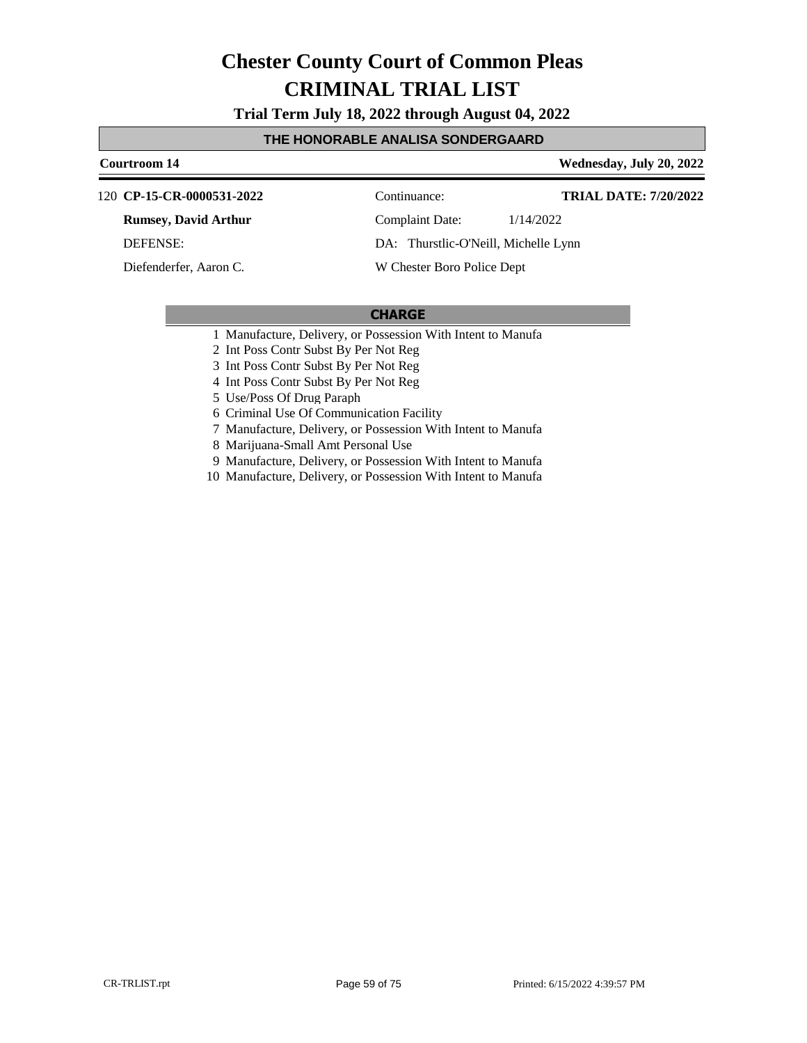**Trial Term July 18, 2022 through August 04, 2022**

#### **THE HONORABLE ANALISA SONDERGAARD**

#### **Courtroom 14 Wednesday, July 20, 2022**

**CP-15-CR-0000531-2022** 120 Continuance:

**Rumsey, David Arthur**

DEFENSE:

Diefenderfer, Aaron C.

Complaint Date: 1/14/2022

**TRIAL DATE: 7/20/2022**

DA: Thurstlic-O'Neill, Michelle Lynn

W Chester Boro Police Dept

#### **CHARGE**

1 Manufacture, Delivery, or Possession With Intent to Manufa

2 Int Poss Contr Subst By Per Not Reg

3 Int Poss Contr Subst By Per Not Reg

4 Int Poss Contr Subst By Per Not Reg

5 Use/Poss Of Drug Paraph

6 Criminal Use Of Communication Facility

7 Manufacture, Delivery, or Possession With Intent to Manufa

8 Marijuana-Small Amt Personal Use

9 Manufacture, Delivery, or Possession With Intent to Manufa

10 Manufacture, Delivery, or Possession With Intent to Manufa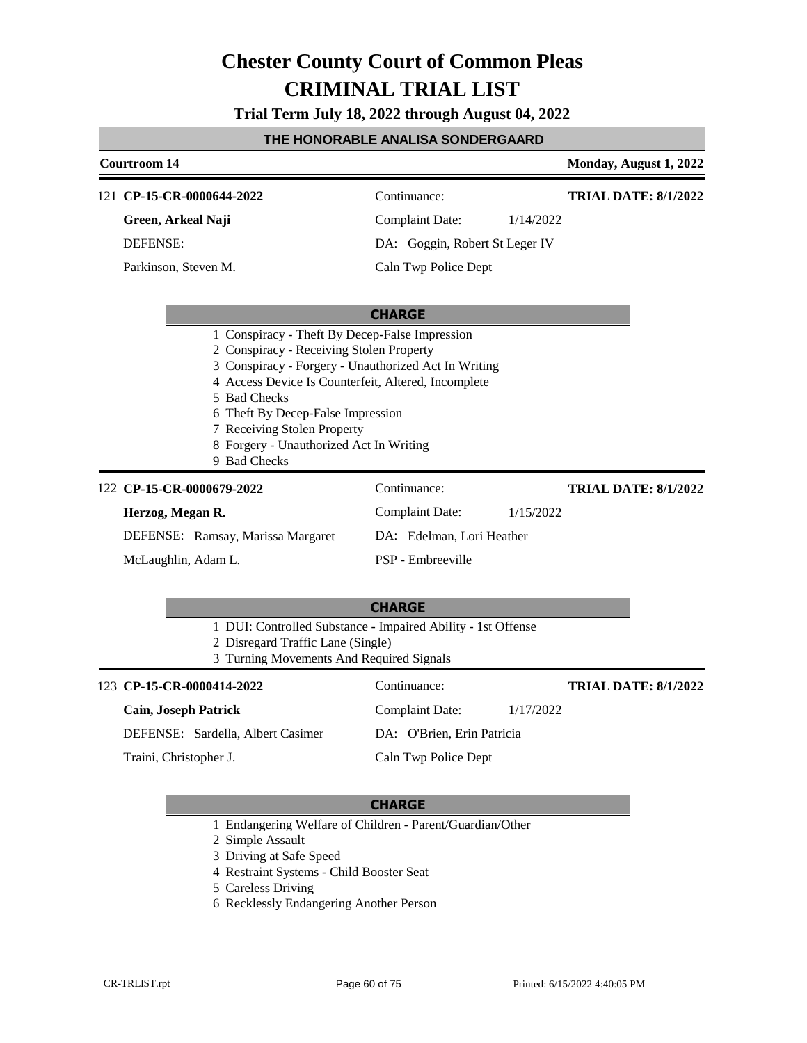**Trial Term July 18, 2022 through August 04, 2022**

#### **THE HONORABLE ANALISA SONDERGAARD**

| <b>Courtroom 14</b>                                                                                                                                                                                                                                                                                                                                      |                                |           | Monday, August 1, 2022      |  |
|----------------------------------------------------------------------------------------------------------------------------------------------------------------------------------------------------------------------------------------------------------------------------------------------------------------------------------------------------------|--------------------------------|-----------|-----------------------------|--|
| 121 CP-15-CR-0000644-2022                                                                                                                                                                                                                                                                                                                                | Continuance:                   |           | <b>TRIAL DATE: 8/1/2022</b> |  |
| Green, Arkeal Naji                                                                                                                                                                                                                                                                                                                                       | <b>Complaint Date:</b>         | 1/14/2022 |                             |  |
| <b>DEFENSE:</b>                                                                                                                                                                                                                                                                                                                                          | DA: Goggin, Robert St Leger IV |           |                             |  |
| Parkinson, Steven M.                                                                                                                                                                                                                                                                                                                                     | Caln Twp Police Dept           |           |                             |  |
|                                                                                                                                                                                                                                                                                                                                                          | <b>CHARGE</b>                  |           |                             |  |
| 1 Conspiracy - Theft By Decep-False Impression<br>2 Conspiracy - Receiving Stolen Property<br>3 Conspiracy - Forgery - Unauthorized Act In Writing<br>4 Access Device Is Counterfeit, Altered, Incomplete<br>5 Bad Checks<br>6 Theft By Decep-False Impression<br>7 Receiving Stolen Property<br>8 Forgery - Unauthorized Act In Writing<br>9 Bad Checks |                                |           |                             |  |
| 122 CP-15-CR-0000679-2022                                                                                                                                                                                                                                                                                                                                | Continuance:                   |           | <b>TRIAL DATE: 8/1/2022</b> |  |
| Herzog, Megan R.                                                                                                                                                                                                                                                                                                                                         | <b>Complaint Date:</b>         | 1/15/2022 |                             |  |
| DEFENSE: Ramsay, Marissa Margaret                                                                                                                                                                                                                                                                                                                        | DA: Edelman, Lori Heather      |           |                             |  |
| McLaughlin, Adam L.                                                                                                                                                                                                                                                                                                                                      | PSP - Embreeville              |           |                             |  |
|                                                                                                                                                                                                                                                                                                                                                          | <b>CHARGE</b>                  |           |                             |  |
| 1 DUI: Controlled Substance - Impaired Ability - 1st Offense<br>2 Disregard Traffic Lane (Single)<br>3 Turning Movements And Required Signals                                                                                                                                                                                                            |                                |           |                             |  |
| 123 CP-15-CR-0000414-2022                                                                                                                                                                                                                                                                                                                                | Continuance:                   |           | <b>TRIAL DATE: 8/1/2022</b> |  |
| <b>Cain, Joseph Patrick</b>                                                                                                                                                                                                                                                                                                                              | <b>Complaint Date:</b>         | 1/17/2022 |                             |  |
| DEFENSE: Sardella, Albert Casimer                                                                                                                                                                                                                                                                                                                        | DA: O'Brien, Erin Patricia     |           |                             |  |
| Traini, Christopher J.                                                                                                                                                                                                                                                                                                                                   | Caln Twp Police Dept           |           |                             |  |

- 1 Endangering Welfare of Children Parent/Guardian/Other
- 2 Simple Assault
- 3 Driving at Safe Speed
- 4 Restraint Systems Child Booster Seat
- 5 Careless Driving
- 6 Recklessly Endangering Another Person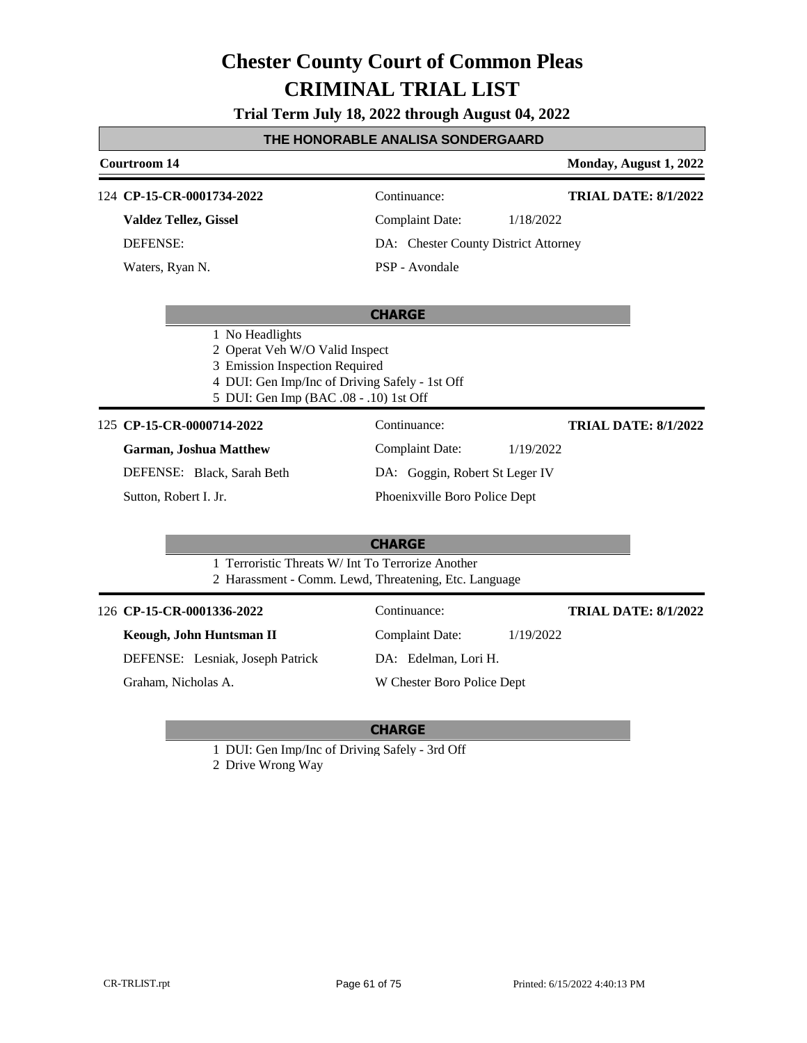**Trial Term July 18, 2022 through August 04, 2022**

#### **THE HONORABLE ANALISA SONDERGAARD**

#### **Courtroom 14 Monday, August 1, 2022 CHARGE** 124 **CP-15-CR-0001734-2022** Continuance: **Valdez Tellez, Gissel** DEFENSE: Complaint Date: 1/18/2022 DA: Chester County District Attorney PSP - Avondale **TRIAL DATE: 8/1/2022** Waters, Ryan N. 1 No Headlights 2 Operat Veh W/O Valid Inspect 3 Emission Inspection Required 4 DUI: Gen Imp/Inc of Driving Safely - 1st Off 5 DUI: Gen Imp (BAC .08 - .10) 1st Off 125 **CP-15-CR-0000714-2022** Continuance: **Garman, Joshua Matthew** DEFENSE: Black, Sarah Beth Complaint Date: 1/19/2022 DA: Goggin, Robert St Leger IV Phoenixville Boro Police Dept **TRIAL DATE: 8/1/2022**

Sutton, Robert I. Jr.

### **CHARGE**

- 1 Terroristic Threats W/ Int To Terrorize Another
- 2 Harassment Comm. Lewd, Threatening, Etc. Language

#### **CP-15-CR-0001336-2022** 126 Continuance:

**Keough, John Huntsman II**

DEFENSE: Lesniak, Joseph Patrick

Graham, Nicholas A.

#### **CHARGE**

Complaint Date: 1/19/2022

DA: Edelman, Lori H.

W Chester Boro Police Dept

1 DUI: Gen Imp/Inc of Driving Safely - 3rd Off

2 Drive Wrong Way

**TRIAL DATE: 8/1/2022**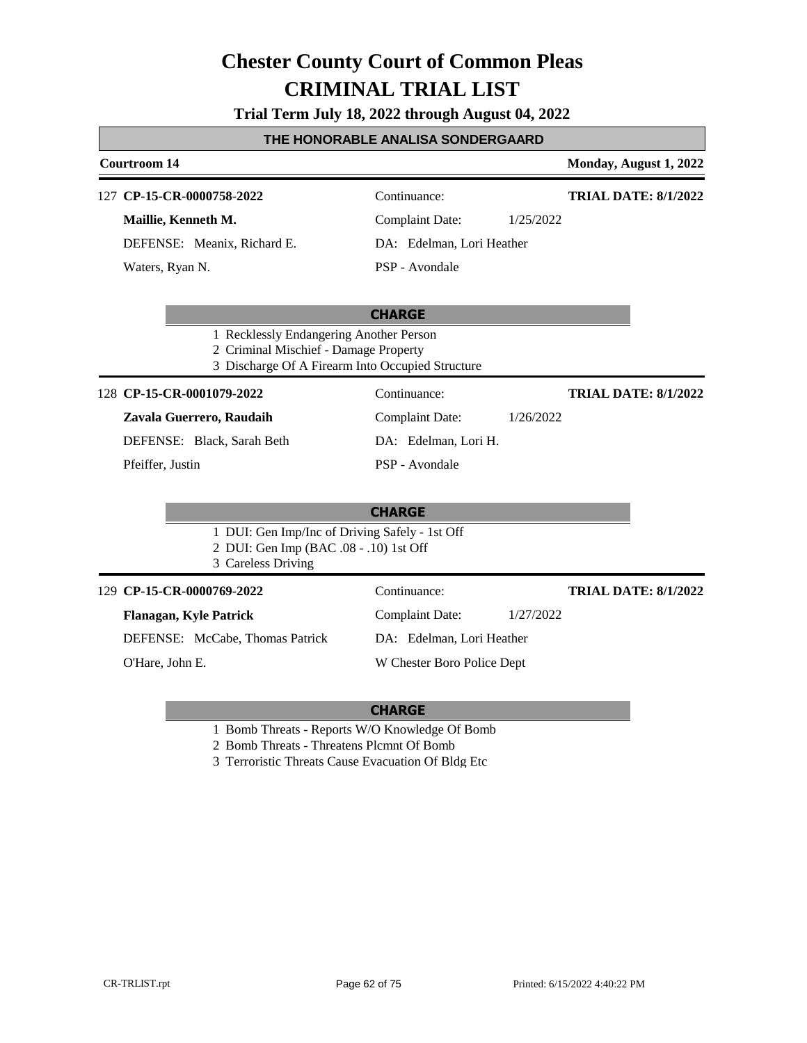| Trial Term July 18, 2022 through August 04, 2022 |  |  |  |  |
|--------------------------------------------------|--|--|--|--|
|--------------------------------------------------|--|--|--|--|

#### **THE HONORABLE ANALISA SONDERGAARD**

#### **Courtroom 14 Monday, August 1, 2022 CHARGE** 127 **CP-15-CR-0000758-2022** Continuance: **Maillie, Kenneth M.** DEFENSE: Meanix, Richard E. Complaint Date: 1/25/2022 DA: Edelman, Lori Heather PSP - Avondale **TRIAL DATE: 8/1/2022** Waters, Ryan N. 1 Recklessly Endangering Another Person 2 Criminal Mischief - Damage Property 3 Discharge Of A Firearm Into Occupied Structure **CHARGE CP-15-CR-0001079-2022** 128 Continuance: **Zavala Guerrero, Raudaih** DEFENSE: Black, Sarah Beth Complaint Date: 1/26/2022 DA: Edelman, Lori H. PSP - Avondale **TRIAL DATE: 8/1/2022** Pfeiffer, Justin 1 DUI: Gen Imp/Inc of Driving Safely - 1st Off 2 DUI: Gen Imp (BAC .08 - .10) 1st Off 3 Careless Driving **CP-15-CR-0000769-2022** 129 Continuance: **Flanagan, Kyle Patrick** DEFENSE: McCabe, Thomas Patrick Complaint Date: 1/27/2022 DA: Edelman, Lori Heather W Chester Boro Police Dept **TRIAL DATE: 8/1/2022** O'Hare, John E.

- 1 Bomb Threats Reports W/O Knowledge Of Bomb
- 2 Bomb Threats Threatens Plcmnt Of Bomb
- 3 Terroristic Threats Cause Evacuation Of Bldg Etc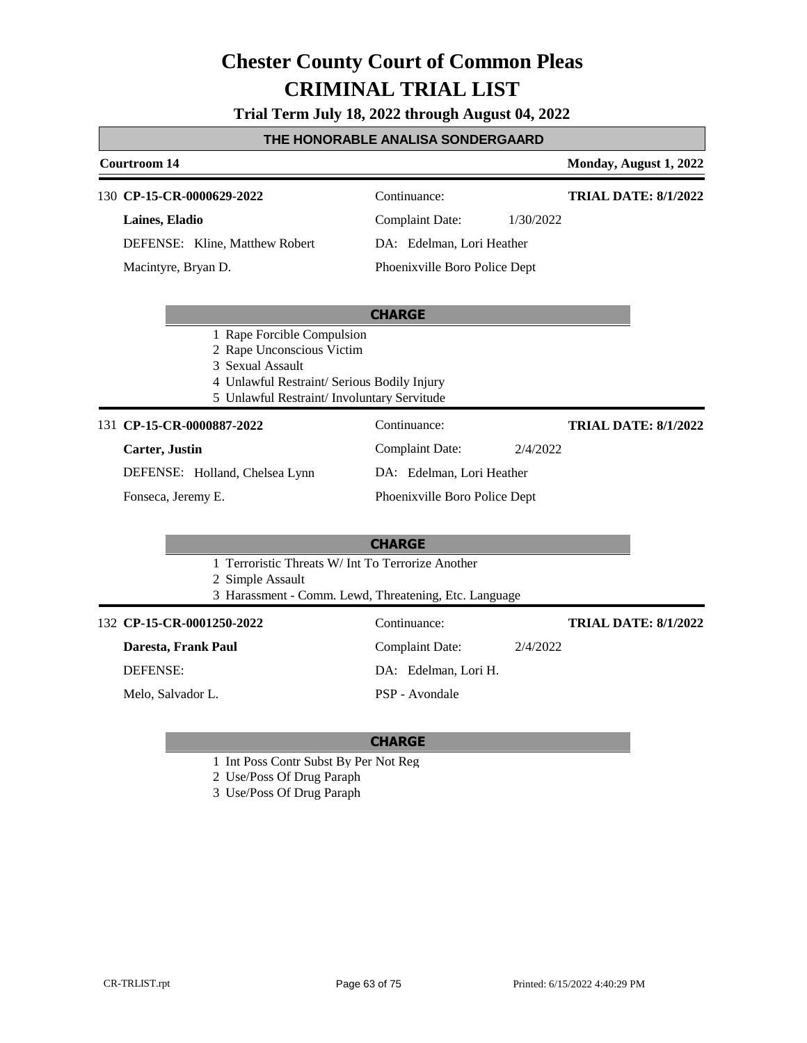**Trial Term July 18, 2022 through August 04, 2022**

#### **THE HONORABLE ANALISA SONDERGAARD**

#### **Courtroom 14 Monday, August 1, 2022 CHARGE CP-15-CR-0000629-2022** 130 Continuance: **Laines, Eladio** DEFENSE: Kline, Matthew Robert Complaint Date: 1/30/2022 DA: Edelman, Lori Heather Phoenixville Boro Police Dept **TRIAL DATE: 8/1/2022** Macintyre, Bryan D. 1 Rape Forcible Compulsion 2 Rape Unconscious Victim 3 Sexual Assault 4 Unlawful Restraint/ Serious Bodily Injury 5 Unlawful Restraint/ Involuntary Servitude **CHARGE** 131 **CP-15-CR-0000887-2022** Continuance: **Carter, Justin** DEFENSE: Holland, Chelsea Lynn Complaint Date: 2/4/2022 DA: Edelman, Lori Heather Phoenixville Boro Police Dept **TRIAL DATE: 8/1/2022** Fonseca, Jeremy E. 1 Terroristic Threats W/ Int To Terrorize Another 2 Simple Assault 3 Harassment - Comm. Lewd, Threatening, Etc. Language **CP-15-CR-0001250-2022** 132 Continuance: **Daresta, Frank Paul** DEFENSE: Complaint Date: 2/4/2022 DA: Edelman, Lori H. **TRIAL DATE: 8/1/2022**

Melo, Salvador L.

### **CHARGE**

PSP - Avondale

- 1 Int Poss Contr Subst By Per Not Reg
- 2 Use/Poss Of Drug Paraph
- 3 Use/Poss Of Drug Paraph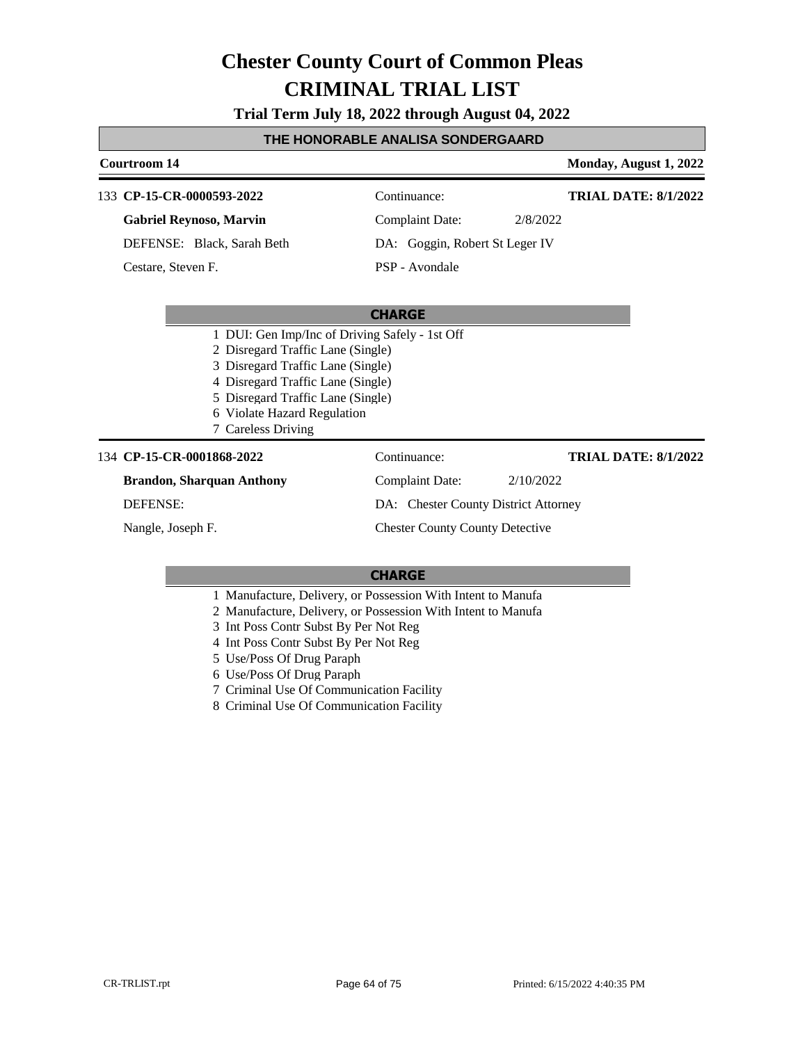**Trial Term July 18, 2022 through August 04, 2022**

#### **THE HONORABLE ANALISA SONDERGAARD**

### **Courtroom 14 Monday, August 1, 2022 CHARGE** 133 **CP-15-CR-0000593-2022** Continuance: **Gabriel Reynoso, Marvin** DEFENSE: Black, Sarah Beth Complaint Date: 2/8/2022 DA: Goggin, Robert St Leger IV PSP - Avondale **TRIAL DATE: 8/1/2022** Cestare, Steven F. 1 DUI: Gen Imp/Inc of Driving Safely - 1st Off 2 Disregard Traffic Lane (Single) 3 Disregard Traffic Lane (Single) 4 Disregard Traffic Lane (Single) 5 Disregard Traffic Lane (Single) 6 Violate Hazard Regulation 7 Careless Driving 134 **CP-15-CR-0001868-2022** Continuance: **Brandon, Sharquan Anthony** DEFENSE: Complaint Date: 2/10/2022 DA: Chester County District Attorney Chester County County Detective **TRIAL DATE: 8/1/2022** Nangle, Joseph F.

- 1 Manufacture, Delivery, or Possession With Intent to Manufa
- 2 Manufacture, Delivery, or Possession With Intent to Manufa
- 3 Int Poss Contr Subst By Per Not Reg
- 4 Int Poss Contr Subst By Per Not Reg
- 5 Use/Poss Of Drug Paraph
- 6 Use/Poss Of Drug Paraph
- 7 Criminal Use Of Communication Facility
- 8 Criminal Use Of Communication Facility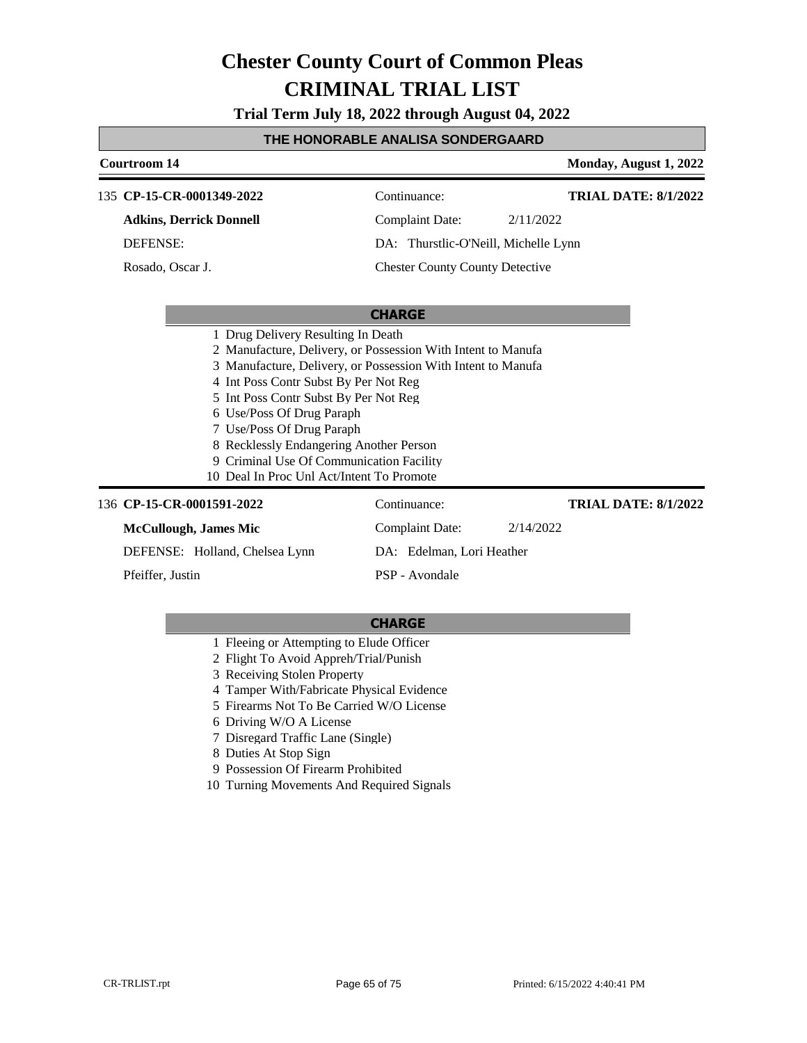**Trial Term July 18, 2022 through August 04, 2022**

#### **THE HONORABLE ANALISA SONDERGAARD**

#### **Courtroom 14 Monday, August 1, 2022 CHARGE** 135 **CP-15-CR-0001349-2022** Continuance: **Adkins, Derrick Donnell** DEFENSE: Complaint Date: 2/11/2022 DA: Thurstlic-O'Neill, Michelle Lynn Chester County County Detective **TRIAL DATE: 8/1/2022** Rosado, Oscar J. 1 Drug Delivery Resulting In Death 2 Manufacture, Delivery, or Possession With Intent to Manufa 3 Manufacture, Delivery, or Possession With Intent to Manufa 4 Int Poss Contr Subst By Per Not Reg 5 Int Poss Contr Subst By Per Not Reg 6 Use/Poss Of Drug Paraph 7 Use/Poss Of Drug Paraph 8 Recklessly Endangering Another Person 9 Criminal Use Of Communication Facility 10 Deal In Proc Unl Act/Intent To Promote 136 **CP-15-CR-0001591-2022** Continuance: **McCullough, James Mic** DEFENSE: Holland, Chelsea Lynn Complaint Date: 2/14/2022 DA: Edelman, Lori Heather PSP - Avondale **TRIAL DATE: 8/1/2022** Pfeiffer, Justin

- 1 Fleeing or Attempting to Elude Officer
- 2 Flight To Avoid Appreh/Trial/Punish
- 3 Receiving Stolen Property
- 4 Tamper With/Fabricate Physical Evidence
- 5 Firearms Not To Be Carried W/O License
- 6 Driving W/O A License
- 7 Disregard Traffic Lane (Single)
- 8 Duties At Stop Sign
- 9 Possession Of Firearm Prohibited
- 10 Turning Movements And Required Signals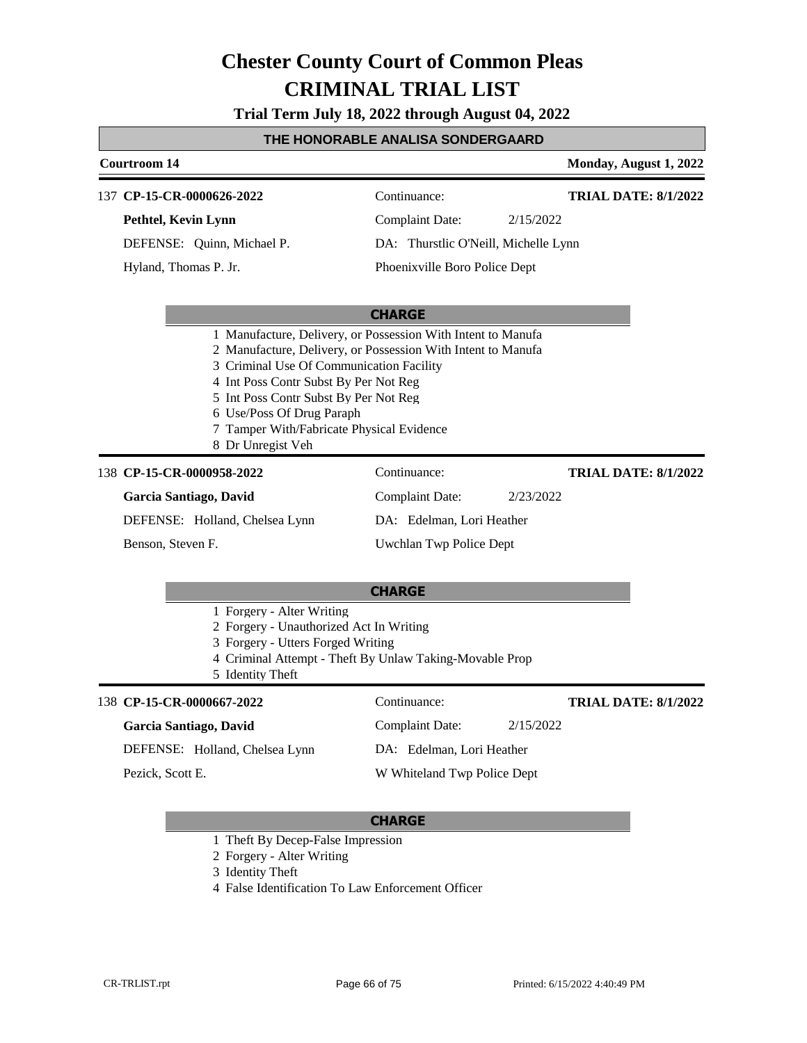**Trial Term July 18, 2022 through August 04, 2022**

#### **THE HONORABLE ANALISA SONDERGAARD**

### **Courtroom 14 Monday, August 1, 2022 CHARGE** 137 **CP-15-CR-0000626-2022** Continuance: **Pethtel, Kevin Lynn** DEFENSE: Quinn, Michael P. Complaint Date: 2/15/2022 DA: Thurstlic O'Neill, Michelle Lynn Phoenixville Boro Police Dept **TRIAL DATE: 8/1/2022** Hyland, Thomas P. Jr. 1 Manufacture, Delivery, or Possession With Intent to Manufa 2 Manufacture, Delivery, or Possession With Intent to Manufa 3 Criminal Use Of Communication Facility 4 Int Poss Contr Subst By Per Not Reg 5 Int Poss Contr Subst By Per Not Reg 6 Use/Poss Of Drug Paraph 7 Tamper With/Fabricate Physical Evidence 8 Dr Unregist Veh 138 **CP-15-CR-0000958-2022** Continuance: **Garcia Santiago, David** Complaint Date: 2/23/2022 **TRIAL DATE: 8/1/2022**

DEFENSE: Holland, Chelsea Lynn

Benson, Steven F.

DA: Edelman, Lori Heather

Uwchlan Twp Police Dept

#### **CHARGE**

1 Forgery - Alter Writing

- 2 Forgery Unauthorized Act In Writing
- 3 Forgery Utters Forged Writing
- 4 Criminal Attempt Theft By Unlaw Taking-Movable Prop
- 5 Identity Theft

#### 138 **CP-15-CR-0000667-2022** Continuance:

#### **Garcia Santiago, David**

DEFENSE: Holland, Chelsea Lynn

Pezick, Scott E.

**TRIAL DATE: 8/1/2022**

DA: Edelman, Lori Heather

Complaint Date: 2/15/2022

W Whiteland Twp Police Dept

- 1 Theft By Decep-False Impression
- 2 Forgery Alter Writing
- 3 Identity Theft
- 4 False Identification To Law Enforcement Officer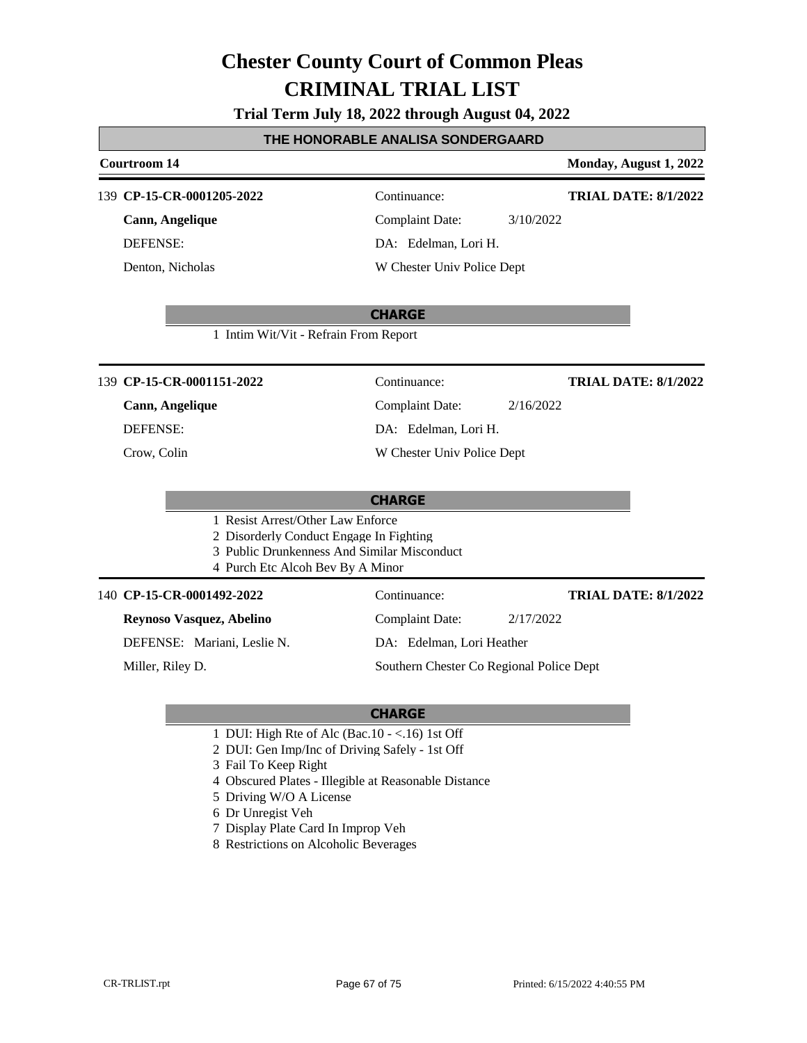**Trial Term July 18, 2022 through August 04, 2022**

#### **THE HONORABLE ANALISA SONDERGAARD**

### **Courtroom 14 Monday, August 1, 2022 CHARGE CP-15-CR-0001205-2022** 139 Continuance: **Cann, Angelique** DEFENSE: Complaint Date: 3/10/2022 DA: Edelman, Lori H. W Chester Univ Police Dept **TRIAL DATE: 8/1/2022** Denton, Nicholas 1 Intim Wit/Vit - Refrain From Report **CHARGE CP-15-CR-0001151-2022** 139 Continuance: **Cann, Angelique** DEFENSE: Complaint Date: 2/16/2022 DA: Edelman, Lori H. W Chester Univ Police Dept **TRIAL DATE: 8/1/2022** Crow, Colin 1 Resist Arrest/Other Law Enforce 2 Disorderly Conduct Engage In Fighting 3 Public Drunkenness And Similar Misconduct 4 Purch Etc Alcoh Bev By A Minor 140 **CP-15-CR-0001492-2022** Continuance: **Reynoso Vasquez, Abelino** DEFENSE: Mariani, Leslie N. Complaint Date: 2/17/2022 DA: Edelman, Lori Heather Southern Chester Co Regional Police Dept **TRIAL DATE: 8/1/2022** Miller, Riley D.

- 1 DUI: High Rte of Alc (Bac.10 <.16) 1st Off
- 2 DUI: Gen Imp/Inc of Driving Safely 1st Off
- 3 Fail To Keep Right
- 4 Obscured Plates Illegible at Reasonable Distance
- 5 Driving W/O A License
- 6 Dr Unregist Veh
- 7 Display Plate Card In Improp Veh
- 8 Restrictions on Alcoholic Beverages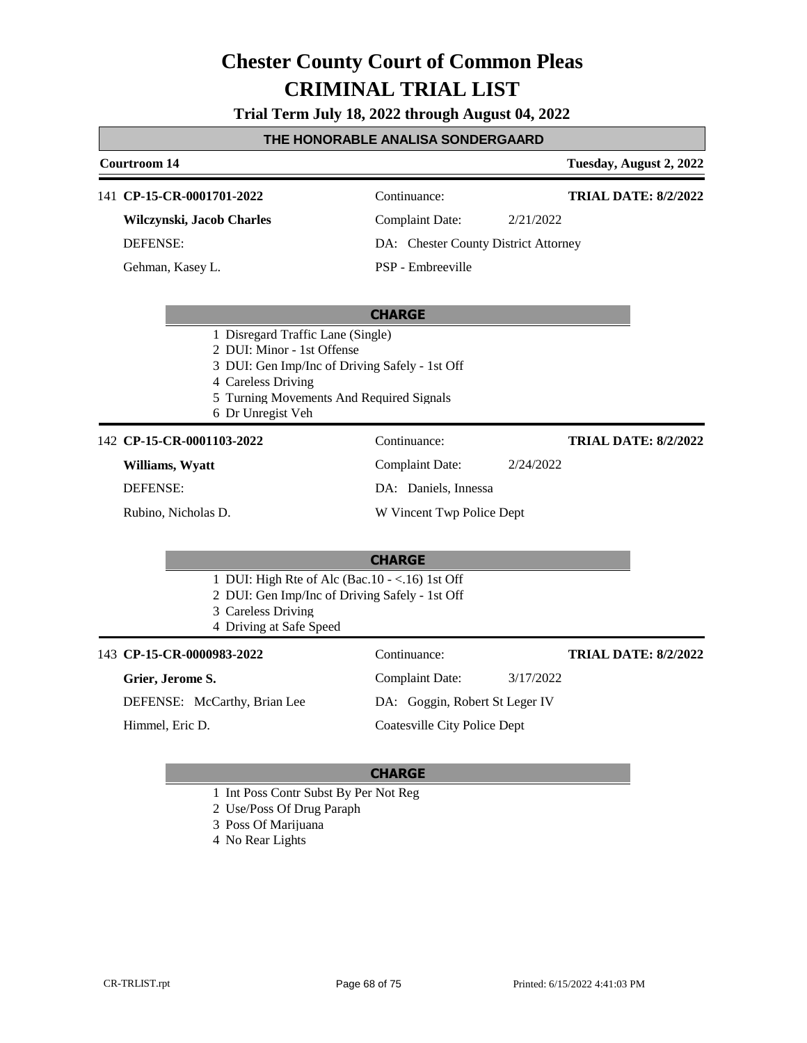**Trial Term July 18, 2022 through August 04, 2022**

#### **THE HONORABLE ANALISA SONDERGAARD**

### **Courtroom 14 Tuesday, August 2, 2022 CHARGE** 141 **CP-15-CR-0001701-2022** Continuance: **Wilczynski, Jacob Charles** DEFENSE: Complaint Date: 2/21/2022 DA: Chester County District Attorney PSP - Embreeville **TRIAL DATE: 8/2/2022** Gehman, Kasey L. 1 Disregard Traffic Lane (Single) 2 DUI: Minor - 1st Offense 3 DUI: Gen Imp/Inc of Driving Safely - 1st Off 4 Careless Driving 5 Turning Movements And Required Signals 6 Dr Unregist Veh **CHARGE** 142 **CP-15-CR-0001103-2022** Continuance: **Williams, Wyatt** DEFENSE: Complaint Date: 2/24/2022 DA: Daniels, Innessa W Vincent Twp Police Dept **TRIAL DATE: 8/2/2022** Rubino, Nicholas D. 1 DUI: High Rte of Alc (Bac.10 - <.16) 1st Off 2 DUI: Gen Imp/Inc of Driving Safely - 1st Off 3 Careless Driving 4 Driving at Safe Speed 143 **CP-15-CR-0000983-2022** Continuance: **Grier, Jerome S.** DEFENSE: McCarthy, Brian Lee Complaint Date: 3/17/2022 DA: Goggin, Robert St Leger IV Coatesville City Police Dept **TRIAL DATE: 8/2/2022** Himmel, Eric D.

- 1 Int Poss Contr Subst By Per Not Reg
- 2 Use/Poss Of Drug Paraph
- 3 Poss Of Marijuana
- 4 No Rear Lights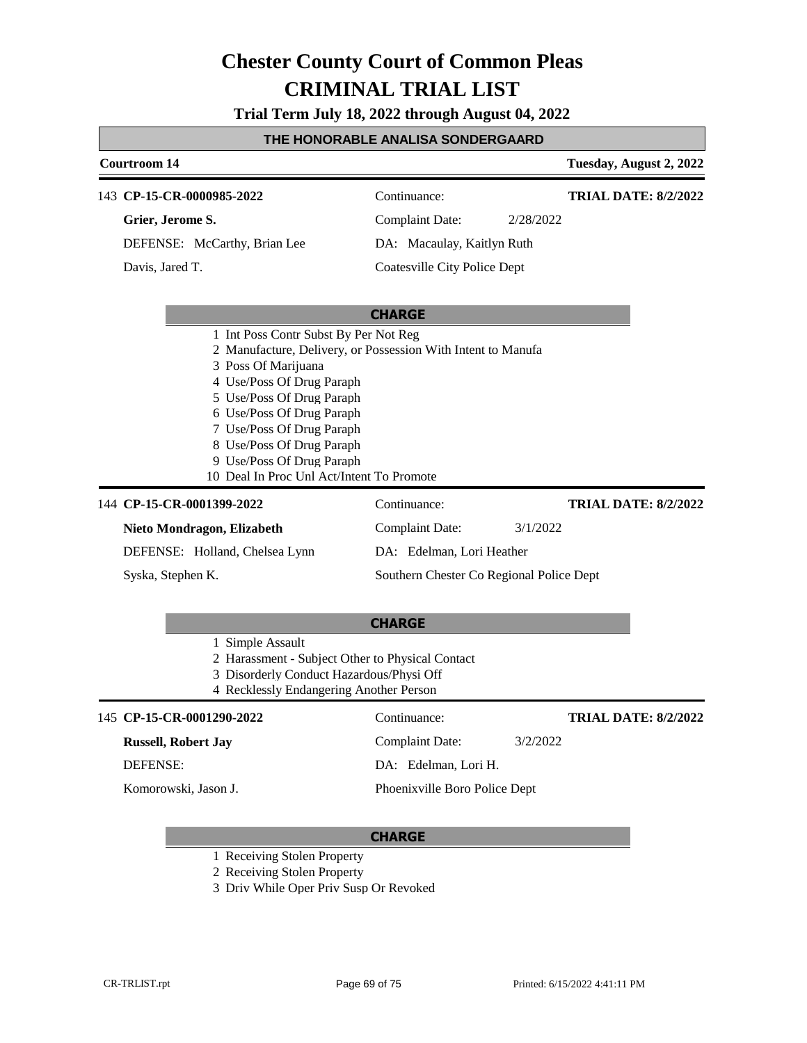**Trial Term July 18, 2022 through August 04, 2022**

#### **THE HONORABLE ANALISA SONDERGAARD**

### **Courtroom 14 Tuesday, August 2, 2022 CHARGE** 143 **CP-15-CR-0000985-2022** Continuance: **Grier, Jerome S.** DEFENSE: McCarthy, Brian Lee Complaint Date: 2/28/2022 DA: Macaulay, Kaitlyn Ruth Coatesville City Police Dept **TRIAL DATE: 8/2/2022** Davis, Jared T. 1 Int Poss Contr Subst By Per Not Reg 2 Manufacture, Delivery, or Possession With Intent to Manufa 3 Poss Of Marijuana 4 Use/Poss Of Drug Paraph 5 Use/Poss Of Drug Paraph 6 Use/Poss Of Drug Paraph 7 Use/Poss Of Drug Paraph 8 Use/Poss Of Drug Paraph 9 Use/Poss Of Drug Paraph 10 Deal In Proc Unl Act/Intent To Promote 144 **CP-15-CR-0001399-2022** Continuance: **Nieto Mondragon, Elizabeth** DEFENSE: Holland, Chelsea Lynn Complaint Date: 3/1/2022 DA: Edelman, Lori Heather Southern Chester Co Regional Police Dept **TRIAL DATE: 8/2/2022** Syska, Stephen K.

|                                                                                     | <b>CHARGE</b>                 |          |                             |  |
|-------------------------------------------------------------------------------------|-------------------------------|----------|-----------------------------|--|
| 1 Simple Assault                                                                    |                               |          |                             |  |
| 2 Harassment - Subject Other to Physical Contact                                    |                               |          |                             |  |
| 3 Disorderly Conduct Hazardous/Physi Off<br>4 Recklessly Endangering Another Person |                               |          |                             |  |
|                                                                                     |                               |          |                             |  |
| 145 CP-15-CR-0001290-2022                                                           | Continuance:                  |          | <b>TRIAL DATE: 8/2/2022</b> |  |
| <b>Russell, Robert Jay</b>                                                          | Complaint Date:               | 3/2/2022 |                             |  |
| <b>DEFENSE:</b>                                                                     | DA: Edelman, Lori H.          |          |                             |  |
| Komorowski, Jason J.                                                                | Phoenixville Boro Police Dept |          |                             |  |

- 1 Receiving Stolen Property
- 2 Receiving Stolen Property
- 3 Driv While Oper Priv Susp Or Revoked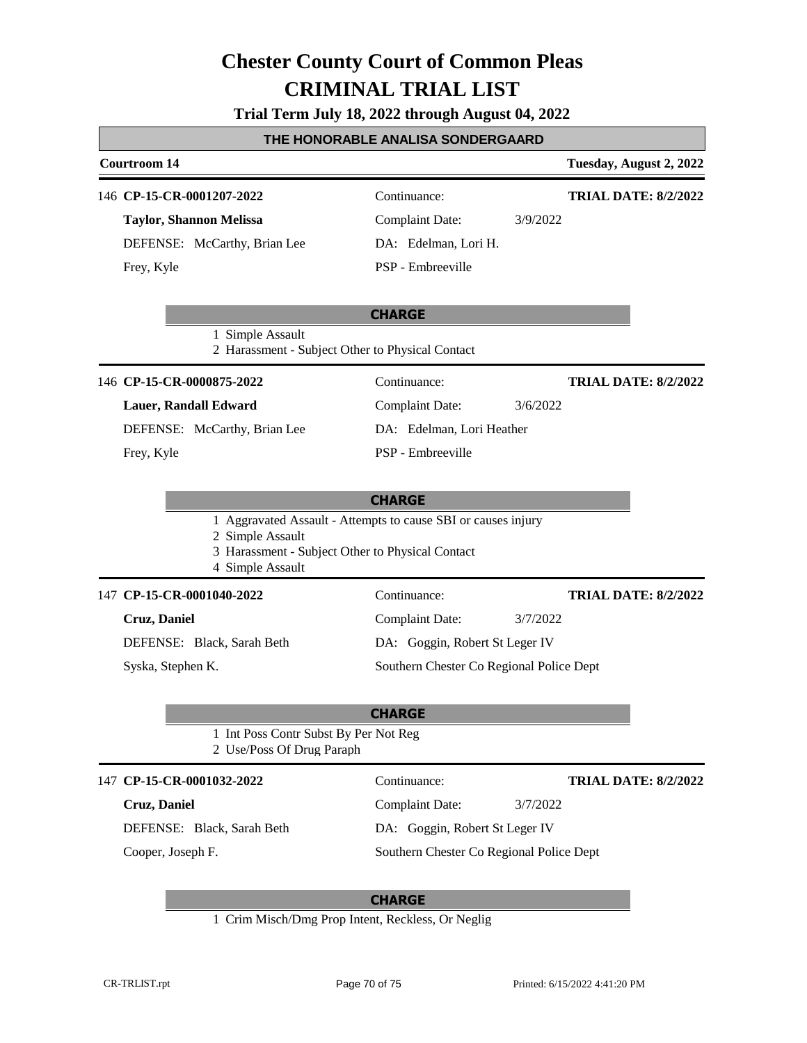|  |  | Trial Term July 18, 2022 through August 04, 2022 |  |
|--|--|--------------------------------------------------|--|
|--|--|--------------------------------------------------|--|

#### **THE HONORABLE ANALISA SONDERGAARD**

### **Courtroom 14 Tuesday, August 2, 2022 CHARGE** 146 **CP-15-CR-0001207-2022** Continuance: **Taylor, Shannon Melissa** DEFENSE: McCarthy, Brian Lee Complaint Date: 3/9/2022 DA: Edelman, Lori H. PSP - Embreeville **TRIAL DATE: 8/2/2022** Frey, Kyle 1 Simple Assault 2 Harassment - Subject Other to Physical Contact **CHARGE** 146 **CP-15-CR-0000875-2022** Continuance: **Lauer, Randall Edward** DEFENSE: McCarthy, Brian Lee Complaint Date: 3/6/2022 DA: Edelman, Lori Heather PSP - Embreeville **TRIAL DATE: 8/2/2022** Frey, Kyle 1 Aggravated Assault - Attempts to cause SBI or causes injury 2 Simple Assault 3 Harassment - Subject Other to Physical Contact 4 Simple Assault **CHARGE** 147 **CP-15-CR-0001040-2022** Continuance: **Cruz, Daniel** DEFENSE: Black, Sarah Beth Complaint Date: 3/7/2022 DA: Goggin, Robert St Leger IV Southern Chester Co Regional Police Dept **TRIAL DATE: 8/2/2022** Syska, Stephen K. 1 Int Poss Contr Subst By Per Not Reg 2 Use/Poss Of Drug Paraph 147 **CP-15-CR-0001032-2022** Continuance: **Cruz, Daniel** DEFENSE: Black, Sarah Beth Complaint Date: 3/7/2022 DA: Goggin, Robert St Leger IV Southern Chester Co Regional Police Dept **TRIAL DATE: 8/2/2022** Cooper, Joseph F.

# **CHARGE**

1 Crim Misch/Dmg Prop Intent, Reckless, Or Neglig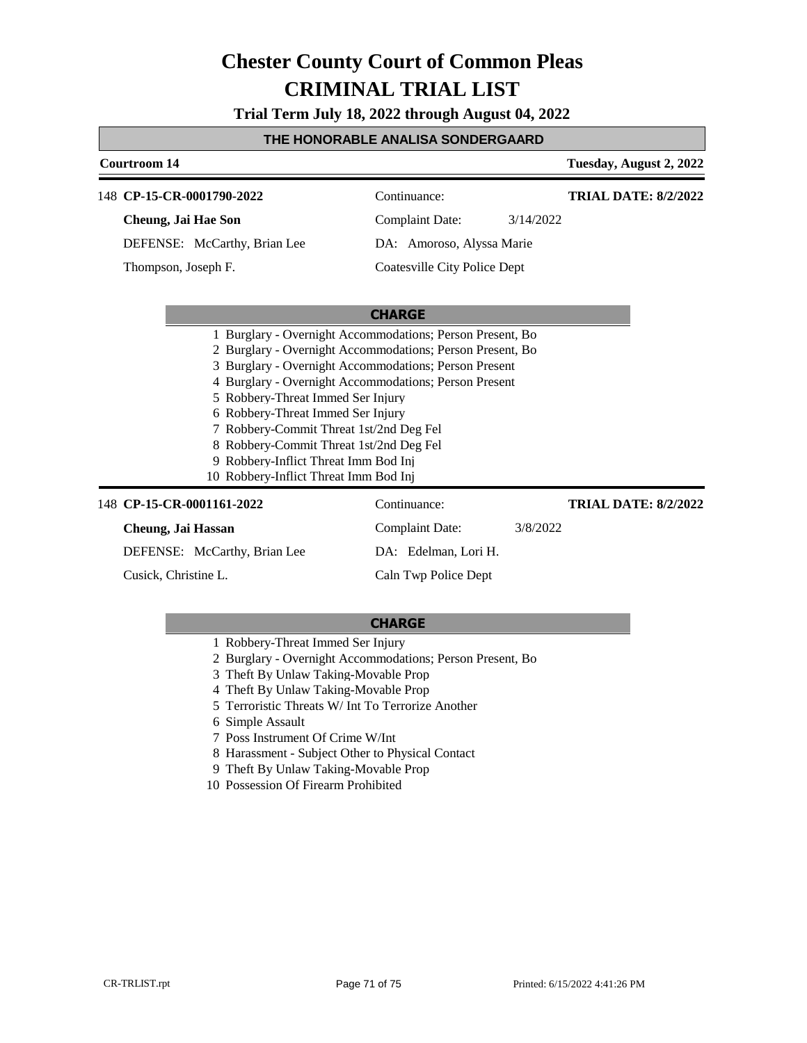**Trial Term July 18, 2022 through August 04, 2022**

#### **THE HONORABLE ANALISA SONDERGAARD**

### **Courtroom 14 Tuesday, August 2, 2022 CHARGE** 148 **CP-15-CR-0001790-2022** Continuance: **Cheung, Jai Hae Son** DEFENSE: McCarthy, Brian Lee Complaint Date: 3/14/2022 DA: Amoroso, Alyssa Marie Coatesville City Police Dept **TRIAL DATE: 8/2/2022** Thompson, Joseph F. 1 Burglary - Overnight Accommodations; Person Present, Bo 2 Burglary - Overnight Accommodations; Person Present, Bo 3 Burglary - Overnight Accommodations; Person Present 4 Burglary - Overnight Accommodations; Person Present 5 Robbery-Threat Immed Ser Injury 6 Robbery-Threat Immed Ser Injury 7 Robbery-Commit Threat 1st/2nd Deg Fel

- 8 Robbery-Commit Threat 1st/2nd Deg Fel
- 9 Robbery-Inflict Threat Imm Bod Inj
- 10 Robbery-Inflict Threat Imm Bod Inj

#### 148 **CP-15-CR-0001161-2022** Continuance: **Cheung, Jai Hassan** DEFENSE: McCarthy, Brian Lee Complaint Date: 3/8/2022 DA: Edelman, Lori H. Caln Twp Police Dept **TRIAL DATE: 8/2/2022** Cusick, Christine L.

- 1 Robbery-Threat Immed Ser Injury
- 2 Burglary Overnight Accommodations; Person Present, Bo
- 3 Theft By Unlaw Taking-Movable Prop
- 4 Theft By Unlaw Taking-Movable Prop
- 5 Terroristic Threats W/ Int To Terrorize Another
- 6 Simple Assault
- 7 Poss Instrument Of Crime W/Int
- 8 Harassment Subject Other to Physical Contact
- 9 Theft By Unlaw Taking-Movable Prop
- 10 Possession Of Firearm Prohibited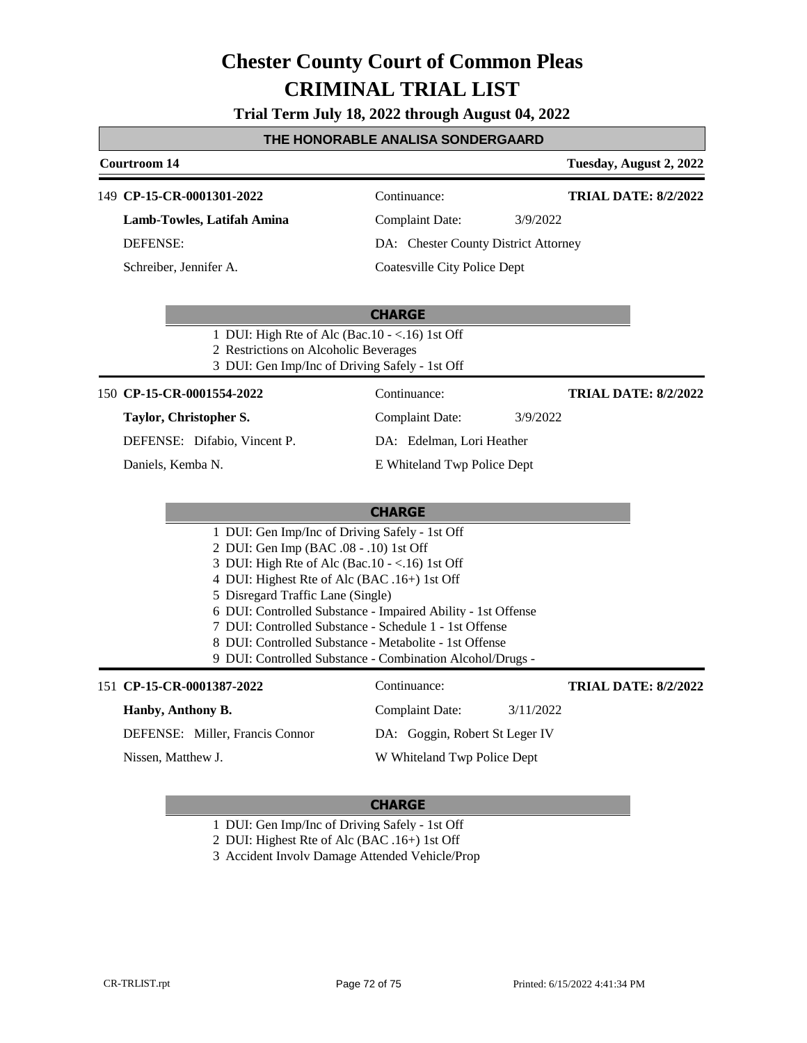**Trial Term July 18, 2022 through August 04, 2022**

# **THE HONORABLE ANALISA SONDERGAARD**

| Courtroom 14              |                                                                                                                                                                                                                                                                                                                                                                                                                                                                                     |                                      |           | Tuesday, August 2, 2022     |
|---------------------------|-------------------------------------------------------------------------------------------------------------------------------------------------------------------------------------------------------------------------------------------------------------------------------------------------------------------------------------------------------------------------------------------------------------------------------------------------------------------------------------|--------------------------------------|-----------|-----------------------------|
| 149 CP-15-CR-0001301-2022 |                                                                                                                                                                                                                                                                                                                                                                                                                                                                                     | Continuance:                         |           | <b>TRIAL DATE: 8/2/2022</b> |
|                           | Lamb-Towles, Latifah Amina                                                                                                                                                                                                                                                                                                                                                                                                                                                          | <b>Complaint Date:</b>               | 3/9/2022  |                             |
| <b>DEFENSE:</b>           |                                                                                                                                                                                                                                                                                                                                                                                                                                                                                     | DA: Chester County District Attorney |           |                             |
| Schreiber, Jennifer A.    |                                                                                                                                                                                                                                                                                                                                                                                                                                                                                     | Coatesville City Police Dept         |           |                             |
|                           |                                                                                                                                                                                                                                                                                                                                                                                                                                                                                     | <b>CHARGE</b>                        |           |                             |
|                           | 1 DUI: High Rte of Alc (Bac.10 - <.16) 1st Off<br>2 Restrictions on Alcoholic Beverages<br>3 DUI: Gen Imp/Inc of Driving Safely - 1st Off                                                                                                                                                                                                                                                                                                                                           |                                      |           |                             |
| 150 CP-15-CR-0001554-2022 |                                                                                                                                                                                                                                                                                                                                                                                                                                                                                     | Continuance:                         |           | <b>TRIAL DATE: 8/2/2022</b> |
| Taylor, Christopher S.    |                                                                                                                                                                                                                                                                                                                                                                                                                                                                                     | <b>Complaint Date:</b>               | 3/9/2022  |                             |
|                           | DEFENSE: Difabio, Vincent P.                                                                                                                                                                                                                                                                                                                                                                                                                                                        | DA: Edelman, Lori Heather            |           |                             |
| Daniels, Kemba N.         |                                                                                                                                                                                                                                                                                                                                                                                                                                                                                     | E Whiteland Twp Police Dept          |           |                             |
|                           |                                                                                                                                                                                                                                                                                                                                                                                                                                                                                     | <b>CHARGE</b>                        |           |                             |
|                           | 1 DUI: Gen Imp/Inc of Driving Safely - 1st Off<br>2 DUI: Gen Imp (BAC .08 - .10) 1st Off<br>3 DUI: High Rte of Alc (Bac. $10 - <16$ ) 1st Off<br>4 DUI: Highest Rte of Alc (BAC .16+) 1st Off<br>5 Disregard Traffic Lane (Single)<br>6 DUI: Controlled Substance - Impaired Ability - 1st Offense<br>7 DUI: Controlled Substance - Schedule 1 - 1st Offense<br>8 DUI: Controlled Substance - Metabolite - 1st Offense<br>9 DUI: Controlled Substance - Combination Alcohol/Drugs - |                                      |           |                             |
| 151 CP-15-CR-0001387-2022 |                                                                                                                                                                                                                                                                                                                                                                                                                                                                                     | Continuance:                         |           | <b>TRIAL DATE: 8/2/2022</b> |
| Hanby, Anthony B.         |                                                                                                                                                                                                                                                                                                                                                                                                                                                                                     | <b>Complaint Date:</b>               | 3/11/2022 |                             |
|                           | DEFENSE: Miller, Francis Connor                                                                                                                                                                                                                                                                                                                                                                                                                                                     | DA: Goggin, Robert St Leger IV       |           |                             |
| Nissen, Matthew J.        |                                                                                                                                                                                                                                                                                                                                                                                                                                                                                     | W Whiteland Twp Police Dept          |           |                             |

- 1 DUI: Gen Imp/Inc of Driving Safely 1st Off
- 2 DUI: Highest Rte of Alc (BAC .16+) 1st Off
- 3 Accident Involv Damage Attended Vehicle/Prop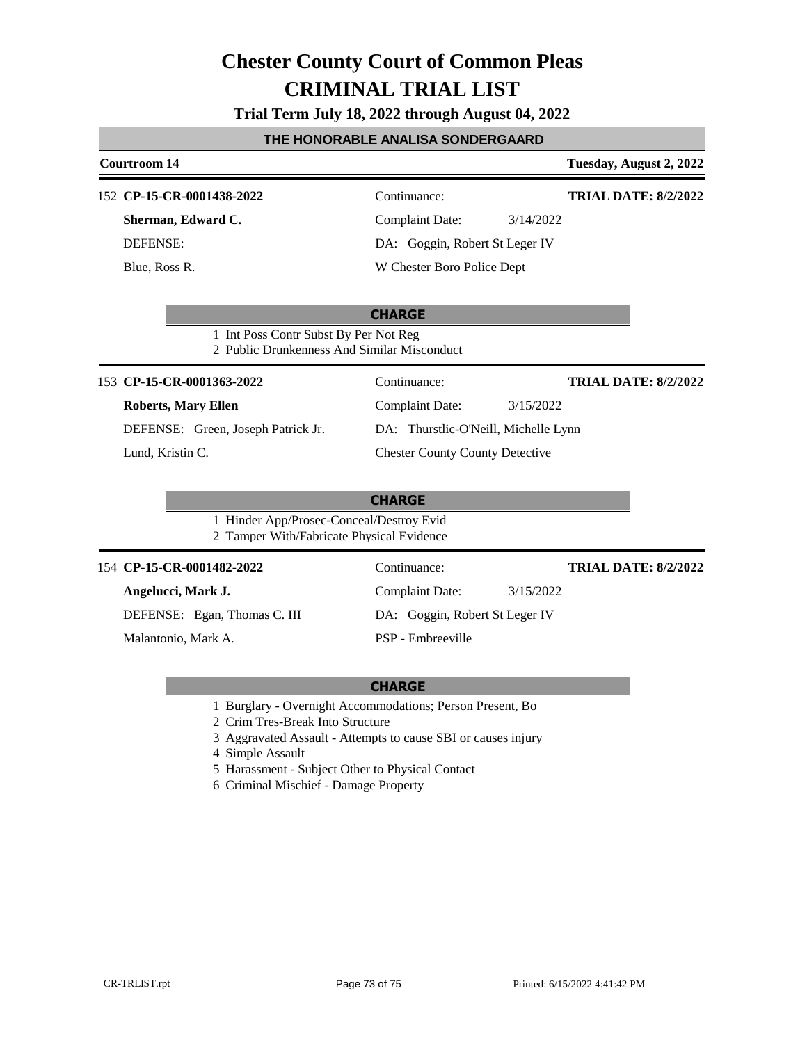**Trial Term July 18, 2022 through August 04, 2022**

## **THE HONORABLE ANALISA SONDERGAARD**

| Courtroom 14                                                                          |                                        | Tuesday, August 2, 2022     |  |
|---------------------------------------------------------------------------------------|----------------------------------------|-----------------------------|--|
| 152 CP-15-CR-0001438-2022                                                             | Continuance:                           | <b>TRIAL DATE: 8/2/2022</b> |  |
| Sherman, Edward C.                                                                    | <b>Complaint Date:</b><br>3/14/2022    |                             |  |
| <b>DEFENSE:</b>                                                                       | DA: Goggin, Robert St Leger IV         |                             |  |
| Blue, Ross R.                                                                         | W Chester Boro Police Dept             |                             |  |
| 1 Int Poss Contr Subst By Per Not Reg<br>2 Public Drunkenness And Similar Misconduct  | <b>CHARGE</b>                          |                             |  |
| 153 CP-15-CR-0001363-2022                                                             | Continuance:                           | <b>TRIAL DATE: 8/2/2022</b> |  |
| <b>Roberts, Mary Ellen</b>                                                            | <b>Complaint Date:</b><br>3/15/2022    |                             |  |
| DEFENSE: Green, Joseph Patrick Jr.                                                    | DA: Thurstlic-O'Neill, Michelle Lynn   |                             |  |
| Lund, Kristin C.                                                                      | <b>Chester County County Detective</b> |                             |  |
|                                                                                       | <b>CHARGE</b>                          |                             |  |
| 1 Hinder App/Prosec-Conceal/Destroy Evid<br>2 Tamper With/Fabricate Physical Evidence |                                        |                             |  |
| 154 CP-15-CR-0001482-2022                                                             | Continuance:                           | <b>TRIAL DATE: 8/2/2022</b> |  |
| Angelucci, Mark J.                                                                    | <b>Complaint Date:</b><br>3/15/2022    |                             |  |
| DEFENSE: Egan, Thomas C. III                                                          | DA: Goggin, Robert St Leger IV         |                             |  |
| Malantonio, Mark A.                                                                   | PSP - Embreeville                      |                             |  |

### **CHARGE**

1 Burglary - Overnight Accommodations; Person Present, Bo

2 Crim Tres-Break Into Structure

3 Aggravated Assault - Attempts to cause SBI or causes injury

4 Simple Assault

5 Harassment - Subject Other to Physical Contact

6 Criminal Mischief - Damage Property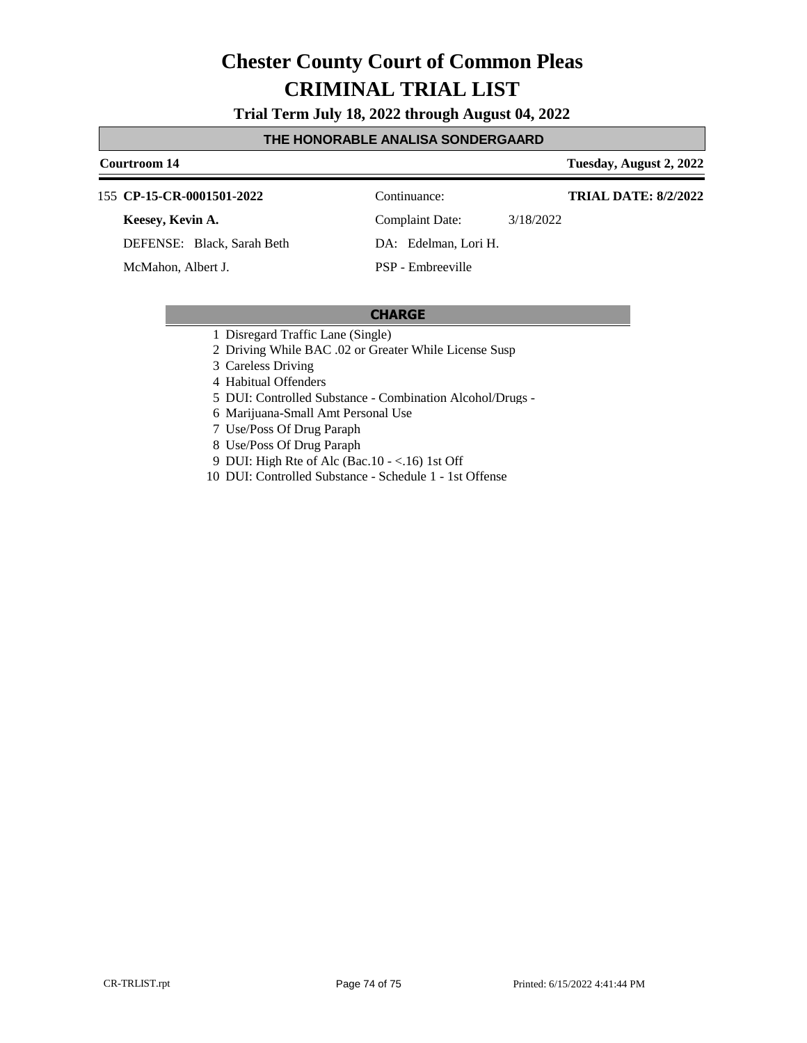**Trial Term July 18, 2022 through August 04, 2022**

#### **THE HONORABLE ANALISA SONDERGAARD**

#### **Courtroom 14 Tuesday, August 2, 2022**

**TRIAL DATE: 8/2/2022**

155 **CP-15-CR-0001501-2022** Continuance:

**Keesey, Kevin A.**

DEFENSE: Black, Sarah Beth

McMahon, Albert J.

Complaint Date: 3/18/2022

DA: Edelman, Lori H.

PSP - Embreeville

### **CHARGE**

- 1 Disregard Traffic Lane (Single)
- 2 Driving While BAC .02 or Greater While License Susp
- 3 Careless Driving

4 Habitual Offenders

- 5 DUI: Controlled Substance Combination Alcohol/Drugs -
- 6 Marijuana-Small Amt Personal Use
- 7 Use/Poss Of Drug Paraph
- 8 Use/Poss Of Drug Paraph
- 9 DUI: High Rte of Alc (Bac.10 <.16) 1st Off
- 10 DUI: Controlled Substance Schedule 1 1st Offense